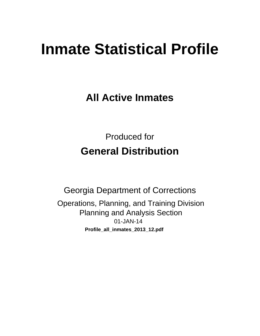# **Inmate Statistical Profile**

**All Active Inmates** 

**Produced for General Distribution** 

**Georgia Department of Corrections** Operations, Planning, and Training Division **Planning and Analysis Section** 01-JAN-14 Profile\_all\_inmates\_2013\_12.pdf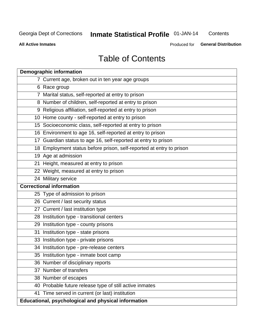## **Inmate Statistical Profile 01-JAN-14**

Contents

**All Active Inmates** 

Produced for General Distribution

## **Table of Contents**

|    | <b>Demographic information</b>                                       |
|----|----------------------------------------------------------------------|
|    | 7 Current age, broken out in ten year age groups                     |
|    | 6 Race group                                                         |
|    | 7 Marital status, self-reported at entry to prison                   |
|    | 8 Number of children, self-reported at entry to prison               |
|    | 9 Religious affiliation, self-reported at entry to prison            |
|    | 10 Home county - self-reported at entry to prison                    |
|    | 15 Socioeconomic class, self-reported at entry to prison             |
|    | 16 Environment to age 16, self-reported at entry to prison           |
|    | 17 Guardian status to age 16, self-reported at entry to prison       |
|    | 18 Employment status before prison, self-reported at entry to prison |
|    | 19 Age at admission                                                  |
|    | 21 Height, measured at entry to prison                               |
|    | 22 Weight, measured at entry to prison                               |
|    | 24 Military service                                                  |
|    | <b>Correctional information</b>                                      |
|    | 25 Type of admission to prison                                       |
|    | 26 Current / last security status                                    |
|    | 27 Current / last institution type                                   |
|    | 28 Institution type - transitional centers                           |
|    | 29 Institution type - county prisons                                 |
| 31 | Institution type - state prisons                                     |
|    | 33 Institution type - private prisons                                |
|    | 34 Institution type - pre-release centers                            |
|    | 35 Institution type - inmate boot camp                               |
|    | 36 Number of disciplinary reports                                    |
|    | 37 Number of transfers                                               |
|    | 38 Number of escapes                                                 |
|    | 40 Probable future release type of still active inmates              |
|    | 41 Time served in current (or last) institution                      |
|    | Educational, psychological and physical information                  |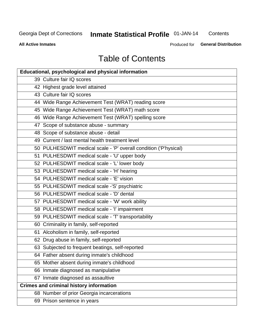## **Inmate Statistical Profile 01-JAN-14**

Contents

**All Active Inmates** 

**General Distribution** Produced for

## **Table of Contents**

| <b>Educational, psychological and physical information</b>       |
|------------------------------------------------------------------|
| 39 Culture fair IQ scores                                        |
| 42 Highest grade level attained                                  |
| 43 Culture fair IQ scores                                        |
| 44 Wide Range Achievement Test (WRAT) reading score              |
| 45 Wide Range Achievement Test (WRAT) math score                 |
| 46 Wide Range Achievement Test (WRAT) spelling score             |
| 47 Scope of substance abuse - summary                            |
| 48 Scope of substance abuse - detail                             |
| 49 Current / last mental health treatment level                  |
| 50 PULHESDWIT medical scale - 'P' overall condition ('P'hysical) |
| 51 PULHESDWIT medical scale - 'U' upper body                     |
| 52 PULHESDWIT medical scale - 'L' lower body                     |
| 53 PULHESDWIT medical scale - 'H' hearing                        |
| 54 PULHESDWIT medical scale - 'E' vision                         |
| 55 PULHESDWIT medical scale -'S' psychiatric                     |
| 56 PULHESDWIT medical scale - 'D' dental                         |
| 57 PULHESDWIT medical scale - 'W' work ability                   |
| 58 PULHESDWIT medical scale - 'I' impairment                     |
| 59 PULHESDWIT medical scale - 'T' transportability               |
| 60 Criminality in family, self-reported                          |
| 61 Alcoholism in family, self-reported                           |
| 62 Drug abuse in family, self-reported                           |
| 63 Subjected to frequent beatings, self-reported                 |
| 64 Father absent during inmate's childhood                       |
| 65 Mother absent during inmate's childhood                       |
| 66 Inmate diagnosed as manipulative                              |
| 67 Inmate diagnosed as assaultive                                |
| <b>Crimes and criminal history information</b>                   |
| 68 Number of prior Georgia incarcerations                        |
| 69 Prison sentence in years                                      |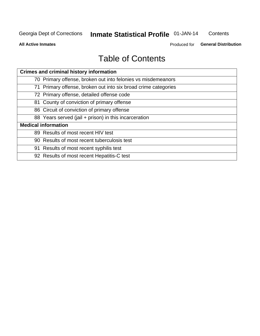## **Inmate Statistical Profile 01-JAN-14**

Contents

**All Active Inmates** 

Produced for General Distribution

## **Table of Contents**

| <b>Crimes and criminal history information</b>                 |
|----------------------------------------------------------------|
| 70 Primary offense, broken out into felonies vs misdemeanors   |
| 71 Primary offense, broken out into six broad crime categories |
| 72 Primary offense, detailed offense code                      |
| 81 County of conviction of primary offense                     |
| 86 Circuit of conviction of primary offense                    |
| 88 Years served (jail + prison) in this incarceration          |
| <b>Medical information</b>                                     |
| 89 Results of most recent HIV test                             |
| 90 Results of most recent tuberculosis test                    |
| 91 Results of most recent syphilis test                        |
| 92 Results of most recent Hepatitis-C test                     |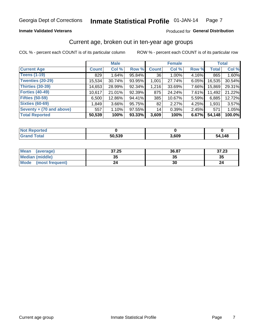#### **Inmate Validated Veterans**

#### Produced for General Distribution

## Current age, broken out in ten-year age groups

COL % - percent each COUNT is of its particular column

|                          |              | <b>Male</b> |        |              | <b>Female</b> |       |        | <b>Total</b> |
|--------------------------|--------------|-------------|--------|--------------|---------------|-------|--------|--------------|
| <b>Current Age</b>       | <b>Count</b> | Col %       | Row %  | <b>Count</b> | Col %         | Row % | Total  | Col %        |
| <b>Teens (1-19)</b>      | 829          | 1.64%       | 95.84% | 36           | 1.00%         | 4.16% | 865    | 1.60%        |
| <b>Twenties (20-29)</b>  | 15,534       | 30.74%      | 93.95% | 1,001        | 27.74%        | 6.05% | 16,535 | 30.54%       |
| <b>Thirties (30-39)</b>  | 14,653       | 28.99%      | 92.34% | 1,216        | 33.69%        | 7.66% | 15,869 | 29.31%       |
| <b>Forties (40-49)</b>   | 10,617       | 21.01%      | 92.39% | 875          | 24.24%        | 7.61% | 11,492 | 21.22%       |
| <b>Fifties (50-59)</b>   | 6,500        | 12.86%      | 94.41% | 385          | 10.67%        | 5.59% | 6,885  | 12.72%       |
| <b>Sixties (60-69)</b>   | 1,849        | $3.66\%$    | 95.75% | 82           | 2.27%         | 4.25% | 1,931  | 3.57%        |
| Seventy + (70 and above) | 557          | 1.10%       | 97.55% | 14           | 0.39%         | 2.45% | 571    | 1.05%        |
| <b>Total Reported</b>    | 50,539       | 100%        | 93.33% | 3,609        | 100%          | 6.67% | 54,148 | 100.0%       |

| <b>Not Repo</b><br>orted |        |       |        |
|--------------------------|--------|-------|--------|
| Tota <sup>r</sup>        | 50,539 | 3,609 | 54,148 |

| Mean<br>(average)              | 37.25    | 36.87 | 37.23 |
|--------------------------------|----------|-------|-------|
| <b>Median (middle)</b>         | つん<br>vu | JJ    | 35    |
| <b>Mode</b><br>(most frequent) |          | 30    |       |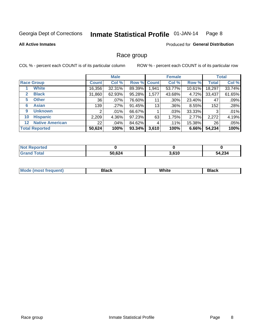#### Inmate Statistical Profile 01-JAN-14 Page 8

#### **All Active Inmates**

#### **Produced for General Distribution**

## Race group

COL % - percent each COUNT is of its particular column

|                                   |              | <b>Male</b> |        |             | <b>Female</b> |           |              | <b>Total</b> |
|-----------------------------------|--------------|-------------|--------|-------------|---------------|-----------|--------------|--------------|
| <b>Race Group</b>                 | <b>Count</b> | Col %       |        | Row % Count | Col %         | Row %     | <b>Total</b> | Col %        |
| <b>White</b>                      | 16,356       | 32.31%      | 89.39% | 1,941       | 53.77%        | $10.61\%$ | 18,297       | 33.74%       |
| <b>Black</b><br>2                 | 31,860       | 62.93%      | 95.28% | 1,577       | 43.68%        | 4.72%     | 33,437       | 61.65%       |
| <b>Other</b><br>5.                | 36           | .07%        | 76.60% | 11          | .30%          | 23.40%    | 47           | .09%         |
| <b>Asian</b><br>6                 | 139          | .27%        | 91.45% | 13          | .36%          | 8.55%     | 152          | .28%         |
| <b>Unknown</b><br>9               | 2            | $.01\%$     | 66.67% |             | .03%          | 33.33%    | 3            | .01%         |
| <b>Hispanic</b><br>10             | 2,209        | 4.36%       | 97.23% | 63          | 1.75%         | 2.77%     | 2,272        | 4.19%        |
| <b>Native American</b><br>$12 \,$ | 22           | $.04\%$     | 84.62% | 4           | .11%          | 15.38%    | 26           | .05%         |
| <b>Total Reported</b>             | 50,624       | 100%        | 93.34% | 3,610       | 100%          | 6.66%     | 54,234       | 100%         |

| N <sub>of</sub><br>Reported |        |       |        |
|-----------------------------|--------|-------|--------|
| Total<br>'Grano             | 50,624 | 3.610 | 54,234 |

| M.<br>____ | . | ------- |
|------------|---|---------|
|            |   |         |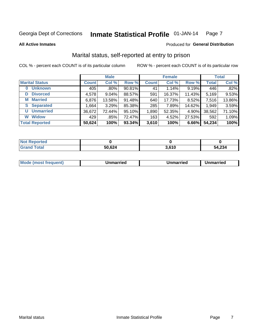#### Inmate Statistical Profile 01-JAN-14 Page 7

**All Active Inmates** 

#### Produced for General Distribution

## Marital status, self-reported at entry to prison

COL % - percent each COUNT is of its particular column

|                            |              | <b>Male</b> |        |              | <b>Female</b> |        |              | <b>Total</b> |
|----------------------------|--------------|-------------|--------|--------------|---------------|--------|--------------|--------------|
| <b>Marital Status</b>      | <b>Count</b> | Col %       | Row %  | <b>Count</b> | Col %         | Row %  | <b>Total</b> | Col %        |
| <b>Unknown</b><br>$\bf{0}$ | 405          | .80%        | 90.81% | 41           | 1.14%         | 9.19%  | 446          | .82%         |
| <b>Divorced</b><br>D       | 4,578        | 9.04%       | 88.57% | 591          | 16.37%        | 11.43% | 5,169        | 9.53%        |
| <b>Married</b><br>М        | 6,876        | 13.58%      | 91.48% | 640          | 17.73%        | 8.52%  | 7,516        | 13.86%       |
| <b>Separated</b><br>S.     | 1,664        | 3.29%       | 85.38% | 285          | 7.89%         | 14.62% | 1,949        | 3.59%        |
| <b>Unmarried</b><br>U      | 36,672       | 72.44%      | 95.10% | 1,890        | 52.35%        | 4.90%  | 38,562       | 71.10%       |
| <b>Widow</b><br>W          | 429          | .85%        | 72.47% | 163          | 4.52%         | 27.53% | 592          | 1.09%        |
| <b>Total Reported</b>      | 50,624       | 100%        | 93.34% | 3,610        | 100%          | 6.66%  | 54,234       | 100%         |

| <b>Not Reported</b> |      |                  |            |
|---------------------|------|------------------|------------|
| Total               | ,624 | C <sub>4</sub> O | 4,234<br>א |

|--|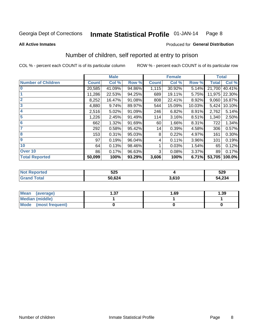#### Inmate Statistical Profile 01-JAN-14 Page 8

**All Active Inmates** 

#### **Produced for General Distribution**

## Number of children, self reported at entry to prison

COL % - percent each COUNT is of its particular column

|                           |              | <b>Male</b> |        |              | <b>Female</b> |        | <b>Total</b> |        |
|---------------------------|--------------|-------------|--------|--------------|---------------|--------|--------------|--------|
| <b>Number of Children</b> | <b>Count</b> | Col %       | Row %  | <b>Count</b> | Col %         | Row %  | <b>Total</b> | Col %  |
| $\bf{0}$                  | 20,585       | 41.09%      | 94.86% | 1,115        | 30.92%        | 5.14%  | 21,700       | 40.41% |
|                           | 11,286       | 22.53%      | 94.25% | 689          | 19.11%        | 5.75%  | 11,975       | 22.30% |
| $\overline{2}$            | 8,252        | 16.47%      | 91.08% | 808          | 22.41%        | 8.92%  | 9,060        | 16.87% |
| 3                         | 4,880        | 9.74%       | 89.97% | 544          | 15.09%        | 10.03% | 5,424        | 10.10% |
| 4                         | 2,516        | 5.02%       | 91.09% | 246          | 6.82%         | 8.91%  | 2,762        | 5.14%  |
| 5                         | 1,226        | 2.45%       | 91.49% | 114          | 3.16%         | 8.51%  | 1,340        | 2.50%  |
| 6                         | 662          | 1.32%       | 91.69% | 60           | 1.66%         | 8.31%  | 722          | 1.34%  |
|                           | 292          | 0.58%       | 95.42% | 14           | 0.39%         | 4.58%  | 306          | 0.57%  |
| 8                         | 153          | 0.31%       | 95.03% | 8            | 0.22%         | 4.97%  | 161          | 0.30%  |
| $\boldsymbol{9}$          | 97           | 0.19%       | 96.04% | 4            | 0.11%         | 3.96%  | 101          | 0.19%  |
| 10                        | 64           | 0.13%       | 98.46% |              | 0.03%         | 1.54%  | 65           | 0.12%  |
| Over 10                   | 86           | 0.17%       | 96.63% | 3            | 0.08%         | 3.37%  | 89           | 0.17%  |
| <b>Total Reported</b>     | 50,099       | 100%        | 93.29% | 3,606        | 100%          | 6.71%  | 53,705       | 100.0% |

| よつよ<br>ວ∠ວ |      | 529    |
|------------|------|--------|
| FO COA     | 0.40 | 54,234 |

| <b>Mean</b><br>(average)       | - 27<br>I J J | 1.69 | 1.39 |
|--------------------------------|---------------|------|------|
| <b>Median (middle)</b>         |               |      |      |
| <b>Mode</b><br>(most frequent) |               |      |      |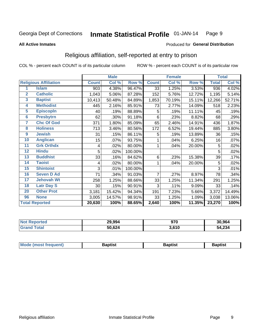#### **Inmate Statistical Profile 01-JAN-14** Page 9

#### **All Active Inmates**

#### Produced for General Distribution

## Religious affiliation, self-reported at entry to prison

COL % - percent each COUNT is of its particular column

|                |                              |              | <b>Male</b> |         |                | <b>Female</b> |        |              | <b>Total</b> |
|----------------|------------------------------|--------------|-------------|---------|----------------|---------------|--------|--------------|--------------|
|                | <b>Religious Affiliation</b> | <b>Count</b> | Col %       | Row %   | <b>Count</b>   | Col %         | Row %  | <b>Total</b> | Col %        |
| 1              | <b>Islam</b>                 | 903          | 4.38%       | 96.47%  | 33             | 1.25%         | 3.53%  | 936          | 4.02%        |
| 2              | <b>Catholic</b>              | 1,043        | 5.06%       | 87.28%  | 152            | 5.76%         | 12.72% | 1,195        | 5.14%        |
| 3              | <b>Baptist</b>               | 10,413       | 50.48%      | 84.89%  | 1,853          | 70.19%        | 15.11% | 12,266       | 52.71%       |
| 4              | <b>Methodist</b>             | 445          | 2.16%       | 85.91%  | 73             | 2.77%         | 14.09% | 518          | 2.23%        |
| 5              | <b>EpiscopIn</b>             | 40           | .19%        | 88.89%  | 5              | .19%          | 11.11% | 45           | .19%         |
| $6\phantom{a}$ | <b>Presbytrn</b>             | 62           | .30%        | 91.18%  | 6              | .23%          | 8.82%  | 68           | .29%         |
| 7              | <b>Chc Of God</b>            | 371          | 1.80%       | 85.09%  | 65             | 2.46%         | 14.91% | 436          | 1.87%        |
| 8              | <b>Holiness</b>              | 713          | 3.46%       | 80.56%  | 172            | 6.52%         | 19.44% | 885          | 3.80%        |
| $\overline{9}$ | <b>Jewish</b>                | 31           | .15%        | 86.11%  | 5              | .19%          | 13.89% | 36           | .15%         |
| 10             | <b>Anglican</b>              | 15           | .07%        | 93.75%  |                | .04%          | 6.25%  | 16           | .07%         |
| 11             | <b>Grk Orthdx</b>            | 4            | .02%        | 80.00%  | 1              | .04%          | 20.00% | 5            | .02%         |
| 12             | <b>Hindu</b>                 | 5            | .02%        | 100.00% |                |               |        | 5            | .02%         |
| 13             | <b>Buddhist</b>              | 33           | .16%        | 84.62%  | 6              | .23%          | 15.38% | 39           | .17%         |
| 14             | <b>Taoist</b>                | 4            | .02%        | 80.00%  | 1              | .04%          | 20.00% | 5            | .02%         |
| 15             | <b>Shintoist</b>             | 3            | .01%        | 100.00% |                |               |        | 3            | .01%         |
| 16             | <b>Seven D Ad</b>            | 71           | .34%        | 91.03%  | $\overline{7}$ | .27%          | 8.97%  | 78           | .34%         |
| 17             | <b>Jehovah Wt</b>            | 258          | 1.25%       | 88.66%  | 33             | 1.25%         | 11.34% | 291          | 1.25%        |
| 18             | <b>Latr Day S</b>            | 30           | .15%        | 90.91%  | 3              | .11%          | 9.09%  | 33           | .14%         |
| 20             | <b>Other Prot</b>            | 3,181        | 15.42%      | 94.34%  | 191            | 7.23%         | 5.66%  | 3,372        | 14.49%       |
| 96             | <b>None</b>                  | 3,005        | 14.57%      | 98.91%  | 33             | 1.25%         | 1.09%  | 3,038        | 13.06%       |
|                | <b>Total Reported</b>        | 20,630       | 100%        | 88.65%  | 2,640          | 100%          | 11.35% | 23,270       | 100%         |

|                 | 29,994    | חדה   | 30.964 |
|-----------------|-----------|-------|--------|
| $\sim$ 4 $\sim$ | 624<br>50 | 3,610 | 54,234 |

|  | Mode (most frequent) | 3aptist | 3aptist | Baptist |
|--|----------------------|---------|---------|---------|
|--|----------------------|---------|---------|---------|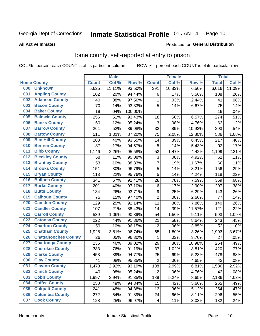#### Inmate Statistical Profile 01-JAN-14 Page 10

#### **All Active Inmates**

### Produced for General Distribution

## Home county, self-reported at entry to prison

COL % - percent each COUNT is of its particular column

|     |                             |              | <b>Male</b> |                  |                         | <b>Female</b> |        | <b>Total</b> |        |
|-----|-----------------------------|--------------|-------------|------------------|-------------------------|---------------|--------|--------------|--------|
|     | <b>Home County</b>          | <b>Count</b> | Col %       | Row <sup>%</sup> | <b>Count</b>            | Col %         | Row %  | <b>Total</b> | Col %  |
| 000 | <b>Unknown</b>              | 5,625        | 11.11%      | 93.50%           | 391                     | 10.83%        | 6.50%  | 6,016        | 11.09% |
| 001 | <b>Appling County</b>       | 102          | .20%        | 94.44%           | $\,6$                   | .17%          | 5.56%  | 108          | .20%   |
| 002 | <b>Atkinson County</b>      | 40           | .08%        | 97.56%           | 1                       | .03%          | 2.44%  | 41           | .08%   |
| 003 | <b>Bacon County</b>         | 70           | .14%        | 93.33%           | 5                       | .14%          | 6.67%  | 75           | .14%   |
| 004 | <b>Baker County</b>         | 19           | .04%        | 100.00%          |                         |               |        | 19           | .04%   |
| 005 | <b>Baldwin County</b>       | 256          | .51%        | 93.43%           | 18                      | .50%          | 6.57%  | 274          | .51%   |
| 006 | <b>Banks County</b>         | 60           | .12%        | 95.24%           | $\mathbf{3}$            | .08%          | 4.76%  | 63           | .12%   |
| 007 | <b>Barrow County</b>        | 261          | .52%        | 89.08%           | 32                      | .89%          | 10.92% | 293          | .54%   |
| 008 | <b>Bartow County</b>        | 511          | 1.01%       | 87.20%           | 75                      | 2.08%         | 12.80% | 586          | 1.08%  |
| 009 | <b>Ben Hill County</b>      | 203          | .40%        | 93.55%           | 14                      | .39%          | 6.45%  | 217          | .40%   |
| 010 | <b>Berrien County</b>       | 87           | .17%        | 94.57%           | 5                       | .14%          | 5.43%  | 92           | .17%   |
| 011 | <b>Bibb County</b>          | 1,146        | 2.26%       | 95.58%           | 53                      | 1.47%         | 4.42%  | 1,199        | 2.21%  |
| 012 | <b>Bleckley County</b>      | 58           | .11%        | 95.08%           | 3                       | .08%          | 4.92%  | 61           | .11%   |
| 013 | <b>Brantley County</b>      | 53           | .10%        | 88.33%           | $\overline{7}$          | .19%          | 11.67% | 60           | .11%   |
| 014 | <b>Brooks County</b>        | 151          | .30%        | 96.79%           | 5                       | .14%          | 3.21%  | 156          | .29%   |
| 015 | <b>Bryan County</b>         | 113          | .22%        | 95.76%           | 5                       | .14%          | 4.24%  | 118          | .22%   |
| 016 | <b>Bulloch County</b>       | 341          | .67%        | 92.41%           | 28                      | .78%          | 7.59%  | 369          | .68%   |
| 017 | <b>Burke County</b>         | 201          | .40%        | 97.10%           | $\,6$                   | .17%          | 2.90%  | 207          | .38%   |
| 018 | <b>Butts County</b>         | 134          | .26%        | 93.71%           | $\boldsymbol{9}$        | .25%          | 6.29%  | 143          | .26%   |
| 019 | <b>Calhoun County</b>       | 75           | .15%        | 97.40%           | $\overline{2}$          | .06%          | 2.60%  | 77           | .14%   |
| 020 | <b>Camden County</b>        | 129          | .25%        | 92.14%           | 11                      | .30%          | 7.86%  | 140          | .26%   |
| 021 | <b>Candler County</b>       | 107          | .21%        | 88.43%           | 14                      | .39%          | 11.57% | 121          | .22%   |
| 022 | <b>Carroll County</b>       | 539          | 1.06%       | 90.89%           | 54                      | 1.50%         | 9.11%  | 593          | 1.09%  |
| 023 | <b>Catoosa County</b>       | 222          | .44%        | 91.36%           | 21                      | .58%          | 8.64%  | 243          | .45%   |
| 024 | <b>Charlton County</b>      | 50           | .10%        | 96.15%           | 2                       | .06%          | 3.85%  | 52           | .10%   |
| 025 | <b>Chatham County</b>       | 1,928        | 3.81%       | 96.74%           | 65                      | 1.80%         | 3.26%  | 1,993        | 3.67%  |
| 026 | <b>Chattahoochee County</b> | 26           | .05%        | 96.30%           | 1                       | .03%          | 3.70%  | 27           | .05%   |
| 027 | <b>Chattooga County</b>     | 235          | .46%        | 89.02%           | 29                      | .80%          | 10.98% | 264          | .49%   |
| 028 | <b>Cherokee County</b>      | 383          | .76%        | 91.19%           | 37                      | 1.02%         | 8.81%  | 420          | .77%   |
| 029 | <b>Clarke County</b>        | 453          | .89%        | 94.77%           | 25                      | .69%          | 5.23%  | 478          | .88%   |
| 030 | <b>Clay County</b>          | 41           | .08%        | 95.35%           | $\overline{2}$          | .06%          | 4.65%  | 43           | .08%   |
| 031 | <b>Clayton County</b>       | 1,478        | 2.92%       | 93.19%           | 108                     | 2.99%         | 6.81%  | 1,586        | 2.92%  |
| 032 | <b>Clinch County</b>        | 40           | .08%        | 95.24%           | $\overline{2}$          | .06%          | 4.76%  | 42           | .08%   |
| 033 | <b>Cobb County</b>          | 1,997        | 3.94%       | 91.35%           | 189                     | 5.24%         | 8.65%  | 2,186        | 4.03%  |
| 034 | <b>Coffee County</b>        | 250          | .49%        | 94.34%           | 15                      | .42%          | 5.66%  | 265          | .49%   |
| 035 | <b>Colquitt County</b>      | 241          | .48%        | 94.88%           | 13                      | .36%          | 5.12%  | 254          | .47%   |
| 036 | <b>Columbia County</b>      | 272          | .54%        | 91.89%           | 24                      | .66%          | 8.11%  | 296          | .55%   |
| 037 | <b>Cook County</b>          | 128          | .25%        | 96.97%           | $\overline{\mathbf{4}}$ | .11%          | 3.03%  | 132          | .24%   |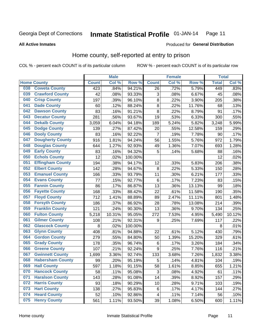#### **Inmate Statistical Profile 01-JAN-14** Page 11

**All Active Inmates** 

#### Produced for General Distribution

## Home county, self-reported at entry to prison

COL % - percent each COUNT is of its particular column

|     |                         |              | <b>Male</b> |                  |                         | <b>Female</b> |        | <b>Total</b> |        |
|-----|-------------------------|--------------|-------------|------------------|-------------------------|---------------|--------|--------------|--------|
|     | <b>Home County</b>      | <b>Count</b> | Col%        | Row <sup>%</sup> | <b>Count</b>            | Col %         | Row %  | <b>Total</b> | Col %  |
| 038 | <b>Coweta County</b>    | 423          | .84%        | 94.21%           | 26                      | .72%          | 5.79%  | 449          | .83%   |
| 039 | <b>Crawford County</b>  | 42           | .08%        | 93.33%           | 3                       | .08%          | 6.67%  | 45           | .08%   |
| 040 | <b>Crisp County</b>     | 197          | .39%        | 96.10%           | $\bf 8$                 | .22%          | 3.90%  | 205          | .38%   |
| 041 | <b>Dade County</b>      | 60           | .12%        | 88.24%           | 8                       | .22%          | 11.76% | 68           | .13%   |
| 042 | <b>Dawson County</b>    | 83           | .16%        | 91.21%           | 8                       | 22%           | 8.79%  | 91           | .17%   |
| 043 | <b>Decatur County</b>   | 281          | .56%        | 93.67%           | 19                      | .53%          | 6.33%  | 300          | .55%   |
| 044 | <b>Dekalb County</b>    | 3,059        | 6.04%       | 94.18%           | 189                     | 5.24%         | 5.82%  | 3,248        | 5.99%  |
| 045 | <b>Dodge County</b>     | 139          | .27%        | 87.42%           | 20                      | .55%          | 12.58% | 159          | .29%   |
| 046 | <b>Dooly County</b>     | 83           | .16%        | 92.22%           | 7                       | .19%          | 7.78%  | 90           | .17%   |
| 047 | <b>Dougherty County</b> | 916          | 1.81%       | 94.24%           | 56                      | 1.55%         | 5.76%  | 972          | 1.79%  |
| 048 | <b>Douglas County</b>   | 644          | 1.27%       | 92.93%           | 49                      | 1.36%         | 7.07%  | 693          | 1.28%  |
| 049 | <b>Early County</b>     | 83           | .16%        | 94.32%           | 5                       | .14%          | 5.68%  | 88           | .16%   |
| 050 | <b>Echols County</b>    | 12           | .02%        | 100.00%          |                         |               |        | 12           | .02%   |
| 051 | <b>Effingham County</b> | 194          | .38%        | 94.17%           | 12                      | .33%          | 5.83%  | 206          | .38%   |
| 052 | <b>Elbert County</b>    | 142          | .28%        | 94.67%           | 8                       | .22%          | 5.33%  | 150          | .28%   |
| 053 | <b>Emanuel County</b>   | 166          | .33%        | 93.79%           | 11                      | .30%          | 6.21%  | 177          | .33%   |
| 054 | <b>Evans County</b>     | 77           | .15%        | 92.77%           | 6                       | .17%          | 7.23%  | 83           | .15%   |
| 055 | <b>Fannin County</b>    | 86           | .17%        | 86.87%           | 13                      | .36%          | 13.13% | 99           | .18%   |
| 056 | <b>Fayette County</b>   | 168          | .33%        | 88.42%           | 22                      | .61%          | 11.58% | 190          | .35%   |
| 057 | <b>Floyd County</b>     | 712          | 1.41%       | 88.89%           | 89                      | 2.47%         | 11.11% | 801          | 1.48%  |
| 058 | <b>Forsyth County</b>   | 186          | .37%        | 86.92%           | 28                      | .78%          | 13.08% | 214          | .39%   |
| 059 | <b>Franklin County</b>  | 121          | .24%        | 90.30%           | 13                      | .36%          | 9.70%  | 134          | .25%   |
| 060 | <b>Fulton County</b>    | 5,218        | 10.31%      | 95.05%           | 272                     | 7.53%         | 4.95%  | 5,490        | 10.12% |
| 061 | <b>Gilmer County</b>    | 108          | .21%        | 92.31%           | 9                       | .25%          | 7.69%  | 117          | .22%   |
| 062 | <b>Glascock County</b>  | 8            | .02%        | 100.00%          |                         |               |        | 8            | .01%   |
| 063 | <b>Glynn County</b>     | 408          | .81%        | 94.88%           | 22                      | .61%          | 5.12%  | 430          | .79%   |
| 064 | <b>Gordon County</b>    | 279          | .55%        | 84.80%           | 50                      | 1.39%         | 15.20% | 329          | .61%   |
| 065 | <b>Grady County</b>     | 178          | .35%        | 96.74%           | 6                       | .17%          | 3.26%  | 184          | .34%   |
| 066 | <b>Greene County</b>    | 107          | .21%        | 92.24%           | 9                       | .25%          | 7.76%  | 116          | .21%   |
| 067 | <b>Gwinnett County</b>  | 1,699        | 3.36%       | 92.74%           | 133                     | 3.68%         | 7.26%  | 1,832        | 3.38%  |
| 068 | <b>Habersham County</b> | 99           | .20%        | 95.19%           | 5                       | .14%          | 4.81%  | 104          | .19%   |
| 069 | <b>Hall County</b>      | 597          | 1.18%       | 91.15%           | 58                      | 1.61%         | 8.85%  | 655          | 1.21%  |
| 070 | <b>Hancock County</b>   | 58           | .11%        | 95.08%           | 3                       | .08%          | 4.92%  | 61           | .11%   |
| 071 | <b>Haralson County</b>  | 143          | .28%        | 91.08%           | 14                      | .39%          | 8.92%  | 157          | .29%   |
| 072 | <b>Harris County</b>    | 93           | .18%        | 90.29%           | 10                      | .28%          | 9.71%  | 103          | .19%   |
| 073 | <b>Hart County</b>      | 138          | .27%        | 95.83%           | 6                       | .17%          | 4.17%  | 144          | .27%   |
| 074 | <b>Heard County</b>     | 52           | .10%        | 92.86%           | $\overline{\mathbf{4}}$ | .11%          | 7.14%  | 56           | .10%   |
| 075 | <b>Henry County</b>     | 561          | 1.11%       | 93.50%           | 39                      | 1.08%         | 6.50%  | 600          | 1.11%  |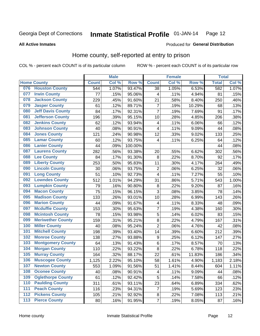#### Inmate Statistical Profile 01-JAN-14 Page 12

**All Active Inmates** 

#### Produced for General Distribution

## Home county, self-reported at entry to prison

COL % - percent each COUNT is of its particular column

|     |                          |              | <b>Male</b> |                  |                         | <b>Female</b>      |        | <b>Total</b> |       |
|-----|--------------------------|--------------|-------------|------------------|-------------------------|--------------------|--------|--------------|-------|
|     | <b>Home County</b>       | <b>Count</b> | Col %       | Row <sup>%</sup> | <b>Count</b>            | Col %              | Row %  | <b>Total</b> | Col % |
|     | 076 Houston County       | 544          | 1.07%       | 93.47%           | 38                      | 1.05%              | 6.53%  | 582          | 1.07% |
| 077 | <b>Irwin County</b>      | 77           | .15%        | 95.06%           | $\overline{\mathbf{4}}$ | .11%               | 4.94%  | 81           | .15%  |
| 078 | <b>Jackson County</b>    | 229          | .45%        | 91.60%           | 21                      | .58%               | 8.40%  | 250          | .46%  |
| 079 | <b>Jasper County</b>     | 61           | .12%        | 89.71%           | $\overline{7}$          | .19%               | 10.29% | 68           | .13%  |
| 080 | <b>Jeff Davis County</b> | 84           | .17%        | 92.31%           | $\overline{7}$          | .19%               | 7.69%  | 91           | .17%  |
| 081 | <b>Jefferson County</b>  | 196          | .39%        | 95.15%           | 10                      | .28%               | 4.85%  | 206          | .38%  |
| 082 | <b>Jenkins County</b>    | 62           | .12%        | 93.94%           | 4                       | .11%               | 6.06%  | 66           | .12%  |
| 083 | <b>Johnson County</b>    | 40           | .08%        | 90.91%           | $\overline{\mathbf{4}}$ | .11%               | 9.09%  | 44           | .08%  |
| 084 | <b>Jones County</b>      | 121          | .24%        | 90.98%           | 12                      | .33%               | 9.02%  | 133          | .25%  |
| 085 | <b>Lamar County</b>      | 60           | .12%        | 93.75%           | $\overline{4}$          | .11%               | 6.25%  | 64           | .12%  |
| 086 | <b>Lanier County</b>     | 44           | .09%        | 100.00%          |                         |                    |        | 44           | .08%  |
| 087 | <b>Laurens County</b>    | 282          | .56%        | 93.38%           | 20                      | .55%               | 6.62%  | 302          | .56%  |
| 088 | <b>Lee County</b>        | 84           | .17%        | 91.30%           | 8                       | .22%               | 8.70%  | 92           | .17%  |
| 089 | <b>Liberty County</b>    | 253          | .50%        | 95.83%           | 11                      | .30%               | 4.17%  | 264          | .49%  |
| 090 | <b>Lincoln County</b>    | 30           | .06%        | 93.75%           | $\overline{2}$          | .06%               | 6.25%  | 32           | .06%  |
| 091 | <b>Long County</b>       | 51           | .10%        | 92.73%           | 4                       | .11%               | 7.27%  | 55           | .10%  |
| 092 | <b>Lowndes County</b>    | 512          | 1.01%       | 94.29%           | 31                      | .86%               | 5.71%  | 543          | 1.00% |
| 093 | <b>Lumpkin County</b>    | 79           | .16%        | 90.80%           | $\bf 8$                 | .22%               | 9.20%  | 87           | .16%  |
| 094 | <b>Macon County</b>      | 75           | .15%        | 96.15%           | 3                       | .08%               | 3.85%  | 78           | .14%  |
| 095 | <b>Madison County</b>    | 133          | .26%        | 93.01%           | 10                      | .28%               | 6.99%  | 143          | .26%  |
| 096 | <b>Marion County</b>     | 44           | .09%        | 91.67%           | 4                       | .11%               | 8.33%  | 48           | .09%  |
| 097 | <b>Mcduffie County</b>   | 153          | .30%        | 95.63%           | $\overline{7}$          | .19%               | 4.38%  | 160          | .30%  |
| 098 | <b>Mcintosh County</b>   | 78           | .15%        | 93.98%           | 5                       | .14%               | 6.02%  | 83           | .15%  |
| 099 | <b>Meriwether County</b> | 159          | .31%        | 95.21%           | 8                       | .22%               | 4.79%  | 167          | .31%  |
| 100 | <b>Miller County</b>     | 40           | .08%        | 95.24%           | $\overline{2}$          | .06%               | 4.76%  | 42           | .08%  |
| 101 | <b>Mitchell County</b>   | 198          | .39%        | 93.40%           | 14                      | .39%               | 6.60%  | 212          | .39%  |
| 102 | <b>Monroe County</b>     | 138          | .27%        | 93.88%           | $\boldsymbol{9}$        | .25%               | 6.12%  | 147          | .27%  |
| 103 | <b>Montgomery County</b> | 64           | .13%        | 91.43%           | $\,6$                   | .17%               | 8.57%  | 70           | .13%  |
| 104 | <b>Morgan County</b>     | 110          | .22%        | 93.22%           | 8                       | $\overline{.}22\%$ | 6.78%  | 118          | .22%  |
| 105 | <b>Murray County</b>     | 164          | .32%        | 88.17%           | 22                      | .61%               | 11.83% | 186          | .34%  |
| 106 | <b>Muscogee County</b>   | 1,125        | 2.22%       | 95.10%           | 58                      | 1.61%              | 4.90%  | 1,183        | 2.18% |
| 107 | <b>Newton County</b>     | 553          | 1.09%       | 91.56%           | 51                      | 1.41%              | 8.44%  | 604          | 1.11% |
| 108 | <b>Oconee County</b>     | 40           | .08%        | 90.91%           | 4                       | .11%               | 9.09%  | 44           | .08%  |
| 109 | <b>Oglethorpe County</b> | 61           | .12%        | 92.42%           | 5                       | .14%               | 7.58%  | 66           | .12%  |
| 110 | <b>Paulding County</b>   | 311          | .61%        | 93.11%           | 23                      | .64%               | 6.89%  | 334          | .62%  |
| 111 | <b>Peach County</b>      | 116          | .23%        | 94.31%           | $\overline{7}$          | .19%               | 5.69%  | 123          | .23%  |
| 112 | <b>Pickens County</b>    | 105          | .21%        | 92.92%           | $\bf 8$                 | .22%               | 7.08%  | 113          | .21%  |
| 113 | <b>Pierce County</b>     | 80           | .16%        | 91.95%           | $\overline{\mathbf{7}}$ | .19%               | 8.05%  | 87           | .16%  |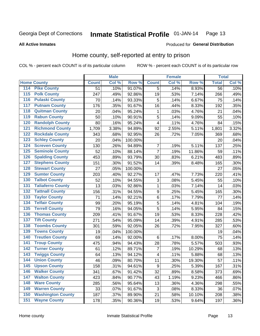#### Inmate Statistical Profile 01-JAN-14 Page 13

**All Active Inmates** 

#### Produced for General Distribution

## Home county, self-reported at entry to prison

COL % - percent each COUNT is of its particular column

|     |                          |              | <b>Male</b> |         |                         | <b>Female</b> |        | <b>Total</b>    |         |
|-----|--------------------------|--------------|-------------|---------|-------------------------|---------------|--------|-----------------|---------|
|     | <b>Home County</b>       | <b>Count</b> | Col %       | Row %   | <b>Count</b>            | Col %         | Row %  | <b>Total</b>    | Col %   |
| 114 | <b>Pike County</b>       | 51           | .10%        | 91.07%  | 5                       | .14%          | 8.93%  | $\overline{56}$ | .10%    |
| 115 | <b>Polk County</b>       | 247          | .49%        | 92.86%  | 19                      | .53%          | 7.14%  | 266             | .49%    |
| 116 | <b>Pulaski County</b>    | 70           | .14%        | 93.33%  | 5                       | .14%          | 6.67%  | 75              | .14%    |
| 117 | <b>Putnam County</b>     | 176          | .35%        | 91.67%  | 16                      | .44%          | 8.33%  | 192             | .35%    |
| 118 | <b>Quitman County</b>    | 20           | .04%        | 95.24%  | 1                       | .03%          | 4.76%  | 21              | .04%    |
| 119 | <b>Rabun County</b>      | 50           | .10%        | 90.91%  | 5                       | .14%          | 9.09%  | 55              | .10%    |
| 120 | <b>Randolph County</b>   | 80           | .16%        | 95.24%  | $\overline{\mathbf{4}}$ | .11%          | 4.76%  | 84              | .15%    |
| 121 | <b>Richmond County</b>   | 1,709        | 3.38%       | 94.89%  | 92                      | 2.55%         | 5.11%  | 1,801           | 3.32%   |
| 122 | <b>Rockdale County</b>   | 343          | .68%        | 92.95%  | 26                      | .72%          | 7.05%  | 369             | .68%    |
| 123 | <b>Schley County</b>     | 20           | .04%        | 100.00% |                         |               |        | 20              | .04%    |
| 124 | <b>Screven County</b>    | 130          | .26%        | 94.89%  | $\boldsymbol{7}$        | .19%          | 5.11%  | 137             | .25%    |
| 125 | <b>Seminole County</b>   | 52           | .10%        | 88.14%  | $\overline{7}$          | .19%          | 11.86% | 59              | .11%    |
| 126 | <b>Spalding County</b>   | 453          | .89%        | 93.79%  | 30                      | .83%          | 6.21%  | 483             | .89%    |
| 127 | <b>Stephens County</b>   | 151          | .30%        | 91.52%  | 14                      | .39%          | 8.48%  | 165             | .30%    |
| 128 | <b>Stewart County</b>    | 27           | .05%        | 100.00% |                         |               |        | 27              | .05%    |
| 129 | <b>Sumter County</b>     | 203          | .40%        | 92.27%  | 17                      | .47%          | 7.73%  | 220             | .41%    |
| 130 | <b>Talbot County</b>     | 52           | .10%        | 94.55%  | $\sqrt{3}$              | .08%          | 5.45%  | 55              | .10%    |
| 131 | <b>Taliaferro County</b> | 13           | .03%        | 92.86%  | $\mathbf{1}$            | .03%          | 7.14%  | 14              | .03%    |
| 132 | <b>Tattnall County</b>   | 156          | .31%        | 94.55%  | $\overline{9}$          | .25%          | 5.45%  | 165             | .30%    |
| 133 | <b>Taylor County</b>     | 71           | .14%        | 92.21%  | $\,6$                   | .17%          | 7.79%  | 77              | .14%    |
| 134 | <b>Telfair County</b>    | 99           | .20%        | 95.19%  | 5                       | .14%          | 4.81%  | 104             | .19%    |
| 135 | <b>Terrell County</b>    | 79           | .16%        | 94.05%  | 5                       | .14%          | 5.95%  | 84              | .15%    |
| 136 | <b>Thomas County</b>     | 209          | .41%        | 91.67%  | 19                      | .53%          | 8.33%  | 228             | .42%    |
| 137 | <b>Tift County</b>       | 271          | .54%        | 95.09%  | 14                      | .39%          | 4.91%  | 285             | .53%    |
| 138 | <b>Toombs County</b>     | 301          | .59%        | 92.05%  | 26                      | .72%          | 7.95%  | 327             | .60%    |
| 139 | <b>Towns County</b>      | 19           | .04%        | 100.00% |                         |               |        | 19              | .04%    |
| 140 | <b>Treutlen County</b>   | 69           | .14%        | 92.00%  | $\,6$                   | .17%          | 8.00%  | 75              | .14%    |
| 141 | <b>Troup County</b>      | 475          | .94%        | 94.43%  | 28                      | .78%          | 5.57%  | 503             | .93%    |
| 142 | <b>Turner County</b>     | 61           | .12%        | 89.71%  | $\overline{7}$          | .19%          | 10.29% | 68              | .13%    |
| 143 | <b>Twiggs County</b>     | 64           | .13%        | 94.12%  | $\overline{\mathbf{4}}$ | .11%          | 5.88%  | 68              | .13%    |
| 144 | <b>Union County</b>      | 46           | .09%        | 80.70%  | 11                      | .30%          | 19.30% | 57              | .11%    |
| 145 | <b>Upson County</b>      | 158          | .31%        | 94.61%  | 9                       | .25%          | 5.39%  | 167             | .31%    |
| 146 | <b>Walker County</b>     | 341          | .67%        | 91.42%  | 32                      | .89%          | 8.58%  | 373             | .69%    |
| 147 | <b>Walton County</b>     | 423          | .84%        | 90.77%  | 43                      | 1.19%         | 9.23%  | 466             | .86%    |
| 148 | <b>Ware County</b>       | 285          | .56%        | 95.64%  | 13                      | .36%          | 4.36%  | 298             | .55%    |
| 149 | <b>Warren County</b>     | 33           | .07%        | 91.67%  | 3                       | .08%          | 8.33%  | 36              | .07%    |
| 150 | <b>Washington County</b> | 187          | .37%        | 89.90%  | 21                      | .58%          | 10.10% | 208             | .38%    |
| 151 | <b>Wayne County</b>      | 178          | .35%        | 90.36%  | 19                      | .53%          | 9.64%  | 197             | $.36\%$ |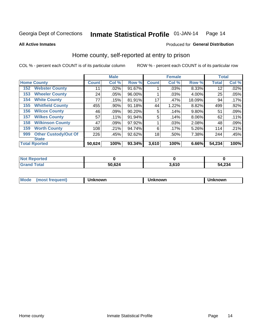#### Inmate Statistical Profile 01-JAN-14 Page 14

**All Active Inmates** 

#### Produced for General Distribution

## Home county, self-reported at entry to prison

COL % - percent each COUNT is of its particular column

|     |                             |              | <b>Male</b> |        |              | <b>Female</b> |          | <b>Total</b> |       |
|-----|-----------------------------|--------------|-------------|--------|--------------|---------------|----------|--------------|-------|
|     | <b>Home County</b>          | <b>Count</b> | Col %       | Row %  | <b>Count</b> | Col %         | Row %    | <b>Total</b> | Col % |
| 152 | <b>Webster County</b>       | 11           | .02%        | 91.67% |              | .03%          | 8.33%    | 12           | .02%  |
| 153 | <b>Wheeler County</b>       | 24           | .05%        | 96.00% |              | .03%          | 4.00%    | 25           | .05%  |
| 154 | <b>White County</b>         | 77           | .15%        | 81.91% | 17           | .47%          | 18.09%   | 94           | .17%  |
| 155 | <b>Whitfield County</b>     | 455          | .90%        | 91.18% | 44           | 1.22%         | 8.82%    | 499          | .92%  |
| 156 | <b>Wilcox County</b>        | 46           | .09%        | 90.20% | 5            | .14%          | 9.80%    | 51           | .09%  |
| 157 | <b>Wilkes County</b>        | 57           | .11%        | 91.94% | 5            | .14%          | $8.06\%$ | 62           | .11%  |
| 158 | <b>Wilkinson County</b>     | 47           | .09%        | 97.92% |              | .03%          | 2.08%    | 48           | .09%  |
| 159 | <b>Worth County</b>         | 108          | .21%        | 94.74% | 6            | .17%          | 5.26%    | 114          | .21%  |
| 999 | <b>Other Custody/Out Of</b> | 226          | .45%        | 92.62% | 18           | .50%          | 7.38%    | 244          | .45%  |
|     | <b>State</b>                |              |             |        |              |               |          |              |       |
|     | <b>Total Rported</b>        | 50,624       | 100%        | 93.34% | 3,610        | 100%          | 6.66%    | 54,234       | 100%  |

| <b>Not</b><br>Reported |        |       |        |
|------------------------|--------|-------|--------|
| <b>Total</b>           | 50,624 | 3,610 | 54,234 |

| Mode<br>nowr<br>.<br>nown<br>·wг. |
|-----------------------------------|
|-----------------------------------|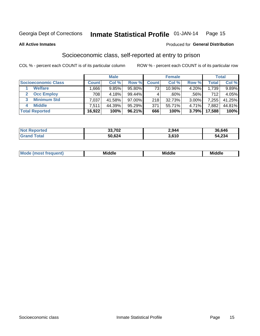#### Inmate Statistical Profile 01-JAN-14 Page 15

**All Active Inmates** 

#### **Produced for General Distribution**

## Socioeconomic class, self-reported at entry to prison

COL % - percent each COUNT is of its particular column

|                       |                | <b>Male</b> |        |              | <b>Female</b> |          |        | <b>Total</b> |
|-----------------------|----------------|-------------|--------|--------------|---------------|----------|--------|--------------|
| Socioeconomic Class   | <b>Count</b> l | Col %       | Row %  | <b>Count</b> | Col %         | Row %    | Total  | Col %        |
| <b>Welfare</b>        | .666           | 9.85%       | 95.80% | 73           | 10.96%        | 4.20%    | 1,739  | $9.89\%$     |
| <b>Occ Employ</b>     | 708            | 4.18%       | 99.44% |              | $.60\%$       | .56%     | 712    | 4.05%        |
| <b>Minimum Std</b>    | 7.037          | 41.58%      | 97.00% | 218          | 32.73%        | $3.00\%$ | 7,255  | 41.25%       |
| <b>Middle</b><br>4    | 7.511          | 44.39%      | 95.29% | 371          | 55.71%        | 4.71%    | 7,882  | 44.81%       |
| <b>Total Reported</b> | 16,922         | 100%        | 96.21% | 666          | 100%          | 3.79%    | 17,588 | 100%         |

| <b>Not Reported</b> | 33,702 | 2,944 | 36,646 |
|---------------------|--------|-------|--------|
|                     | 50,624 | 3.610 | 54,234 |

| ____<br>____ |
|--------------|
|--------------|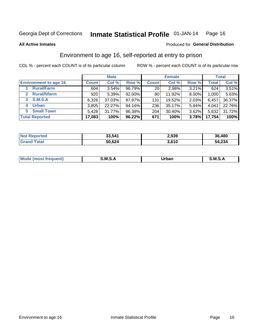#### Inmate Statistical Profile 01-JAN-14 Page 16

**All Active Inmates** 

#### Produced for General Distribution

## Environment to age 16, self-reported at entry to prison

COL % - percent each COUNT is of its particular column

|                                    |              | <b>Male</b> |        |                 | <b>Female</b> |          |              | <b>Total</b> |
|------------------------------------|--------------|-------------|--------|-----------------|---------------|----------|--------------|--------------|
| <b>Environment to age 16</b>       | <b>Count</b> | Col %       | Row %  | <b>Count</b>    | Col %         | Row %    | <b>Total</b> | Col %        |
| <b>Rural/Farm</b>                  | 604          | 3.54%       | 96.79% | 20 <sub>1</sub> | 2.98%         | 3.21%    | 624          | 3.51%        |
| <b>Rural/Nfarm</b><br>$\mathbf{2}$ | 920          | 5.39%       | 92.00% | 80              | 11.92%        | 8.00%    | 1,000        | 5.63%        |
| 3 S.M.S.A                          | 6,326        | 37.03%      | 97.97% | 131             | 19.52%        | $2.03\%$ | 6,457        | 36.37%       |
| <b>Urban</b><br>4                  | 3,805        | 22.27%      | 94.16% | 236             | 35.17%        | 5.84%    | 4,041        | 22.76%       |
| <b>Small Town</b><br>5.            | 5,428        | 31.77%      | 96.38% | 204             | 30.40%        | 3.62%    | 5,632        | 31.72%       |
| <b>Total Reported</b>              | 17,083       | 100%        | 96.22% | 671             | 100%          | 3.78%    | 17,754       | 100%         |

| <b>Not Reported</b> | 33,541 | 2,939 | 36,480 |
|---------------------|--------|-------|--------|
| Total<br>Grand      | 50,624 | 3.610 | 54,234 |

| Mo | M | Irhan<br>rva<br>______ | M<br>______ |
|----|---|------------------------|-------------|
|    |   |                        |             |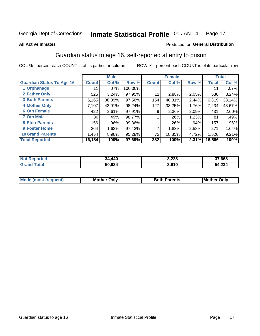#### Inmate Statistical Profile 01-JAN-14 Page 17

**All Active Inmates** 

#### Produced for General Distribution

## Guardian status to age 16, self-reported at entry to prison

COL % - percent each COUNT is of its particular column

|                                  |              | <b>Male</b> |         |              | <b>Female</b> |       |        | <b>Total</b> |
|----------------------------------|--------------|-------------|---------|--------------|---------------|-------|--------|--------------|
| <b>Guardian Status To Age 16</b> | <b>Count</b> | Col %       | Row %   | <b>Count</b> | Col %         | Row % | Total  | Col %        |
| 1 Orphanage                      | 11           | $.07\%$     | 100.00% |              |               |       | 11     | .07%         |
| 2 Father Only                    | 525          | 3.24%       | 97.95%  | 11           | 2.88%         | 2.05% | 536    | 3.24%        |
| <b>3 Both Parents</b>            | 6,165        | 38.09%      | 97.56%  | 154          | 40.31%        | 2.44% | 6,319  | 38.14%       |
| <b>4 Mother Only</b>             | 7,107        | 43.91%      | 98.24%  | 127          | 33.25%        | 1.76% | 7,234  | 43.67%       |
| <b>6 Oth Female</b>              | 422          | 2.61%       | 97.91%  | 9            | 2.36%         | 2.09% | 431    | 2.60%        |
| <b>7 Oth Male</b>                | 80           | .49%        | 98.77%  |              | .26%          | 1.23% | 81     | .49%         |
| 8 Step-Parents                   | 156          | .96%        | 99.36%  |              | $.26\%$       | .64%  | 157    | .95%         |
| 9 Foster Home                    | 264          | 1.63%       | 97.42%  | ⇁            | 1.83%         | 2.58% | 271    | 1.64%        |
| <b>10 Grand Parents</b>          | 1,454        | 8.98%       | 95.28%  | 72           | 18.85%        | 4.72% | 1,526  | 9.21%        |
| <b>Total Reported</b>            | 16,184       | 100%        | 97.69%  | 382          | 100%          | 2.31% | 16,566 | 100%         |

| <b>Not</b><br><b>Reported</b> | 34,440 | 3,228 | 37,668 |
|-------------------------------|--------|-------|--------|
| ™otaì                         | 50,624 | 3,610 | 54,234 |

| Mode | วทIv<br>Mot | <b>Both Parents</b><br>Parents | lM.<br>Only<br>. |
|------|-------------|--------------------------------|------------------|
|      |             |                                |                  |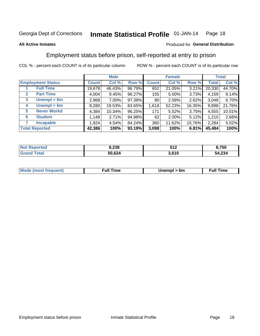#### Inmate Statistical Profile 01-JAN-14 Page 18

#### **All Active Inmates**

#### Produced for General Distribution

## Employment status before prison, self-reported at entry to prison

COL % - percent each COUNT is of its particular column

|                                  |              | <b>Male</b> |        |                 | <b>Female</b> |          |              | <b>Total</b> |
|----------------------------------|--------------|-------------|--------|-----------------|---------------|----------|--------------|--------------|
| <b>Employment Status</b>         | <b>Count</b> | Col %       | Row %  | <b>Count</b>    | Col %         | Row %    | <b>Total</b> | Col %        |
| <b>Full Time</b>                 | 19,678       | 46.43%      | 96.79% | 652             | 21.05%        | 3.21%    | 20,330       | 44.70%       |
| <b>Part Time</b><br>$\mathbf{2}$ | 4,004        | 9.45%       | 96.27% | 155             | 5.00%         | $3.73\%$ | 4,159        | 9.14%        |
| Unempl $<$ 6m<br>3               | 2,968        | 7.00%       | 97.38% | 80 <sub>1</sub> | 2.58%         | 2.62%    | 3,048        | 6.70%        |
| Unempl > 6m<br>4                 | 8,280        | 19.53%      | 83.65% | 1,618           | 52.23%        | 16.35%   | 9,898        | 21.76%       |
| <b>Never Workd</b><br>5          | 4,384        | 10.34%      | 96.25% | 171             | 5.52%         | 3.75%    | 4,555        | 10.01%       |
| <b>Student</b><br>6              | .148         | 2.71%       | 94.88% | 62              | 2.00%         | 5.12%    | 1,210        | 2.66%        |
| <b>Incapable</b><br>7            | 1,924        | 4.54%       | 84.24% | 360             | 11.62%        | 15.76%   | 2,284        | 5.02%        |
| <b>Total Reported</b>            | 42,386       | 100%        | 93.19% | 3,098           | 100%          | 6.81%    | 45,484       | 100%         |

| тес<br>NO | 8,238  | 512<br><b>UIL</b><br>- - - | 3,750  |
|-----------|--------|----------------------------|--------|
| int       | 50,624 | 3,610                      | 54,234 |

| <b>Moo.</b><br><b>THOST</b> | the contract of the contract of the contract of the contract of the contract of the contract of the contract of the contract of the contract of the contract of the contract of the contract of the contract of the contract o | 6m | ıme |
|-----------------------------|--------------------------------------------------------------------------------------------------------------------------------------------------------------------------------------------------------------------------------|----|-----|
|                             |                                                                                                                                                                                                                                |    |     |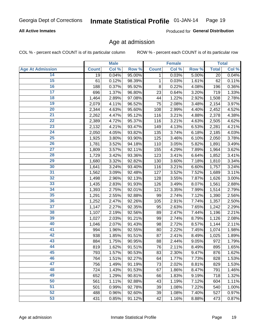#### **All Active Inmates**

Produced for General Distribution

## Age at admission

COL % - percent each COUNT is of its particular column

|                         |              | <b>Male</b> |        |              | <b>Female</b> |       |              | <b>Total</b> |
|-------------------------|--------------|-------------|--------|--------------|---------------|-------|--------------|--------------|
| <b>Age At Admission</b> | <b>Count</b> | Col %       | Row %  | <b>Count</b> | Col %         | Row % | <b>Total</b> | Col %        |
| 14                      | 19           | 0.04%       | 95.00% | 1            | 0.03%         | 5.00% | 20           | 0.04%        |
| 15                      | 61           | 0.12%       | 98.39% | 1            | 0.03%         | 1.61% | 62           | 0.11%        |
| 16                      | 188          | 0.37%       | 95.92% | 8            | 0.22%         | 4.08% | 196          | 0.36%        |
| $\overline{17}$         | 696          | 1.37%       | 96.80% | 23           | 0.64%         | 3.20% | 719          | 1.33%        |
| 18                      | 1,464        | 2.89%       | 97.08% | 44           | 1.22%         | 2.92% | 1,508        | 2.78%        |
| 19                      | 2,079        | 4.11%       | 96.52% | 75           | 2.08%         | 3.48% | 2,154        | 3.97%        |
| 20                      | 2,344        | 4.63%       | 95.60% | 108          | 2.99%         | 4.40% | 2,452        | 4.52%        |
| $\overline{21}$         | 2,262        | 4.47%       | 95.12% | 116          | 3.21%         | 4.88% | 2,378        | 4.38%        |
| $\overline{22}$         | 2,389        | 4.72%       | 95.37% | 116          | 3.21%         | 4.63% | 2,505        | 4.62%        |
| 23                      | 2,132        | 4.21%       | 93.47% | 149          | 4.13%         | 6.53% | 2,281        | 4.21%        |
| $\overline{24}$         | 2,050        | 4.05%       | 93.82% | 135          | 3.74%         | 6.18% | 2,185        | 4.03%        |
| $\overline{25}$         | 1,925        | 3.80%       | 93.90% | 125          | 3.46%         | 6.10% | 2,050        | 3.78%        |
| 26                      | 1,781        | 3.52%       | 94.18% | 110          | 3.05%         | 5.82% | 1,891        | 3.49%        |
| $\overline{27}$         | 1,809        | 3.57%       | 92.11% | 155          | 4.29%         | 7.89% | 1,964        | 3.62%        |
| 28                      | 1,729        | 3.42%       | 93.36% | 123          | 3.41%         | 6.64% | 1,852        | 3.41%        |
| 29                      | 1,680        | 3.32%       | 92.82% | 130          | 3.60%         | 7.18% | 1,810        | 3.34%        |
| 30                      | 1,641        | 3.24%       | 93.40% | 116          | 3.21%         | 6.60% | 1,757        | 3.24%        |
| 31                      | 1,562        | 3.09%       | 92.48% | 127          | 3.52%         | 7.52% | 1,689        | 3.11%        |
| 32                      | 1,498        | 2.96%       | 92.13% | 128          | 3.55%         | 7.87% | 1,626        | 3.00%        |
| 33                      | 1,435        | 2.83%       | 91.93% | 126          | 3.49%         | 8.07% | 1,561        | 2.88%        |
| 34                      | 1,393        | 2.75%       | 92.01% | 121          | 3.35%         | 7.99% | 1,514        | 2.79%        |
| 35                      | 1,291        | 2.55%       | 92.88% | 99           | 2.74%         | 7.12% | 1,390        | 2.56%        |
| 36                      | 1,252        | 2.47%       | 92.26% | 105          | 2.91%         | 7.74% | 1,357        | 2.50%        |
| $\overline{37}$         | 1,147        | 2.27%       | 92.35% | 95           | 2.63%         | 7.65% | 1,242        | 2.29%        |
| 38                      | 1,107        | 2.19%       | 92.56% | 89           | 2.47%         | 7.44% | 1,196        | 2.21%        |
| 39                      | 1,027        | 2.03%       | 91.21% | 99           | 2.74%         | 8.79% | 1,126        | 2.08%        |
| 40                      | 1,046        | 2.07%       | 91.43% | 98           | 2.72%         | 8.57% | 1,144        | 2.11%        |
| 41                      | 994          | 1.96%       | 92.55% | 80           | 2.22%         | 7.45% | 1,074        | 1.98%        |
| 42                      | 938          | 1.85%       | 91.51% | 87           | 2.41%         | 8.49% | 1,025        | 1.89%        |
| 43                      | 884          | 1.75%       | 90.95% | 88           | 2.44%         | 9.05% | 972          | 1.79%        |
| 44                      | 819          | 1.62%       | 91.51% | 76           | 2.11%         | 8.49% | 895          | 1.65%        |
| 45                      | 793          | 1.57%       | 90.53% | 83           | 2.30%         | 9.47% | 876          | 1.62%        |
| 46                      | 764          | 1.51%       | 92.27% | 64           | 1.77%         | 7.73% | 828          | 1.53%        |
| 47                      | 756          | 1.49%       | 91.19% | 73           | 2.02%         | 8.81% | 829          | 1.53%        |
| 48                      | 724          | 1.43%       | 91.53% | 67           | 1.86%         | 8.47% | 791          | 1.46%        |
| 49                      | 652          | 1.29%       | 90.81% | 66           | 1.83%         | 9.19% | 718          | 1.32%        |
| 50                      | 561          | 1.11%       | 92.88% | 43           | 1.19%         | 7.12% | 604          | 1.11%        |
| 51                      | 501          | 0.99%       | 92.78% | 39           | 1.08%         | 7.22% | 540          | 1.00%        |
| 52                      | 488          | 0.96%       | 92.60% | 39           | 1.08%         | 7.40% | 527          | 0.97%        |
| 53                      | 431          | 0.85%       | 91.12% | 42           | 1.16%         | 8.88% | 473          | 0.87%        |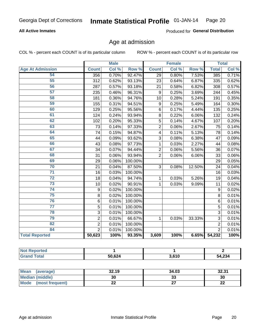#### **All Active Inmates**

Produced for General Distribution

## Age at admission

COL % - percent each COUNT is of its particular column

|                         | <b>Male</b>    |       | <b>Female</b> |                 |       | <b>Total</b> |                 |       |
|-------------------------|----------------|-------|---------------|-----------------|-------|--------------|-----------------|-------|
| <b>Age At Admission</b> | <b>Count</b>   | Col % | Row %         | <b>Count</b>    | Col % | Row %        | <b>Total</b>    | Col % |
| 54                      | 356            | 0.70% | 92.47%        | 29              | 0.80% | 7.53%        | 385             | 0.71% |
| 55                      | 312            | 0.62% | 93.13%        | 23              | 0.64% | 6.87%        | 335             | 0.62% |
| 56                      | 287            | 0.57% | 93.18%        | $\overline{21}$ | 0.58% | 6.82%        | 308             | 0.57% |
| 57                      | 235            | 0.46% | 96.31%        | 9               | 0.25% | 3.69%        | 244             | 0.45% |
| 58                      | 181            | 0.36% | 94.76%        | 10              | 0.28% | 5.24%        | 191             | 0.35% |
| 59                      | 155            | 0.31% | 94.51%        | 9               | 0.25% | 5.49%        | 164             | 0.30% |
| 60                      | 129            | 0.25% | 95.56%        | 6               | 0.17% | 4.44%        | 135             | 0.25% |
| 61                      | 124            | 0.24% | 93.94%        | 8               | 0.22% | 6.06%        | 132             | 0.24% |
| 62                      | 102            | 0.20% | 95.33%        | 5               | 0.14% | 4.67%        | 107             | 0.20% |
| 63                      | 73             | 0.14% | 97.33%        | $\overline{2}$  | 0.06% | 2.67%        | 75              | 0.14% |
| 64                      | 74             | 0.15% | 94.87%        | 4               | 0.11% | 5.13%        | 78              | 0.14% |
| 65                      | 44             | 0.09% | 93.62%        | 3               | 0.08% | 6.38%        | 47              | 0.09% |
| 66                      | 43             | 0.08% | 97.73%        | 1               | 0.03% | 2.27%        | 44              | 0.08% |
| 67                      | 34             | 0.07% | 94.44%        | $\overline{2}$  | 0.06% | 5.56%        | 36              | 0.07% |
| 68                      | 31             | 0.06% | 93.94%        | $\overline{2}$  | 0.06% | 6.06%        | 33              | 0.06% |
| 69                      | 29             | 0.06% | 100.00%       |                 |       |              | $\overline{29}$ | 0.05% |
| 70                      | 21             | 0.04% | 87.50%        | 3               | 0.08% | 12.50%       | 24              | 0.04% |
| $\overline{71}$         | 16             | 0.03% | 100.00%       |                 |       |              | 16              | 0.03% |
| $\overline{72}$         | 18             | 0.04% | 94.74%        | 1               | 0.03% | 5.26%        | 19              | 0.04% |
| $\overline{73}$         | 10             | 0.02% | 90.91%        | 1               | 0.03% | 9.09%        | 11              | 0.02% |
| $\overline{74}$         | 9              | 0.02% | 100.00%       |                 |       |              | $\mathsf g$     | 0.02% |
| 75                      | 8              | 0.02% | 100.00%       |                 |       |              | 8               | 0.01% |
| 76                      | 6              | 0.01% | 100.00%       |                 |       |              | 6               | 0.01% |
| $\overline{77}$         | $\overline{5}$ | 0.01% | 100.00%       |                 |       |              | 5               | 0.01% |
| 78                      | $\overline{3}$ | 0.01% | 100.00%       |                 |       |              | $\overline{3}$  | 0.01% |
| 79                      | $\overline{c}$ | 0.01% | 66.67%        | 1               | 0.03% | 33.33%       | 3               | 0.01% |
| 82                      | $\overline{2}$ | 0.01% | 100.00%       |                 |       |              | $\overline{2}$  | 0.01% |
| 84                      | $\overline{2}$ | 0.01% | 100.00%       |                 |       |              | $\overline{2}$  | 0.01% |
| <b>Total Reported</b>   | 50,623         | 100%  | 93.35%        | 3,609           | 100%  | 6.65%        | 54,232          | 100%  |

| <b>\rten</b><br>NI ( |        |       |        |
|----------------------|--------|-------|--------|
| <b>cotal</b>         | 50,624 | 3,610 | 54,234 |

| Mean (average)       | 32.19 | 34.03   | 32.31     |
|----------------------|-------|---------|-----------|
| Median (middle)      | 30    | ົ<br>აა | 30        |
| Mode (most frequent) | ∸∸    |         | ne.<br>LL |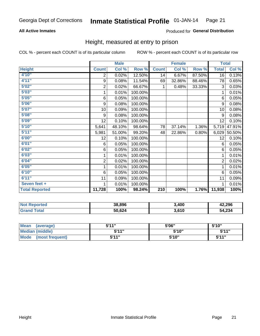#### **All Active Inmates**

#### Produced for General Distribution

## Height, measured at entry to prison

COL % - percent each COUNT is of its particular column

|                       |                  | <b>Male</b> |         |                  | <b>Female</b> |        | <b>Total</b>    |        |
|-----------------------|------------------|-------------|---------|------------------|---------------|--------|-----------------|--------|
| <b>Height</b>         | <b>Count</b>     | Col %       | Row %   | <b>Count</b>     | Col %         | Row %  | <b>Total</b>    | Col %  |
| 4'10''                | $\overline{c}$   | 0.02%       | 12.50%  | 14               | 6.67%         | 87.50% | $\overline{16}$ | 0.13%  |
| 4'11''                | $\boldsymbol{9}$ | 0.08%       | 11.54%  | 69               | 32.86%        | 88.46% | 78              | 0.65%  |
| 5'02''                | $\overline{c}$   | 0.02%       | 66.67%  | 1                | 0.48%         | 33.33% | 3               | 0.03%  |
| 5'03''                | 1                | 0.01%       | 100.00% |                  |               |        | 1               | 0.01%  |
| 5'05''                | 6                | 0.05%       | 100.00% |                  |               |        | 6               | 0.05%  |
| 5'06''                | 9                | 0.08%       | 100.00% |                  |               |        | 9               | 0.08%  |
| 5'07''                | 10               | 0.09%       | 100.00% |                  |               |        | 10              | 0.08%  |
| 5'08''                | 9                | 0.08%       | 100.00% |                  |               |        | 9               | 0.08%  |
| 5'09''                | 12               | 0.10%       | 100.00% |                  |               |        | 12              | 0.10%  |
| 5'10''                | 5,641            | 48.10%      | 98.64%  | 78               | 37.14%        | 1.36%  | 5,719           | 47.91% |
| 5'11''                | 5,981            | 51.00%      | 99.20%  | 48               | 22.86%        | 0.80%  | 6,029           | 50.50% |
| 6'00''                | 12               | 0.10%       | 100.00% |                  |               |        | 12              | 0.10%  |
| 6'01''                | 6                | 0.05%       | 100.00% |                  |               |        | 6               | 0.05%  |
| 6'02''                | 6                | 0.05%       | 100.00% |                  |               |        | 6               | 0.05%  |
| 6'03''                | 1                | 0.01%       | 100.00% |                  |               |        | 1               | 0.01%  |
| 6'04''                | $\overline{c}$   | 0.02%       | 100.00% |                  |               |        | $\overline{2}$  | 0.02%  |
| 6'05''                | 1                | 0.01%       | 100.00% |                  |               |        | 1               | 0.01%  |
| 6'10''                | 6                | 0.05%       | 100.00% |                  |               |        | 6               | 0.05%  |
| 6'11''                | 11               | 0.09%       | 100.00% |                  |               |        | 11              | 0.09%  |
| Seven feet +          | 1                | 0.01%       | 100.00% |                  |               |        | 1               | 0.01%  |
| <b>Total Reported</b> | 11,728           | 100%        | 98.24%  | $\overline{210}$ | 100%          | 1.76%  | 11,938          | 100%   |

| <b>Not Reported</b> | 38.896 | 3,400 | 42,296 |
|---------------------|--------|-------|--------|
| l Grand<br>Total    | 50,624 | 3,610 | 54,234 |

| <b>Mean</b><br>(average)       | <b>5'11"</b> | 5'06"  | 5'10" |
|--------------------------------|--------------|--------|-------|
| Median (middle)                | 544"         | 5'10'' | 5'11" |
| <b>Mode</b><br>(most frequent) | 544 "        | 5'10"  | 544"  |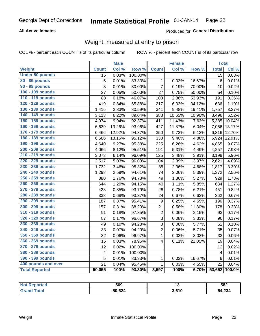#### **All Active Inmates**

#### Produced for General Distribution

## Weight, measured at entry to prison

COL % - percent each COUNT is of its particular column

|                        |                         | <b>Male</b> |                  |                         | <b>Female</b> |        | <b>Total</b>    |        |
|------------------------|-------------------------|-------------|------------------|-------------------------|---------------|--------|-----------------|--------|
| Weight                 | <b>Count</b>            | Col %       | Row <sup>%</sup> | <b>Count</b>            | Col %         | Row %  | <b>Total</b>    | Col %  |
| <b>Under 80 pounds</b> | $\overline{15}$         | 0.03%       | 100.00%          |                         |               |        | 15              | 0.03%  |
| 80 - 89 pounds         | $\overline{5}$          | 0.01%       | 83.33%           | 1                       | 0.03%         | 16.67% | $6\phantom{1}6$ | 0.01%  |
| 90 - 99 pounds         | $\overline{3}$          | 0.01%       | 30.00%           | $\overline{7}$          | 0.19%         | 70.00% | 10              | 0.02%  |
| 100 - 109 pounds       | 27                      | 0.05%       | 50.00%           | 27                      | 0.75%         | 50.00% | 54              | 0.10%  |
| 110 - 119 pounds       | 88                      | 0.18%       | 46.07%           | 103                     | 2.86%         | 53.93% | 191             | 0.36%  |
| 120 - 129 pounds       | 419                     | 0.84%       | 65.88%           | 217                     | 6.03%         | 34.12% | 636             | 1.19%  |
| 130 - 139 pounds       | 1,416                   | 2.83%       | 80.59%           | 341                     | 9.48%         | 19.41% | 1,757           | 3.27%  |
| 140 - 149 pounds       | 3,113                   | 6.22%       | 89.04%           | 383                     | 10.65%        | 10.96% | 3,496           | 6.52%  |
| 150 - 159 pounds       | 4,974                   | 9.94%       | 92.37%           | 411                     | 11.43%        | 7.63%  | 5,385           | 10.04% |
| 160 - 169 pounds       | 6,639                   | 13.26%      | 93.96%           | 427                     | 11.87%        | 6.04%  | 7,066           | 13.17% |
| 170 - 179 pounds       | 6,466                   | 12.92%      | 94.87%           | 350                     | 9.73%         | 5.13%  | 6,816           | 12.70% |
| 180 - 189 pounds       | 6,586                   | 13.16%      | 95.12%           | 338                     | 9.40%         | 4.88%  | 6,924           | 12.91% |
| 190 - 199 pounds       | 4,640                   | 9.27%       | 95.38%           | 225                     | 6.26%         | 4.62%  | 4,865           | 9.07%  |
| 200 - 209 pounds       | 4,066                   | 8.12%       | 95.51%           | 191                     | 5.31%         | 4.49%  | 4,257           | 7.93%  |
| 210 - 219 pounds       | 3,073                   | 6.14%       | 96.09%           | 125                     | 3.48%         | 3.91%  | 3,198           | 5.96%  |
| 220 - 229 pounds       | 2,517                   | 5.03%       | 96.03%           | 104                     | 2.89%         | 3.97%  | 2,621           | 4.89%  |
| 230 - 239 pounds       | 1,732                   | 3.46%       | 95.32%           | 85                      | 2.36%         | 4.68%  | 1,817           | 3.39%  |
| 240 - 249 pounds       | 1,298                   | 2.59%       | 94.61%           | 74                      | 2.06%         | 5.39%  | 1,372           | 2.56%  |
| 250 - 259 pounds       | 880                     | 1.76%       | 94.73%           | 49                      | 1.36%         | 5.27%  | 929             | 1.73%  |
| 260 - 269 pounds       | 644                     | 1.29%       | 94.15%           | 40                      | 1.11%         | 5.85%  | 684             | 1.27%  |
| 270 - 279 pounds       | 423                     | 0.85%       | 93.79%           | 28                      | 0.78%         | 6.21%  | 451             | 0.84%  |
| 280 - 289 pounds       | 338                     | 0.68%       | 93.37%           | 24                      | 0.67%         | 6.63%  | 362             | 0.67%  |
| 290 - 299 pounds       | 187                     | 0.37%       | 95.41%           | 9                       | 0.25%         | 4.59%  | 196             | 0.37%  |
| 300 - 309 pounds       | 157                     | 0.31%       | 88.20%           | 21                      | 0.58%         | 11.80% | 178             | 0.33%  |
| 310 - 319 pounds       | 91                      | 0.18%       | 97.85%           | 2                       | 0.06%         | 2.15%  | 93              | 0.17%  |
| 320 - 329 pounds       | 87                      | 0.17%       | 96.67%           | 3                       | 0.08%         | 3.33%  | 90              | 0.17%  |
| 330 - 339 pounds       | 49                      | 0.10%       | 94.23%           | 3                       | 0.08%         | 5.77%  | 52              | 0.10%  |
| 340 - 349 pounds       | 33                      | 0.07%       | 94.29%           | $\overline{2}$          | 0.06%         | 5.71%  | 35              | 0.07%  |
| 350 - 359 pounds       | 32                      | 0.06%       | 96.97%           | $\mathbf 1$             | 0.03%         | 3.03%  | 33              | 0.06%  |
| 360 - 369 pounds       | 15                      | 0.03%       | 78.95%           | $\overline{\mathbf{4}}$ | 0.11%         | 21.05% | 19              | 0.04%  |
| 370 - 379 pounds       | 12                      | 0.02%       | 100.00%          |                         |               |        | 12              | 0.02%  |
| 380 - 389 pounds       | $\overline{\mathbf{4}}$ | 0.01%       | 100.00%          |                         |               |        | $\overline{4}$  | 0.01%  |
| 390 - 399 pounds       | 5                       | 0.01%       | 83.33%           | $\mathbf 1$             | 0.03%         | 16.67% | $6\phantom{1}6$ | 0.01%  |
| 400 pounds and over    | 21                      | 0.04%       | 95.45%           | $\mathbf{1}$            | 0.03%         | 4.55%  | 22              | 0.04%  |
| <b>Total Reported</b>  | 50,055                  | 100%        | 93.30%           | 3,597                   | 100%          | 6.70%  | 53,652          | 100.0% |

| <b>Not</b><br>oorted | 569    |       | 582    |
|----------------------|--------|-------|--------|
|                      | 50,624 | 3,610 | 54,234 |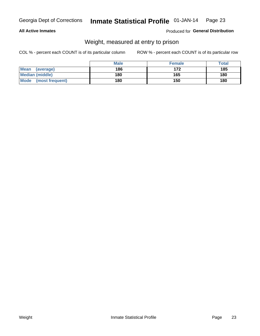#### **All Active Inmates**

#### Produced for General Distribution

## Weight, measured at entry to prison

COL % - percent each COUNT is of its particular column

|                          | <b>Male</b> | <b>Female</b> | Total |
|--------------------------|-------------|---------------|-------|
| <b>Mean</b><br>(average) | 186         | 172           | 185   |
| <b>Median (middle)</b>   | 180         | 165           | 180   |
| Mode<br>(most frequent)  | 180         | 150           | 180   |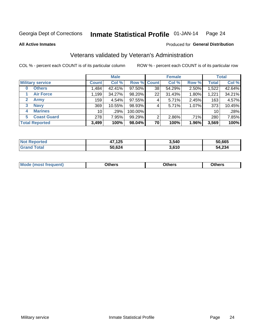#### Inmate Statistical Profile 01-JAN-14 Page 24

**All Active Inmates** 

#### Produced for General Distribution

## Veterans validated by Veteran's Administration

COL % - percent each COUNT is of its particular column

|                             | <b>Male</b>     |        |                    | <b>Female</b> |        |       | <b>Total</b> |        |
|-----------------------------|-----------------|--------|--------------------|---------------|--------|-------|--------------|--------|
| <b>Military service</b>     | <b>Count</b>    | Col %  | <b>Row % Count</b> |               | Col %  | Row % | <b>Total</b> | Col %  |
| <b>Others</b><br>0          | .484            | 42.41% | 97.50%             | 38            | 54.29% | 2.50% | 1,522        | 42.64% |
| <b>Air Force</b>            | 1,199           | 34.27% | 98.20%             | 22            | 31.43% | 1.80% | 1,221        | 34.21% |
| <b>Army</b><br>$\mathbf{2}$ | 159             | 4.54%  | 97.55%             | 4             | 5.71%  | 2.45% | 163          | 4.57%  |
| <b>Navy</b><br>3            | 369             | 10.55% | 98.93%             | 4             | 5.71%  | 1.07% | 373          | 10.45% |
| <b>Marines</b><br>4         | 10 <sup>1</sup> | .29%   | 100.00%            |               |        |       | 10           | .28%   |
| <b>Coast Guard</b><br>5     | 278             | 7.95%  | 99.29%             | 2             | 2.86%  | .71%  | 280          | 7.85%  |
| <b>Total Reported</b>       | 3,499           | 100%   | 98.04%             | 70            | 100%   | 1.96% | 3,569        | 100%   |

| <b>ported</b><br><b>Not</b> | ,125<br>47 | 3,540 | 50,665 |
|-----------------------------|------------|-------|--------|
| <b>otal</b>                 | 50,624     | 3,610 | 54,234 |

|  |  | <b>Mode</b><br>quent)<br>most trea | <b>Dthers</b> | Others | Others |
|--|--|------------------------------------|---------------|--------|--------|
|--|--|------------------------------------|---------------|--------|--------|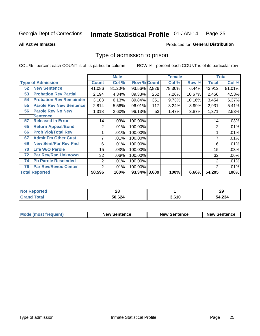#### Inmate Statistical Profile 01-JAN-14 Page 25

**All Active Inmates** 

#### **Produced for General Distribution**

## Type of admission to prison

COL % - percent each COUNT is of its particular column

|    |                                |                  | <b>Male</b> |                    |     | <b>Female</b> |        |                | <b>Total</b> |
|----|--------------------------------|------------------|-------------|--------------------|-----|---------------|--------|----------------|--------------|
|    | <b>Type of Admission</b>       | <b>Count</b>     | Col %       | <b>Row % Count</b> |     | Col %         | Row %  | Total          | Col %        |
| 52 | <b>New Sentence</b>            | 41,086           | 81.20%      | 93.56% 2,826       |     | 78.30%        | 6.44%  | 43,912         | 81.01%       |
| 53 | <b>Probation Rev Partial</b>   | 2,194            | 4.34%       | 89.33%             | 262 | 7.26%         | 10.67% | 2,456          | 4.53%        |
| 54 | <b>Probation Rev Remainder</b> | 3,103            | 6.13%       | 89.84%             | 351 | 9.73%         | 10.16% | 3,454          | 6.37%        |
| 55 | <b>Parole Rev New Sentence</b> | 2,814            | 5.56%       | 96.01%             | 117 | 3.24%         | 3.99%  | 2,931          | 5.41%        |
| 56 | <b>Parole Rev No New</b>       | 1,318            | 2.60%       | 96.13%             | 53  | 1.47%         | 3.87%  | 1,371          | 2.53%        |
|    | <b>Sentence</b>                |                  |             |                    |     |               |        |                |              |
| 57 | <b>Released In Error</b>       | 14               | .03%        | 100.00%            |     |               |        | 14             | .03%         |
| 65 | <b>Return Appeal/Bond</b>      | 2                | .01%        | 100.00%            |     |               |        | 2              | .01%         |
| 66 | <b>Prob Viol/Total Rev</b>     |                  | .01%        | 100.00%            |     |               |        |                | .01%         |
| 67 | <b>Admit Fm Other Cust</b>     | 7                | .01%        | 100.00%            |     |               |        | ⇁              | .01%         |
| 69 | <b>New Sent/Par Rev Pnd</b>    | 6                | .01%        | 100.00%            |     |               |        | 6              | .01%         |
| 70 | <b>Life W/O Parole</b>         | 15 <sub>15</sub> | .03%        | 100.00%            |     |               |        | 15             | .03%         |
| 72 | <b>Par Rev/Rsn Unknown</b>     | 32               | .06%        | 100.00%            |     |               |        | 32             | .06%         |
| 74 | <b>Pb Parole Rescinded</b>     | $\overline{2}$   | .01%        | 100.00%            |     |               |        | 2              | .01%         |
| 76 | <b>Par Rev/Revoc Center</b>    | 2                | .01%        | 100.00%            |     |               |        | $\overline{2}$ | .01%         |
|    | <b>Total Reported</b>          | 50,596           | 100%        | 93.34% 3,609       |     | 100%          | 6.66%  | 54,205         | 100%         |

| <b>Not</b><br>neo | ົ<br>Zυ |      | 29             |
|-------------------|---------|------|----------------|
|                   | 50,624  | .610 | 54,234<br>-54. |

| Mode (most frequent) | <b>New Sentence</b> | <b>New Sentence</b> | <b>New Sentence</b> |
|----------------------|---------------------|---------------------|---------------------|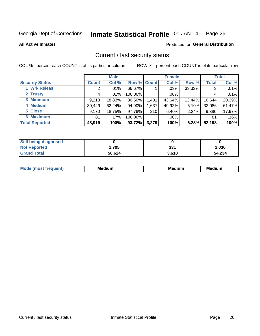#### Inmate Statistical Profile 01-JAN-14 Page 26

**All Active Inmates** 

#### **Produced for General Distribution**

## Current / last security status

COL % - percent each COUNT is of its particular column

|                        |              | <b>Male</b> |             |       | <b>Female</b> |          |              | <b>Total</b> |
|------------------------|--------------|-------------|-------------|-------|---------------|----------|--------------|--------------|
| <b>Security Status</b> | <b>Count</b> | Col %       | Row % Count |       | Col %         | Row %    | <b>Total</b> | Col %        |
| 1 Wrk Releas           | 2            | $.01\%$     | 66.67%      |       | $.03\%$       | 33.33%   | 3            | .01%         |
| 2 Trusty               |              | .01%        | 100.00%     |       | $.00\%$       |          |              | .01%         |
| 3 Minimum              | 9,213        | 18.83%      | 86.56%      | 1,431 | 43.64%        | 13.44%   | 10,644       | 20.39%       |
| 4 Medium               | 30,449       | 62.24%      | 94.90%      | 1,637 | 49.92%        | $5.10\%$ | 32,086       | 61.47%       |
| 5 Close                | 9,170        | 18.75%      | 97.76%      | 210   | 6.40%         | 2.24%    | 9,380        | 17.97%       |
| <b>6 Maximum</b>       | 81           | .17%        | 100.00%     |       | $.00\%$       |          | 81           | .16%         |
| <b>Total Reported</b>  | 48,919       | 100%        | 93.72%      | 3,279 | 100%          | 6.28%    | 52,198       | 100%         |

| <b>Still being diagnosed</b> |        |       |        |
|------------------------------|--------|-------|--------|
| <b>Not Reported</b>          | .705،  | 331   | 2,036  |
| <b>Grand Total</b>           | 50,624 | 3.610 | 54,234 |

| <b>Mo</b><br>ети | M<br>. .<br>dium | M٢<br>. | <br><b>Medium</b> |
|------------------|------------------|---------|-------------------|
|                  |                  |         |                   |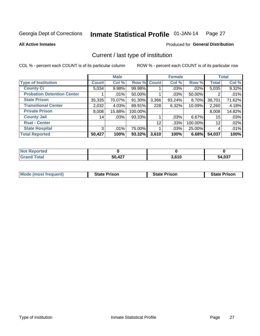#### Inmate Statistical Profile 01-JAN-14 Page 27

**All Active Inmates** 

### **Produced for General Distribution**

## Current / last type of institution

COL % - percent each COUNT is of its particular column

|                                   |                | <b>Male</b> |         |             | <b>Female</b> |          |              | <b>Total</b> |
|-----------------------------------|----------------|-------------|---------|-------------|---------------|----------|--------------|--------------|
| <b>Type of Institution</b>        | <b>Count</b>   | Col %       |         | Row % Count | Col %         | Row %    | <b>Total</b> | Col %        |
| <b>County Ci</b>                  | 5,034          | 9.98%       | 99.98%  |             | $.03\%$       | .02%     | 5,035        | 9.32%        |
| <b>Probation Detention Center</b> |                | .01%        | 50.00%  |             | .03%          | 50.00%   |              | .01%         |
| <b>State Prison</b>               | 35,335         | 70.07%      | 91.30%  | 3,366       | 93.24%        | $8.70\%$ | 38,701       | 71.62%       |
| <b>Transitional Center</b>        | 2,032          | 4.03%       | 89.91%  | 228         | 6.32%         | 10.09%   | 2,260        | 4.18%        |
| <b>Private Prison</b>             | 8,008          | 15.88%      | 100.00% |             |               |          | 8,008        | 14.82%       |
| <b>County Jail</b>                | 14             | .03%        | 93.33%  |             | $.03\%$       | $6.67\%$ | 15           | .03%         |
| <b>Rsat - Center</b>              |                |             |         | 12          | .33%          | 100.00%  | 12           | .02%         |
| <b>State Hospital</b>             | 3 <sub>l</sub> | .01%        | 75.00%  |             | .03%          | 25.00%   | 4            | .01%         |
| <b>Total Reported</b>             | 50,427         | 100%        | 93.32%  | 3,610       | 100%          | 6.68%    | 54,037       | 100%         |

| <b>Not Reported</b> |        |       |        |
|---------------------|--------|-------|--------|
| <b>Grand Total</b>  | 50,427 | 3,610 | 54,037 |

| Mode (most frequent) | <b>State Prison</b> | <b>State Prison</b> | <b>State Prison</b> |
|----------------------|---------------------|---------------------|---------------------|
|                      |                     |                     |                     |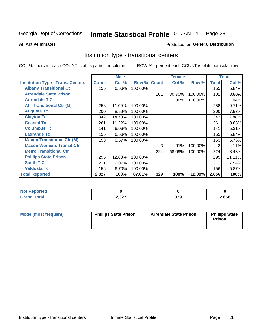#### Inmate Statistical Profile 01-JAN-14 Page 28

**All Active Inmates** 

#### Produced for General Distribution

## Institution type - transitional centers

COL % - percent each COUNT is of its particular column

|                                          |              | <b>Male</b> |         |              | <b>Female</b> |         |              | <b>Total</b> |
|------------------------------------------|--------------|-------------|---------|--------------|---------------|---------|--------------|--------------|
| <b>Institution Type - Trans. Centers</b> | <b>Count</b> | Col %       | Row %   | <b>Count</b> | Col %         | Row %   | <b>Total</b> | Col %        |
| <b>Albany Transitional Ct</b>            | 155          | 6.66%       | 100.00% |              |               |         | 155          | 5.84%        |
| <b>Arrendale State Prison</b>            |              |             |         | 101          | 30.70%        | 100.00% | 101          | 3.80%        |
| <b>Arrendale T.C</b>                     |              |             |         |              | .30%          | 100.00% |              | .04%         |
| <b>Atl. Transitional Ctr (M)</b>         | 258          | 11.09%      | 100.00% |              |               |         | 258          | 9.71%        |
| <b>Augusta Tc</b>                        | 200          | 8.59%       | 100.00% |              |               |         | 200          | 7.53%        |
| <b>Clayton Tc</b>                        | 342          | 14.70%      | 100.00% |              |               |         | 342          | 12.88%       |
| <b>Coastal Tc</b>                        | 261          | 11.22%      | 100.00% |              |               |         | 261          | 9.83%        |
| <b>Columbus Tc</b>                       | 141          | 6.06%       | 100.00% |              |               |         | 141          | 5.31%        |
| <b>Lagrange Tc</b>                       | 155          | 6.66%       | 100.00% |              |               |         | 155          | 5.84%        |
| <b>Macon Transitional Ctr (M)</b>        | 153          | 6.57%       | 100.00% |              |               |         | 153          | 5.76%        |
| <b>Macon Womens Transit Ctr</b>          |              |             |         | 3            | .91%          | 100.00% | 3            | .11%         |
| <b>Metro Transitional Ctr</b>            |              |             |         | 224          | 68.09%        | 100.00% | 224          | 8.43%        |
| <b>Phillips State Prison</b>             | 295          | 12.68%      | 100.00% |              |               |         | 295          | 11.11%       |
| <b>Smith T.C</b>                         | 211          | 9.07%       | 100.00% |              |               |         | 211          | 7.94%        |
| <b>Valdosta Tc</b>                       | 156          | 6.70%       | 100.00% |              |               |         | 156          | 5.87%        |
| <b>Total Reported</b>                    | 2,327        | 100%        | 87.61%  | 329          | 100%          | 12.39%  | 2,656        | 100%         |

| --<br>τeα |              |           |      |
|-----------|--------------|-----------|------|
| _____     | 227<br>2,JZ1 | ה פ<br>ᇰᄼ | ,656 |

| Mode (most frequent) | <b>Phillips State Prison</b> | I Arrendale State Prison | <b>Phillips State</b><br><b>Prison</b> |
|----------------------|------------------------------|--------------------------|----------------------------------------|
|----------------------|------------------------------|--------------------------|----------------------------------------|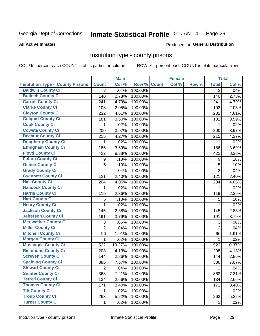#### Inmate Statistical Profile 01-JAN-14 Page 29

#### **All Active Inmates**

#### Produced for General Distribution

#### Institution type - county prisons

COL % - percent each COUNT is of its particular column

|                                          |                | <b>Male</b> |         |              | <b>Female</b> |       |                | <b>Total</b> |
|------------------------------------------|----------------|-------------|---------|--------------|---------------|-------|----------------|--------------|
| <b>Institution Type - County Prisons</b> | <b>Count</b>   | Col %       | Row %   | <b>Count</b> | Col %         | Row % | <b>Total</b>   | Col %        |
| <b>Baldwin County Ci</b>                 | $\overline{2}$ | .04%        | 100.00% |              |               |       | $\overline{2}$ | .04%         |
| <b>Bulloch County Ci</b>                 | 140            | 2.78%       | 100.00% |              |               |       | 140            | 2.78%        |
| <b>Carroll County Ci</b>                 | 241            | 4.79%       | 100.00% |              |               |       | 241            | 4.79%        |
| <b>Clarke County Ci</b>                  | 103            | 2.05%       | 100.00% |              |               |       | 103            | 2.05%        |
| <b>Clayton County Ci</b>                 | 232            | 4.61%       | 100.00% |              |               |       | 232            | 4.61%        |
| <b>Colquitt County Ci</b>                | 181            | 3.60%       | 100.00% |              |               |       | 181            | 3.59%        |
| <b>Cook County Ci</b>                    | 1              | .02%        | 100.00% |              |               |       | 1              | .02%         |
| <b>Coweta County Ci</b>                  | 200            | 3.97%       | 100.00% |              |               |       | 200            | 3.97%        |
| <b>Decatur County Ci</b>                 | 215            | 4.27%       | 100.00% |              |               |       | 215            | 4.27%        |
| <b>Dougherty County Ci</b>               | 1              | .02%        | 100.00% |              |               |       | 1              | .02%         |
| <b>Effingham County Ci</b>               | 186            | 3.69%       | 100.00% |              |               |       | 186            | 3.69%        |
| <b>Floyd County Ci</b>                   | 422            | 8.38%       | 100.00% |              |               |       | 422            | 8.38%        |
| <b>Fulton County Ci</b>                  | 9              | .18%        | 100.00% |              |               |       | 9              | .18%         |
| <b>Gilmer County Ci</b>                  | 5              | .10%        | 100.00% |              |               |       | 5              | .10%         |
| <b>Grady County Ci</b>                   | $\overline{2}$ | .04%        | 100.00% |              |               |       | $\overline{2}$ | .04%         |
| <b>Gwinnett County Ci</b>                | 121            | 2.40%       | 100.00% |              |               |       | 121            | 2.40%        |
| <b>Hall County Ci</b>                    | 204            | 4.05%       | 100.00% |              |               |       | 204            | 4.05%        |
| <b>Hancock County Ci</b>                 | 1              | .02%        | 100.00% |              |               |       | 1              | .02%         |
| <b>Harris County Ci</b>                  | 119            | 2.36%       | 100.00% |              |               |       | 119            | 2.36%        |
| <b>Hart County Ci</b>                    | 5              | .10%        | 100.00% |              |               |       | 5              | .10%         |
| <b>Henry County Ci</b>                   | 1              | .02%        | 100.00% |              |               |       | $\mathbf{1}$   | .02%         |
| <b>Jackson County Ci</b>                 | 145            | 2.88%       | 100.00% |              |               |       | 145            | 2.88%        |
| <b>Jefferson County Ci</b>               | 191            | 3.79%       | 100.00% |              |               |       | 191            | 3.79%        |
| <b>Meriwether County Ci</b>              | 3              | .06%        | 100.00% |              |               |       | 3              | .06%         |
| <b>Miller County Ci</b>                  | $\overline{2}$ | .04%        | 100.00% |              |               |       | $\overline{2}$ | .04%         |
| <b>Mitchell County Ci</b>                | 96             | 1.91%       | 100.00% |              |               |       | 96             | 1.91%        |
| <b>Morgan County Ci</b>                  | 1              | .02%        | 100.00% |              |               |       | 1              | .02%         |
| <b>Muscogee County Ci</b>                | 522            | 10.37%      | 100.00% |              |               |       | 522            | 10.37%       |
| <b>Richmond County Ci</b>                | 208            | 4.13%       | 100.00% |              |               |       | 208            | 4.13%        |
| <b>Screven County Ci</b>                 | 144            | 2.86%       | 100.00% |              |               |       | 144            | 2.86%        |
| <b>Spalding County Ci</b>                | 386            | 7.67%       | 100.00% |              |               |       | 386            | 7.67%        |
| <b>Stewart County Ci</b>                 | $\overline{2}$ | .04%        | 100.00% |              |               |       | $\overline{2}$ | .04%         |
| <b>Sumter County Ci</b>                  | 363            | 7.21%       | 100.00% |              |               |       | 363            | 7.21%        |
| <b>Terrell County Ci</b>                 | 134            | 2.66%       | 100.00% |              |               |       | 134            | 2.66%        |
| <b>Thomas County Ci</b>                  | 171            | 3.40%       | 100.00% |              |               |       | 171            | 3.40%        |
| <b>Tift County Ci</b>                    | 1.             | .02%        | 100.00% |              |               |       | 1              | .02%         |
| <b>Troup County Ci</b>                   | 263            | 5.22%       | 100.00% |              |               |       | 263            | 5.22%        |
| <b>Turner County Ci</b>                  | $\mathbf 1$    | .02%        | 100.00% |              |               |       | 1              | .02%         |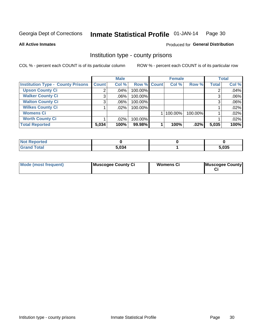#### Inmate Statistical Profile 01-JAN-14 Page 30

#### **All Active Inmates**

#### Produced for General Distribution

### Institution type - county prisons

COL % - percent each COUNT is of its particular column

|                                          |              | <b>Male</b> |             | <b>Female</b> |         |              | <b>Total</b> |
|------------------------------------------|--------------|-------------|-------------|---------------|---------|--------------|--------------|
| <b>Institution Type - County Prisons</b> | <b>Count</b> | Col %       | Row % Count | Col %         | Row %   | <b>Total</b> | Col %        |
| <b>Upson County Ci</b>                   | 2            | $.04\%$     | 100.00%     |               |         | 2            | .04%         |
| <b>Walker County Ci</b>                  | 3            | $.06\%$     | 100.00%     |               |         | 3            | .06%         |
| <b>Walton County Ci</b>                  | 3            | $.06\%$     | 100.00%     |               |         | 3            | .06%         |
| <b>Wilkes County Ci</b>                  |              | $.02\%$     | 100.00%     |               |         |              | .02%         |
| <b>Womens Ci</b>                         |              |             |             | $ 100.00\% $  | 100.00% |              | .02%         |
| <b>Worth County Ci</b>                   |              | .02%        | 100.00%     |               |         |              | .02%         |
| <b>Total Reported</b>                    | 5,034        | 100%        | 99.98%      | 100%          | .02%    | 5,035        | 100%         |

| Reported<br><b>NOT</b>            |       |       |
|-----------------------------------|-------|-------|
| <b><sup>r</sup>otal</b><br>. Gren | 5,034 | 5,035 |

| Mode (most frequent) | Muscogee County Ci | <b>Womens Ci</b> | Muscogee County |
|----------------------|--------------------|------------------|-----------------|
|----------------------|--------------------|------------------|-----------------|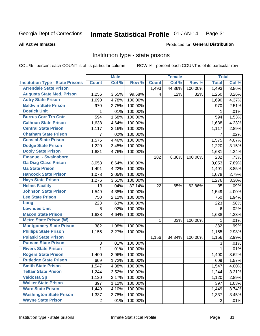#### Inmate Statistical Profile 01-JAN-14 Page 31

#### **All Active Inmates**

#### Produced for General Distribution

### Institution type - state prisons

COL % - percent each COUNT is of its particular column

|                                         |                | <b>Male</b> |         |              | <b>Female</b> |         | <b>Total</b>   |       |
|-----------------------------------------|----------------|-------------|---------|--------------|---------------|---------|----------------|-------|
| <b>Institution Type - State Prisons</b> | <b>Count</b>   | Col %       | Row %   | <b>Count</b> | Col %         | Row %   | <b>Total</b>   | Col % |
| <b>Arrendale State Prison</b>           |                |             |         | 1,493        | 44.36%        | 100.00% | 1,493          | 3.86% |
| <b>Augusta State Med. Prison</b>        | 1,256          | 3.55%       | 99.68%  | 4            | .12%          | .32%    | 1,260          | 3.26% |
| <b>Autry State Prison</b>               | 1,690          | 4.78%       | 100.00% |              |               |         | 1,690          | 4.37% |
| <b>Baldwin State Prison</b>             | 970            | 2.75%       | 100.00% |              |               |         | 970            | 2.51% |
| <b>Bostick Unit</b>                     | 1              | .01%        | 100.00% |              |               |         | 1              | .01%  |
| <b>Burrus Corr Trn Cntr</b>             | 594            | 1.68%       | 100.00% |              |               |         | 594            | 1.53% |
| <b>Calhoun State Prison</b>             | 1,638          | 4.64%       | 100.00% |              |               |         | 1,638          | 4.23% |
| <b>Central State Prison</b>             | 1,117          | 3.16%       | 100.00% |              |               |         | 1,117          | 2.89% |
| <b>Chatham State Prison</b>             | 7              | .02%        | 100.00% |              |               |         | $\overline{7}$ | .02%  |
| <b>Coastal State Prison</b>             | 1,575          | 4.46%       | 100.00% |              |               |         | 1,575          | 4.07% |
| <b>Dodge State Prison</b>               | 1,220          | 3.45%       | 100.00% |              |               |         | 1,220          | 3.15% |
| <b>Dooly State Prison</b>               | 1,681          | 4.76%       | 100.00% |              |               |         | 1,681          | 4.34% |
| <b>Emanuel - Swainsboro</b>             |                |             |         | 282          | 8.38%         | 100.00% | 282            | .73%  |
| <b>Ga Diag Class Prison</b>             | 3,053          | 8.64%       | 100.00% |              |               |         | 3,053          | 7.89% |
| <b>Ga State Prison</b>                  | 1,491          | 4.22%       | 100.00% |              |               |         | 1,491          | 3.85% |
| <b>Hancock State Prison</b>             | 1,078          | 3.05%       | 100.00% |              |               |         | 1,078          | 2.79% |
| <b>Hays State Prison</b>                | 1,276          | 3.61%       | 100.00% |              |               |         | 1,276          | 3.30% |
| <b>Helms Facility</b>                   | 13             | .04%        | 37.14%  | 22           | .65%          | 62.86%  | 35             | .09%  |
| <b>Johnson State Prison</b>             | 1,549          | 4.38%       | 100.00% |              |               |         | 1,549          | 4.00% |
| <b>Lee State Prison</b>                 | 750            | 2.12%       | 100.00% |              |               |         | 750            | 1.94% |
| Long                                    | 223            | .63%        | 100.00% |              |               |         | 223            | .58%  |
| <b>Lowndes Unit</b>                     | 6              | .02%        | 100.00% |              |               |         | 6              | .02%  |
| <b>Macon State Prison</b>               | 1,638          | 4.64%       | 100.00% |              |               |         | 1,638          | 4.23% |
| <b>Metro State Prison (W)</b>           |                |             |         | $\mathbf 1$  | .03%          | 100.00% | 1              | .01%  |
| <b>Montgomery State Prison</b>          | 382            | 1.08%       | 100.00% |              |               |         | 382            | .99%  |
| <b>Phillips State Prison</b>            | 1,155          | 3.27%       | 100.00% |              |               |         | 1,155          | 2.98% |
| <b>Pulaski State Prison</b>             |                |             |         | 1,156        | 34.34%        | 100.00% | 1,156          | 2.99% |
| <b>Putnam State Prison</b>              | 3              | .01%        | 100.00% |              |               |         | 3              | .01%  |
| <b>Rivers State Prison</b>              | 1              | .01%        | 100.00% |              |               |         | $\mathbf{1}$   | .01%  |
| <b>Rogers State Prison</b>              | 1,400          | 3.96%       | 100.00% |              |               |         | 1,400          | 3.62% |
| <b>Rutledge State Prison</b>            | 609            | 1.72%       | 100.00% |              |               |         | 609            | 1.57% |
| <b>Smith State Prison</b>               | 1,547          | 4.38%       | 100.00% |              |               |         | 1,547          | 4.00% |
| <b>Telfair State Prison</b>             | 1,244          | 3.52%       | 100.00% |              |               |         | 1,244          | 3.21% |
| <b>Valdosta Sp</b>                      | 1,120          | 3.17%       | 100.00% |              |               |         | 1,120          | 2.89% |
| <b>Walker State Prison</b>              | 397            | 1.12%       | 100.00% |              |               |         | 397            | 1.03% |
| <b>Ware State Prison</b>                | 1,449          | 4.10%       | 100.00% |              |               |         | 1,449          | 3.74% |
| <b>Washington State Prison</b>          | 1,337          | 3.78%       | 100.00% |              |               |         | 1,337          | 3.45% |
| <b>Wayne State Prison</b>               | $\overline{2}$ | .01%        | 100.00% |              |               |         | $\overline{2}$ | .01%  |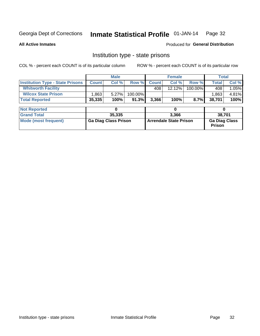#### Inmate Statistical Profile 01-JAN-14 Page 32

**All Active Inmates** 

Produced for General Distribution

## Institution type - state prisons

COL % - percent each COUNT is of its particular column

|                                         |                             | <b>Male</b> |                               |              | <b>Female</b> |                                       | <b>Total</b> |       |
|-----------------------------------------|-----------------------------|-------------|-------------------------------|--------------|---------------|---------------------------------------|--------------|-------|
| <b>Institution Type - State Prisons</b> | <b>Count</b>                | Col %       | Row %                         | <b>Count</b> | Col %         | Row %                                 | <b>Total</b> | Col % |
| <b>Whitworth Facility</b>               |                             |             |                               | 408          | $12.12\%$     | 100.00%                               | 408          | 1.05% |
| <b>Wilcox State Prison</b>              | .863                        | 5.27%       | 100.00%                       |              |               |                                       | 1,863        | 4.81% |
| <b>Total Reported</b>                   | 35,335                      | 100%        | 91.3%                         | 3,366        | 100%          | 8.7%                                  | 38,701       | 100%  |
|                                         |                             |             |                               |              |               |                                       |              |       |
| <b>Not Reported</b>                     |                             | 0           |                               |              | 0             |                                       | 0            |       |
| <b>Grand Total</b>                      |                             | 35,335      |                               |              | 3,366         |                                       | 38,701       |       |
| <b>Mode (most frequent)</b>             | <b>Ga Diag Class Prison</b> |             | <b>Arrendale State Prison</b> |              |               | <b>Ga Diag Class</b><br><b>Prison</b> |              |       |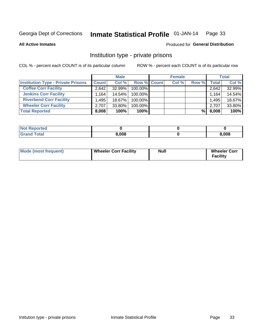#### Inmate Statistical Profile 01-JAN-14 Page 33

**All Active Inmates** 

#### Produced for General Distribution

## Institution type - private prisons

COL % - percent each COUNT is of its particular column

|                                           | <b>Male</b>          |        |                    | <b>Female</b> |       |       | <b>Total</b> |  |
|-------------------------------------------|----------------------|--------|--------------------|---------------|-------|-------|--------------|--|
| <b>Institution Type - Private Prisons</b> | <b>Count</b>         | Col %  | <b>Row % Count</b> | Col %         | Row % | Total | Col %        |  |
| <b>Coffee Corr Facility</b>               | 2.642                | 32.99% | 100.00%            |               |       | 2,642 | 32.99%       |  |
| <b>Jenkins Corr Facility</b>              | $1,164$ <sup>1</sup> | 14.54% | 100.00%            |               |       | 1,164 | 14.54%       |  |
| <b>Riverbend Corr Facility</b>            | .495                 | 18.67% | 100.00%            |               |       | 1,495 | 18.67%       |  |
| <b>Wheeler Corr Facility</b>              | 2.707                | 33.80% | 100.00%            |               |       | 2,707 | 33.80%       |  |
| <b>Total Reported</b>                     | 8,008                | 100%   | $100\%$            |               | %     | 8,008 | 100%         |  |

| Reported |       |       |
|----------|-------|-------|
| 'otal    | 8,008 | 3,008 |

| Mode (most frequent) | <b>Wheeler Corr Facility</b> | <b>Null</b> | <b>Wheeler Corr</b><br><b>Facility</b> |
|----------------------|------------------------------|-------------|----------------------------------------|
|----------------------|------------------------------|-------------|----------------------------------------|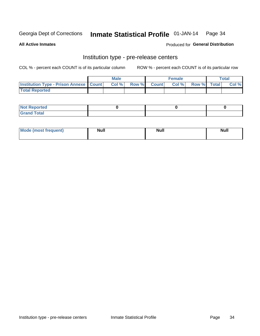#### Inmate Statistical Profile 01-JAN-14 Page 34

**All Active Inmates** 

Produced for General Distribution

## Institution type - pre-release centers

COL % - percent each COUNT is of its particular column

|                                                   | <b>Male</b> |             | <b>Female</b> |             | <b>Total</b> |
|---------------------------------------------------|-------------|-------------|---------------|-------------|--------------|
| <b>Institution Type - Prison Annexe   Count  </b> | Col %       | Row % Count | Col %         | Row % Total | Col %        |
| <b>Total Reported</b>                             |             |             |               |             |              |

| <b>Reported</b><br>I NOT |  |  |
|--------------------------|--|--|
| <b>Total</b><br>$C$ ren  |  |  |

| $^{\circ}$ Mo<br>frequent)<br>⊥(most | <b>Null</b> | Noll<br><b>vull</b> | <b>Null</b> |
|--------------------------------------|-------------|---------------------|-------------|
|                                      |             |                     |             |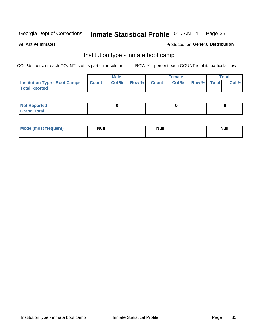#### Inmate Statistical Profile 01-JAN-14 Page 35

**All Active Inmates** 

#### Produced for General Distribution

## Institution type - inmate boot camp

COL % - percent each COUNT is of its particular column

|                                      |              | <b>Male</b> |       |        | <b>Female</b> |             | Total |
|--------------------------------------|--------------|-------------|-------|--------|---------------|-------------|-------|
| <b>Institution Type - Boot Camps</b> | <b>Count</b> | Col %       | Row % | Countl | Col %         | Row % Total | Col % |
| <b>Total Rported</b>                 |              |             |       |        |               |             |       |

| <b>Not Reported</b><br>.        |  |  |
|---------------------------------|--|--|
| Total<br><b>C</b> <sub>He</sub> |  |  |

| <b>AhoM</b>       | <b>Null</b> | <b>Null</b> | Ab d' |
|-------------------|-------------|-------------|-------|
| <b>"requent</b> ) |             |             |       |
|                   |             |             |       |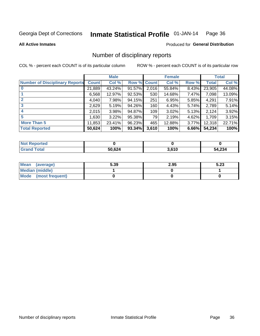#### Inmate Statistical Profile 01-JAN-14 Page 36

#### **All Active Inmates**

#### Produced for General Distribution

## Number of disciplinary reports

COL % - percent each COUNT is of its particular column

|                                       |              | <b>Male</b> |             |       | <b>Female</b> |          |              | <b>Total</b> |
|---------------------------------------|--------------|-------------|-------------|-------|---------------|----------|--------------|--------------|
| <b>Number of Disciplinary Reports</b> | <b>Count</b> | Col %       | Row % Count |       | Col %         | Row %    | <b>Total</b> | Col %        |
|                                       | 21,889       | 43.24%      | 91.57%      | 2,016 | 55.84%        | 8.43%    | 23,905       | 44.08%       |
|                                       | 6,568        | 12.97%      | 92.53%      | 530   | 14.68%        | $7.47\%$ | 7,098        | 13.09%       |
|                                       | 4,040        | 7.98%       | 94.15%      | 251   | 6.95%         | 5.85%    | 4,291        | 7.91%        |
| 3                                     | 2,629        | 5.19%       | 94.26%      | 160   | 4.43%         | $5.74\%$ | 2,789        | 5.14%        |
|                                       | 2,015        | 3.98%       | 94.87%      | 109   | 3.02%         | 5.13%    | 2,124        | 3.92%        |
| 5                                     | 1,630        | 3.22%       | 95.38%      | 79    | 2.19%         | 4.62%    | 1,709        | 3.15%        |
| <b>More Than 5</b>                    | 11,853       | 23.41%      | 96.23%      | 465   | 12.88%        | $3.77\%$ | 12,318       | 22.71%       |
| <b>Total Reported</b>                 | 50,624       | 100%        | 93.34%      | 3,610 | 100%          | 6.66%    | 54,234       | 100%         |

| <b>Not Reported</b> |        |                |        |
|---------------------|--------|----------------|--------|
| <b>Total</b>        | 50,624 | 2.610<br>טו ט. | 54,234 |

| Mean (average)       | 5.39 | 2.95 | 5.23 |
|----------------------|------|------|------|
| Median (middle)      |      |      |      |
| Mode (most frequent) |      |      |      |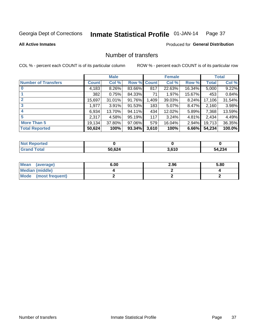#### Inmate Statistical Profile 01-JAN-14 Page 37

#### **All Active Inmates**

## **Produced for General Distribution**

## Number of transfers

COL % - percent each COUNT is of its particular column

|                            |         | <b>Male</b> |             |       | <b>Female</b> |          |              | <b>Total</b> |
|----------------------------|---------|-------------|-------------|-------|---------------|----------|--------------|--------------|
| <b>Number of Transfers</b> | Count l | Col %       | Row % Count |       | Col %         | Row %    | <b>Total</b> | Col %        |
|                            | 4,183   | $8.26\%$    | 83.66%      | 817   | 22.63%        | 16.34%   | 5,000        | 9.22%        |
|                            | 382     | 0.75%       | 84.33%      | 71    | 1.97%         | 15.67%   | 453          | 0.84%        |
| $\mathbf{2}$               | 15,697  | 31.01%      | 91.76%      | 1,409 | 39.03%        | 8.24%    | 17,106       | 31.54%       |
| 3                          | 1,977   | $3.91\%$    | 91.53%      | 183   | 5.07%         | $8.47\%$ | 2,160        | 3.98%        |
| 4                          | 6,934   | 13.70%      | 94.11%      | 434   | 12.02%        | 5.89%    | 7,368        | 13.59%       |
| 5                          | 2,317   | 4.58%       | 95.19%      | 117   | 3.24%         | 4.81%    | 2,434        | 4.49%        |
| <b>More Than 5</b>         | 19,134  | 37.80%      | 97.06%      | 579   | 16.04%        | $2.94\%$ | 19,713       | 36.35%       |
| <b>Total Reported</b>      | 50,624  | 100%        | 93.34%      | 3,610 | 100%          | 6.66%    | 54,234       | 100.0%       |

| <b>Not Reported</b> |        |                |        |
|---------------------|--------|----------------|--------|
| <b>Total</b>        | 50,624 | 2.610<br>טו ט. | 54,234 |

| Mean (average)       | 6.00 | 2.96 | 5.80 |
|----------------------|------|------|------|
| Median (middle)      |      |      |      |
| Mode (most frequent) |      |      |      |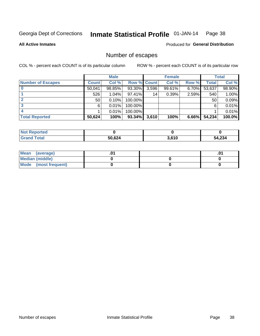#### Inmate Statistical Profile 01-JAN-14 Page 38

**All Active Inmates** 

Produced for General Distribution

## Number of escapes

COL % - percent each COUNT is of its particular column

|                          |                 | <b>Male</b> |                    |                 | <b>Female</b> |          |              | <b>Total</b> |
|--------------------------|-----------------|-------------|--------------------|-----------------|---------------|----------|--------------|--------------|
| <b>Number of Escapes</b> | <b>Count</b>    | Col %       | <b>Row % Count</b> |                 | Col %         | Row %    | <b>Total</b> | Col %        |
|                          | 50,041          | 98.85%      | 93.30%             | 3,596           | 99.61%        | 6.70%    | 53,637       | 98.90%       |
|                          | 526             | 1.04%       | $97.41\%$          | 14 <sub>1</sub> | 0.39%         | 2.59%    | 540          | 1.00%        |
|                          | 50 <sub>1</sub> | 0.10%       | 100.00%            |                 |               |          | 50           | 0.09%        |
|                          | 6               | 0.01%       | 100.00%            |                 |               |          | 6            | 0.01%        |
|                          |                 | 0.01%       | 100.00%            |                 |               |          |              | 0.01%        |
| <b>Total Reported</b>    | 50,624          | 100%        | 93.34%             | 3,610           | 100%          | $6.66\%$ | 54,234       | 100.0%       |

| <b>Not Reported</b> |        |       |        |
|---------------------|--------|-------|--------|
| <b>Grand Total</b>  | 50,624 | 3,610 | 54,234 |

| Mean (average)         |  | .ט |
|------------------------|--|----|
| <b>Median (middle)</b> |  |    |
| Mode (most frequent)   |  |    |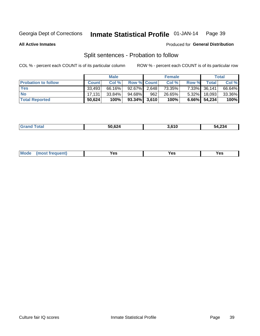#### Inmate Statistical Profile 01-JAN-14 Page 39

**All Active Inmates** 

#### Produced for General Distribution

## Split sentences - Probation to follow

COL % - percent each COUNT is of its particular column

|                            |              | <b>Male</b> |                   |     | <b>Female</b> |          |              | <b>Total</b> |
|----------------------------|--------------|-------------|-------------------|-----|---------------|----------|--------------|--------------|
| <b>Probation to follow</b> | <b>Count</b> | Col %       | Row % Count       |     | Col %         | Row %    | <b>Total</b> | Col %        |
| <b>Yes</b>                 | 33.493       | 66.16%      | $92.67\%$   2,648 |     | 73.35%        | $7.33\%$ | 36,141       | 66.64%       |
| <b>No</b>                  | 17.131       | 33.84%      | 94.68%            | 962 | 26.65%        | $5.32\%$ | 18,093       | 33.36%       |
| <b>Total Reported</b>      | 50,624       | 100%        | $93.34\%$ 3,610   |     | 100%          | $6.66\%$ | 54,234       | 100%         |

| <b>FO COA</b><br>50.624<br>__ | $\sim$<br>).O I U | 4,234<br>-54 |
|-------------------------------|-------------------|--------------|
|                               |                   |              |

| <b>Mode</b><br><b>auent</b> )<br>v<br>Yes<br>ه م<br>.<br>. ce<br>.<br>$\sim 100$ |
|----------------------------------------------------------------------------------|
|----------------------------------------------------------------------------------|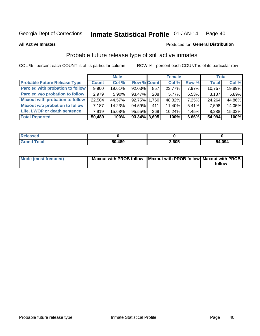#### Inmate Statistical Profile 01-JAN-14 Page 40

**All Active Inmates** 

#### Produced for General Distribution

## Probable future release type of still active inmates

COL % - percent each COUNT is of its particular column

|                                         |              | <b>Male</b> |                    |     | <b>Female</b> |          | <b>Total</b> |        |
|-----------------------------------------|--------------|-------------|--------------------|-----|---------------|----------|--------------|--------|
| <b>Probable Future Release Type</b>     | <b>Count</b> | Col %       | <b>Row % Count</b> |     | Col %         | Row %    | <b>Total</b> | Col %  |
| <b>Paroled with probation to follow</b> | 9,900        | 19.61%      | $92.03\%$          | 857 | 23.77%        | 7.97%    | 10,757       | 19.89% |
| Paroled w/o probation to follow         | 2.979        | $5.90\%$    | 93.47%             | 208 | 5.77%         | 6.53%    | 3,187        | 5.89%  |
| <b>Maxout with probation to follow</b>  | 22.504       | 44.57%      | 92.75% 1.760       |     | 48.82%        | 7.25%    | 24,264       | 44.86% |
| <b>Maxout w/o probation to follow</b>   | 7,187        | 14.23%      | 94.59%             | 411 | 11.40%        | $5.41\%$ | 7,598        | 14.05% |
| Life, LWOP or death sentence            | 7.919        | 15.68%      | 95.55%             | 369 | 10.24%        | 4.45%    | 8,288        | 15.32% |
| <b>Total Reported</b>                   | 50,489       | 100%        | $93.34\%$ 3,605    |     | 100%          | $6.66\%$ | 54,094       | 100%   |

| eleased     |        |       |            |
|-------------|--------|-------|------------|
| <b>otal</b> | 50,489 | 8.605 | ,094<br>54 |

| <b>Mode (most frequent)</b> | Maxout with PROB follow   Maxout with PROB follow   Maxout with PROB |        |
|-----------------------------|----------------------------------------------------------------------|--------|
|                             |                                                                      | follow |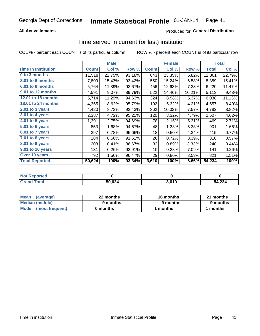### **All Active Inmates**

## **Produced for General Distribution**

# Time served in current (or last) institution

COL % - percent each COUNT is of its particular column

|                            |              | <b>Male</b> |        |              | <b>Female</b> |        |              | <b>Total</b> |
|----------------------------|--------------|-------------|--------|--------------|---------------|--------|--------------|--------------|
| <b>Time In Institution</b> | <b>Count</b> | Col %       | Row %  | <b>Count</b> | Col %         | Row %  | <b>Total</b> | Col %        |
| 0 to 3 months              | 11,518       | 22.75%      | 93.18% | 843          | 23.35%        | 6.82%  | 12,361       | 22.79%       |
| <b>3.01 to 6 months</b>    | 7,809        | 15.43%      | 93.42% | 550          | 15.24%        | 6.58%  | 8,359        | 15.41%       |
| 6.01 to 9 months           | 5,764        | 11.39%      | 92.67% | 456          | 12.63%        | 7.33%  | 6,220        | 11.47%       |
| 9.01 to 12 months          | 4,591        | 9.07%       | 89.79% | 522          | 14.46%        | 10.21% | 5,113        | 9.43%        |
| 12.01 to 18 months         | 5,714        | 11.29%      | 94.63% | 324          | 8.98%         | 5.37%  | 6,038        | 11.13%       |
| <b>18.01 to 24 months</b>  | 4,365        | 8.62%       | 95.79% | 192          | 5.32%         | 4.21%  | 4,557        | 8.40%        |
| $2.01$ to 3 years          | 4,420        | 8.73%       | 92.43% | 362          | 10.03%        | 7.57%  | 4,782        | 8.82%        |
| 3.01 to 4 years            | 2,387        | 4.72%       | 95.21% | 120          | 3.32%         | 4.79%  | 2,507        | 4.62%        |
| $4.01$ to 5 years          | 1,391        | 2.75%       | 94.69% | 78           | 2.16%         | 5.31%  | 1,469        | 2.71%        |
| 5.01 to 6 years            | 853          | 1.68%       | 94.67% | 48           | 1.33%         | 5.33%  | 901          | 1.66%        |
| $6.01$ to 7 years          | 397          | 0.78%       | 95.66% | 18           | 0.50%         | 4.34%  | 415          | 0.77%        |
| 7.01 to 8 years            | 284          | 0.56%       | 91.61% | 26           | 0.72%         | 8.39%  | 310          | 0.57%        |
| $8.01$ to 9 years          | 208          | 0.41%       | 86.67% | 32           | 0.89%         | 13.33% | 240          | 0.44%        |
| 9.01 to 10 years           | 131          | 0.26%       | 92.91% | 10           | 0.28%         | 7.09%  | 141          | 0.26%        |
| Over 10 years              | 792          | 1.56%       | 96.47% | 29           | 0.80%         | 3.53%  | 821          | 1.51%        |
| <b>Total Reported</b>      | 50,624       | 100%        | 93.34% | 3,610        | 100%          | 6.66%  | 54,234       | 100%         |

| Not R<br>Reported |        |       |        |
|-------------------|--------|-------|--------|
| d Total           | 50.624 | 3.610 | 54,234 |

| <b>Mean</b><br>(average) | 22 months | 16 months | 21 months |  |
|--------------------------|-----------|-----------|-----------|--|
| Median (middle)          | 9 months  | 9 months  | 9 months  |  |
| Mode (most frequent)     | 0 months  | l months  | ∣ months  |  |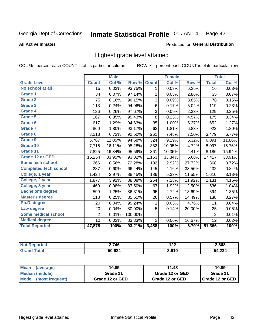#### Inmate Statistical Profile 01-JAN-14 Page 42

#### **All Active Inmates**

#### Produced for General Distribution

## Highest grade level attained

COL % - percent each COUNT is of its particular column

|                              |                | <b>Male</b> |         |                | <b>Female</b> |        |                | <b>Total</b> |
|------------------------------|----------------|-------------|---------|----------------|---------------|--------|----------------|--------------|
| <b>Grade Level</b>           | <b>Count</b>   | Col %       | Row %   | <b>Count</b>   | Col %         | Row %  | <b>Total</b>   | Col %        |
| No school at all             | 15             | 0.03%       | 93.75%  | 1              | 0.03%         | 6.25%  | 16             | 0.03%        |
| Grade 1                      | 34             | 0.07%       | 97.14%  | 1              | 0.03%         | 2.86%  | 35             | 0.07%        |
| <b>Grade 2</b>               | 75             | 0.16%       | 96.15%  | 3              | 0.09%         | 3.85%  | 78             | 0.15%        |
| <b>Grade 3</b>               | 113            | 0.24%       | 94.96%  | $\,6$          | 0.17%         | 5.04%  | 119            | 0.23%        |
| Grade 4                      | 126            | 0.26%       | 97.67%  | $\sqrt{3}$     | 0.09%         | 2.33%  | 129            | 0.25%        |
| Grade 5                      | 167            | 0.35%       | 95.43%  | 8              | 0.23%         | 4.57%  | 175            | 0.34%        |
| Grade 6                      | 617            | 1.29%       | 94.63%  | 35             | 1.00%         | 5.37%  | 652            | 1.27%        |
| <b>Grade 7</b>               | 860            | 1.80%       | 93.17%  | 63             | 1.81%         | 6.83%  | 923            | 1.80%        |
| <b>Grade 8</b>               | 3,218          | 6.72%       | 92.50%  | 261            | 7.48%         | 7.50%  | 3,479          | 6.77%        |
| Grade 9                      | 5,767          | 12.05%      | 94.68%  | 324            | 9.29%         | 5.32%  | 6,091          | 11.86%       |
| Grade 10                     | 7,715          | 16.11%      | 95.28%  | 382            | 10.95%        | 4.72%  | 8,097          | 15.76%       |
| Grade 11                     | 7,825          | 16.34%      | 95.59%  | 361            | 10.35%        | 4.41%  | 8,186          | 15.94%       |
| <b>Grade 12 or GED</b>       | 16,254         | 33.95%      | 93.32%  | 1,163          | 33.34%        | 6.68%  | 17,417         | 33.91%       |
| Some tech school             | 266            | 0.56%       | 72.28%  | 102            | 2.92%         | 27.72% | 368            | 0.72%        |
| <b>Completed tech school</b> | 287            | 0.60%       | 66.44%  | 145            | 4.16%         | 33.56% | 432            | 0.84%        |
| College, 1 year              | 1,424          | 2.97%       | 88.45%  | 186            | 5.33%         | 11.55% | 1,610          | 3.13%        |
| College, 2 year              | 1,877          | 3.92%       | 88.08%  | 254            | 7.28%         | 11.92% | 2,131          | 4.15%        |
| College, 3 year              | 469            | 0.98%       | 87.50%  | 67             | 1.92%         | 12.50% | 536            | 1.04%        |
| <b>Bachelor's degree</b>     | 599            | 1.25%       | 86.31%  | 95             | 2.72%         | 13.69% | 694            | 1.35%        |
| <b>Master's degree</b>       | 118            | 0.25%       | 85.51%  | 20             | 0.57%         | 14.49% | 138            | 0.27%        |
| Ph.D. degree                 | 20             | 0.04%       | 95.24%  | 1              | 0.03%         | 4.76%  | 21             | 0.04%        |
| Law degree                   | 20             | 0.04%       | 80.00%  | 5              | 0.14%         | 20.00% | 25             | 0.05%        |
| Some medical school          | $\overline{2}$ | 0.01%       | 100.00% |                |               |        | $\overline{2}$ | 0.01%        |
| <b>Medical degree</b>        | 10             | 0.02%       | 83.33%  | $\overline{2}$ | 0.06%         | 16.67% | 12             | 0.02%        |
| <b>Total Reported</b>        | 47,878         | 100%        | 93.21%  | 3,488          | 100%          | 6.79%  | 51,366         | 100%         |

| 0.746  | 1 つつ<br>14L | 2,868 |
|--------|-------------|-------|
| 50 624 | 3,610       | .234  |

| <b>Mean</b><br>(average)       | 10.85           | 11.43           | 10.89           |
|--------------------------------|-----------------|-----------------|-----------------|
| Median (middle)                | Grade 11        | Grade 12 or GED | Grade 11        |
| <b>Mode</b><br>(most frequent) | Grade 12 or GED | Grade 12 or GED | Grade 12 or GED |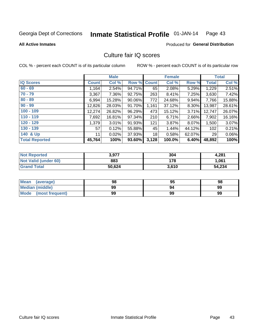#### Inmate Statistical Profile 01-JAN-14 Page 43

#### **All Active Inmates**

#### Produced for General Distribution

## Culture fair IQ scores

COL % - percent each COUNT is of its particular column

|                       |              | <b>Male</b> |             |       | <b>Female</b> |        |              | <b>Total</b> |
|-----------------------|--------------|-------------|-------------|-------|---------------|--------|--------------|--------------|
| <b>IQ Scores</b>      | <b>Count</b> | Col %       | Row % Count |       | Col %         | Row %  | <b>Total</b> | Col %        |
| $60 - 69$             | 1,164        | 2.54%       | 94.71%      | 65    | 2.08%         | 5.29%  | 1,229        | 2.51%        |
| $70 - 79$             | 3,367        | 7.36%       | 92.75%      | 263   | 8.41%         | 7.25%  | 3,630        | 7.42%        |
| $80 - 89$             | 6,994        | 15.28%      | 90.06%      | 772   | 24.68%        | 9.94%  | 7,766        | 15.88%       |
| $90 - 99$             | 12,826       | 28.03%      | 91.70%      | 1,161 | 37.12%        | 8.30%  | 13,987       | 28.61%       |
| $100 - 109$           | 12,274       | 26.82%      | 96.29%      | 473   | 15.12%        | 3.71%  | 12,747       | 26.07%       |
| $110 - 119$           | 7,692        | 16.81%      | 97.34%      | 210   | 6.71%         | 2.66%  | 7,902        | 16.16%       |
| $120 - 129$           | 1,379        | 3.01%       | 91.93%      | 121   | 3.87%         | 8.07%  | 1,500        | 3.07%        |
| $130 - 139$           | 57           | 0.12%       | 55.88%      | 45    | 1.44%         | 44.12% | 102          | 0.21%        |
| 140 & Up              | 11           | 0.02%       | 37.93%      | 18    | 0.58%         | 62.07% | 29           | 0.06%        |
| <b>Total Reported</b> | 45,764       | 100%        | 93.60%      | 3,128 | 100.0%        | 6.40%  | 48,892       | 100%         |

| <b>Not Reported</b>         | 3,977  | 304   | 4,281  |
|-----------------------------|--------|-------|--------|
| <b>Not Valid (under 60)</b> | 883    | 178   | 1,061  |
| <b>Grand Total</b>          | 50,624 | 3,610 | 54,234 |

| <b>Mean</b><br>(average) | 98 | 95 | 98 |
|--------------------------|----|----|----|
| <b>Median (middle)</b>   | 99 | 94 | 99 |
| Mode<br>(most frequent)  | 99 | 99 | 99 |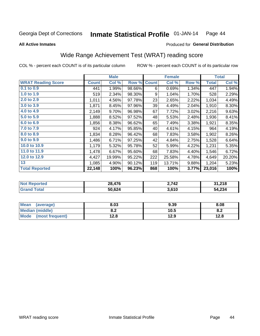#### Inmate Statistical Profile 01-JAN-14 Page 44

#### **All Active Inmates**

## Produced for General Distribution

## Wide Range Achievement Test (WRAT) reading score

COL % - percent each COUNT is of its particular column

|                           |              | <b>Male</b> |        |              | <b>Female</b> |       |              | <b>Total</b> |
|---------------------------|--------------|-------------|--------|--------------|---------------|-------|--------------|--------------|
| <b>WRAT Reading Score</b> | <b>Count</b> | Col %       | Row %  | <b>Count</b> | Col %         | Row % | <b>Total</b> | Col %        |
| $0.1$ to $0.9$            | 441          | 1.99%       | 98.66% | 6            | 0.69%         | 1.34% | 447          | 1.94%        |
| 1.0 to 1.9                | 519          | 2.34%       | 98.30% | 9            | 1.04%         | 1.70% | 528          | 2.29%        |
| 2.0 to 2.9                | 1,011        | 4.56%       | 97.78% | 23           | 2.65%         | 2.22% | 1,034        | 4.49%        |
| 3.0 to 3.9                | 1,871        | 8.45%       | 97.96% | 39           | 4.49%         | 2.04% | 1,910        | 8.30%        |
| 4.0 to 4.9                | 2,149        | 9.70%       | 96.98% | 67           | 7.72%         | 3.02% | 2,216        | 9.63%        |
| 5.0 to 5.9                | 1,888        | 8.52%       | 97.52% | 48           | 5.53%         | 2.48% | 1,936        | 8.41%        |
| 6.0 to 6.9                | 1,856        | 8.38%       | 96.62% | 65           | 7.49%         | 3.38% | 1,921        | 8.35%        |
| 7.0 to 7.9                | 924          | 4.17%       | 95.85% | 40           | 4.61%         | 4.15% | 964          | 4.19%        |
| 8.0 to 8.9                | 1,834        | 8.28%       | 96.42% | 68           | 7.83%         | 3.58% | 1,902        | 8.26%        |
| 9.0 to 9.9                | 1,486        | 6.71%       | 97.25% | 42           | 4.84%         | 2.75% | 1,528        | 6.64%        |
| 10.0 to 10.9              | 1,179        | 5.32%       | 95.78% | 52           | 5.99%         | 4.22% | 1,231        | 5.35%        |
| 11.0 to 11.9              | 1,478        | 6.67%       | 95.60% | 68           | 7.83%         | 4.40% | 1,546        | 6.72%        |
| 12.0 to 12.9              | 4,427        | 19.99%      | 95.22% | 222          | 25.58%        | 4.78% | 4,649        | 20.20%       |
| 13                        | 1,085        | 4.90%       | 90.12% | 119          | 13.71%        | 9.88% | 1,204        | 5.23%        |
| <b>Total Reported</b>     | 22,148       | 100%        | 96.23% | 868          | 100%          | 3.77% | 23,016       | 100%         |
|                           |              |             |        |              |               |       |              |              |

| <b>Not Reported</b> | 28,476 | 2,742 | 31,218 |
|---------------------|--------|-------|--------|
| <b>Grand Total</b>  | 50,624 | 3,610 | 54,234 |

| <b>Mean</b><br>(average) | 8.03       | 9.39 | 8.08 |
|--------------------------|------------|------|------|
| Median (middle)          | י ה<br>0.Z | 10.5 | 0.Z  |
| Mode<br>(most frequent)  | 12.8       | 12.9 | 12.8 |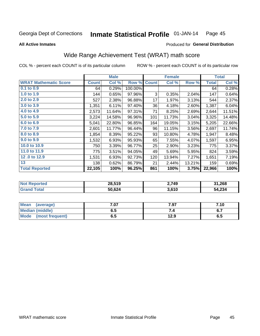#### Inmate Statistical Profile 01-JAN-14 Page 45

**All Active Inmates** 

#### Produced for General Distribution

## Wide Range Achievement Test (WRAT) math score

COL % - percent each COUNT is of its particular column

|                              |              | <b>Male</b> |         |              | <b>Female</b> |        |              | <b>Total</b> |
|------------------------------|--------------|-------------|---------|--------------|---------------|--------|--------------|--------------|
| <b>WRAT Mathematic Score</b> | <b>Count</b> | Col %       | Row %   | <b>Count</b> | Col %         | Row %  | <b>Total</b> | Col %        |
| $0.1$ to $0.9$               | 64           | 0.29%       | 100.00% |              |               |        | 64           | 0.28%        |
| 1.0 to 1.9                   | 144          | 0.65%       | 97.96%  | 3            | 0.35%         | 2.04%  | 147          | 0.64%        |
| 2.0 to 2.9                   | 527          | 2.38%       | 96.88%  | 17           | 1.97%         | 3.13%  | 544          | 2.37%        |
| 3.0 to 3.9                   | 1,351        | 6.11%       | 97.40%  | 36           | 4.18%         | 2.60%  | 1,387        | 6.04%        |
| 4.0 to 4.9                   | 2,573        | 11.64%      | 97.31%  | 71           | 8.25%         | 2.69%  | 2,644        | 11.51%       |
| 5.0 to 5.9                   | 3,224        | 14.58%      | 96.96%  | 101          | 11.73%        | 3.04%  | 3,325        | 14.48%       |
| 6.0 to 6.9                   | 5,041        | 22.80%      | 96.85%  | 164          | 19.05%        | 3.15%  | 5,205        | 22.66%       |
| 7.0 to 7.9                   | 2,601        | 11.77%      | 96.44%  | 96           | 11.15%        | 3.56%  | 2,697        | 11.74%       |
| 8.0 to 8.9                   | 1,854        | 8.39%       | 95.22%  | 93           | 10.80%        | 4.78%  | 1,947        | 8.48%        |
| 9.0 to 9.9                   | 1,532        | 6.93%       | 95.93%  | 65           | 7.55%         | 4.07%  | 1,597        | 6.95%        |
| 10.0 to 10.9                 | 750          | 3.39%       | 96.77%  | 25           | 2.90%         | 3.23%  | 775          | 3.37%        |
| 11.0 to 11.9                 | 775          | 3.51%       | 94.05%  | 49           | 5.69%         | 5.95%  | 824          | 3.59%        |
| 12.0 to 12.9                 | 1,531        | 6.93%       | 92.73%  | 120          | 13.94%        | 7.27%  | 1,651        | 7.19%        |
| 13                           | 138          | 0.62%       | 86.79%  | 21           | 2.44%         | 13.21% | 159          | 0.69%        |
| <b>Total Reported</b>        | 22,105       | 100%        | 96.25%  | 861          | 100%          | 3.75%  | 22,966       | 100%         |
|                              |              |             |         |              |               |        |              |              |

| <b>Not Reported</b>     | 28,519 | 2,749 | 31,268 |
|-------------------------|--------|-------|--------|
| Total<br><b>Grand 1</b> | 50,624 | 3,610 | 54,234 |

| <b>Mean</b><br>(average)       | 7.07 | 7.97 | 7.10    |
|--------------------------------|------|------|---------|
| Median (middle)                | o. J | .    | <b></b> |
| <b>Mode</b><br>(most frequent) | v. J | 12.9 | ს. თ    |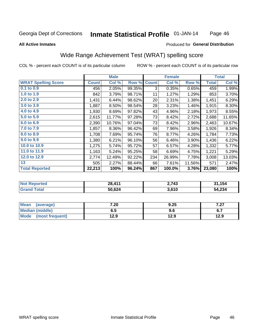#### Inmate Statistical Profile 01-JAN-14 Page 46

#### **All Active Inmates**

### Produced for General Distribution

## Wide Range Achievement Test (WRAT) spelling score

COL % - percent each COUNT is of its particular column

|                            |              | <b>Male</b> |        |              | <b>Female</b> |        |              | <b>Total</b> |
|----------------------------|--------------|-------------|--------|--------------|---------------|--------|--------------|--------------|
| <b>WRAT Spelling Score</b> | <b>Count</b> | Col %       | Row %  | <b>Count</b> | Col %         | Row %  | <b>Total</b> | Col %        |
| $0.1$ to $0.9$             | 456          | 2.05%       | 99.35% | 3            | 0.35%         | 0.65%  | 459          | 1.99%        |
| 1.0 to 1.9                 | 842          | 3.79%       | 98.71% | 11           | 1.27%         | 1.29%  | 853          | 3.70%        |
| 2.0 to 2.9                 | 1,431        | 6.44%       | 98.62% | 20           | 2.31%         | 1.38%  | 1,451        | 6.29%        |
| 3.0 to 3.9                 | 1,887        | 8.50%       | 98.54% | 28           | 3.23%         | 1.46%  | 1,915        | 8.30%        |
| 4.0 to 4.9                 | 1,930        | 8.69%       | 97.82% | 43           | 4.96%         | 2.18%  | 1,973        | 8.55%        |
| 5.0 to 5.9                 | 2,615        | 11.77%      | 97.28% | 73           | 8.42%         | 2.72%  | 2,688        | 11.65%       |
| 6.0 to 6.9                 | 2,390        | 10.76%      | 97.04% | 73           | 8.42%         | 2.96%  | 2,463        | 10.67%       |
| 7.0 to 7.9                 | 1,857        | 8.36%       | 96.42% | 69           | 7.96%         | 3.58%  | 1,926        | 8.34%        |
| 8.0 to 8.9                 | 1,708        | 7.69%       | 95.74% | 76           | 8.77%         | 4.26%  | 1,784        | 7.73%        |
| 9.0 to 9.9                 | 1,380        | 6.21%       | 96.10% | 56           | 6.46%         | 3.90%  | 1,436        | 6.22%        |
| 10.0 to 10.9               | 1,275        | 5.74%       | 95.72% | 57           | 6.57%         | 4.28%  | 1,332        | 5.77%        |
| 11.0 to 11.9               | 1,163        | 5.24%       | 95.25% | 58           | 6.69%         | 4.75%  | 1,221        | 5.29%        |
| 12.0 to 12.9               | 2,774        | 12.49%      | 92.22% | 234          | 26.99%        | 7.78%  | 3,008        | 13.03%       |
| 13                         | 505          | 2.27%       | 88.44% | 66           | 7.61%         | 11.56% | 571          | 2.47%        |
| <b>Total Reported</b>      | 22,213       | 100%        | 96.24% | 867          | 100.0%        | 3.76%  | 23,080       | 100%         |
|                            |              |             |        |              |               |        |              |              |
|                            |              |             |        |              |               |        |              |              |

| <b>Not Reported</b> | 28,411 | 2,743 | 31,154 |
|---------------------|--------|-------|--------|
| <b>Grand Total</b>  | 50,624 | 3,610 | 54,234 |

| <b>Mean</b><br>(average) | 7.20 | 9.25 | , מ<br>1 .ZI |
|--------------------------|------|------|--------------|
| Median (middle)          | ხ. J | ง.ง  | ס. ו         |
| Mode<br>(most frequent)  | 12.9 | 12.9 | 12.9         |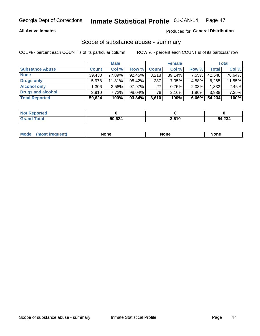### **All Active Inmates**

### Produced for General Distribution

# Scope of substance abuse - summary

COL % - percent each COUNT is of its particular column

|                        |              | <b>Male</b> |           |              | <b>Female</b> |          |              | <b>Total</b> |
|------------------------|--------------|-------------|-----------|--------------|---------------|----------|--------------|--------------|
| <b>Substance Abuse</b> | <b>Count</b> | Col %       | Row %     | <b>Count</b> | Col %         | Row %    | <b>Total</b> | Col %        |
| <b>None</b>            | 39,430       | 77.89%      | 92.45%    | 3,218        | $89.14\%$     | 7.55%    | 42,648       | 78.64%       |
| Drugs only             | 5.978        | 11.81%      | 95.42%    | 287          | 7.95%         | 4.58%    | 6,265        | 11.55%       |
| <b>Alcohol only</b>    | .306         | 2.58%       | $97.97\%$ | 27           | 0.75%         | 2.03%    | 1,333        | 2.46%        |
| Drugs and alcohol      | 3,910        | 7.72%       | 98.04%    | 78           | 2.16%         | $1.96\%$ | 3,988        | 7.35%        |
| <b>Total Reported</b>  | 50,624       | 100%        | 93.34%    | 3,610        | 100%          | $6.66\%$ | 54,234       | 100%         |

| <b>Not Reported</b> |        |       |        |
|---------------------|--------|-------|--------|
| <b>Grand Total</b>  | 50,624 | 3,610 | 54,234 |

| Mode<br>None<br><b>None</b><br>None<br>most<br>quenti<br>___ |
|--------------------------------------------------------------|
|--------------------------------------------------------------|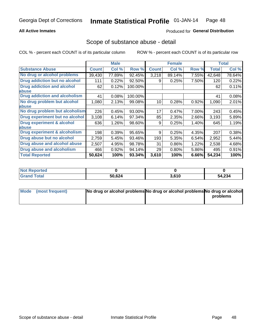### **All Active Inmates**

### Produced for General Distribution

## Scope of substance abuse - detail

COL % - percent each COUNT is of its particular column

|                                      |              | <b>Male</b> |         |              | <b>Female</b> |       |        | <b>Total</b> |
|--------------------------------------|--------------|-------------|---------|--------------|---------------|-------|--------|--------------|
| <b>Substance Abuse</b>               | <b>Count</b> | Col %       | Row %   | <b>Count</b> | Col %         | Row % | Total  | Col %        |
| No drug or alcohol problems          | 39,430       | 77.89%      | 92.45%  | 3,218        | 89.14%        | 7.55% | 42,648 | 78.64%       |
| Drug addiction but no alcohol        | 111          | 0.22%       | 92.50%  | 9            | 0.25%         | 7.50% | 120    | 0.22%        |
| <b>Drug addiction and alcohol</b>    | 62           | 0.12%       | 100.00% |              |               |       | 62     | 0.11%        |
| abuse                                |              |             |         |              |               |       |        |              |
| <b>Drug addiction and alcoholism</b> | 41           | 0.08%       | 100.00% |              |               |       | 41     | 0.08%        |
| No drug problem but alcohol          | 1,080        | 2.13%       | 99.08%  | 10           | 0.28%         | 0.92% | 1,090  | 2.01%        |
| abuse                                |              |             |         |              |               |       |        |              |
| No drug problem but alcoholism       | 226          | 0.45%       | 93.00%  | 17           | 0.47%         | 7.00% | 243    | 0.45%        |
| Drug experiment but no alcohol       | 3,108        | 6.14%       | 97.34%  | 85           | 2.35%         | 2.66% | 3,193  | 5.89%        |
| <b>Drug experiment &amp; alcohol</b> | 636          | 1.26%       | 98.60%  | 9            | 0.25%         | 1.40% | 645    | 1.19%        |
| <b>labuse</b>                        |              |             |         |              |               |       |        |              |
| Drug experiment & alcoholism         | 198          | 0.39%       | 95.65%  | 9            | 0.25%         | 4.35% | 207    | 0.38%        |
| Drug abuse but no alcohol            | 2,759        | 5.45%       | 93.46%  | 193          | 5.35%         | 6.54% | 2,952  | 5.44%        |
| Drug abuse and alcohol abuse         | 2,507        | 4.95%       | 98.78%  | 31           | 0.86%         | 1.22% | 2,538  | 4.68%        |
| <b>Drug abuse and alcoholism</b>     | 466          | 0.92%       | 94.14%  | 29           | 0.80%         | 5.86% | 495    | 0.91%        |
| <b>Total Reported</b>                | 50,624       | 100%        | 93.34%  | 3,610        | 100%          | 6.66% | 54,234 | 100%         |

| Reported<br><b>NOT</b> |        |       |        |
|------------------------|--------|-------|--------|
| <b>otal</b>            | 50,624 | 3,610 | 54,234 |

| Mode (most frequent) | No drug or alcohol problems No drug or alcohol problems No drug or alcohol |          |
|----------------------|----------------------------------------------------------------------------|----------|
|                      |                                                                            | problems |
|                      |                                                                            |          |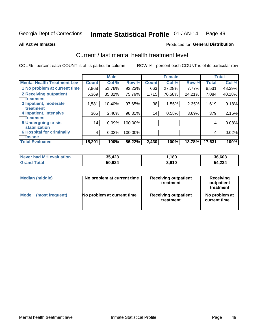#### Inmate Statistical Profile 01-JAN-14 Page 49

**All Active Inmates** 

### **Produced for General Distribution**

## Current / last mental health treatment level

COL % - percent each COUNT is of its particular column

|                                    |              | <b>Male</b> |         |              | <b>Female</b> |        |              | <b>Total</b> |
|------------------------------------|--------------|-------------|---------|--------------|---------------|--------|--------------|--------------|
| <b>Mental Health Treatment Lev</b> | <b>Count</b> | Col %       | Row %   | <b>Count</b> | Col %         | Row %  | <b>Total</b> | Col %        |
| 1 No problem at current time       | 7,868        | 51.76%      | 92.23%  | 663          | 27.28%        | 7.77%  | 8,531        | 48.39%       |
| 2 Receiving outpatient             | 5,369        | 35.32%      | 75.79%  | 1,715        | 70.58%        | 24.21% | 7,084        | 40.18%       |
| <b>Treatment</b>                   |              |             |         |              |               |        |              |              |
| 3 Inpatient, moderate              | 1,581        | 10.40%      | 97.65%  | 38           | 1.56%         | 2.35%  | 1,619        | 9.18%        |
| <b>Treatment</b>                   |              |             |         |              |               |        |              |              |
| 4 Inpatient, intensive             | 365          | 2.40%       | 96.31%  | 14           | 0.58%         | 3.69%  | 379          | 2.15%        |
| <b>Treatment</b>                   |              |             |         |              |               |        |              |              |
| <b>5 Undergoing crisis</b>         | 14           | 0.09%       | 100.00% |              |               |        | 14           | 0.08%        |
| <b>stabilization</b>               |              |             |         |              |               |        |              |              |
| <b>6 Hospital for criminally</b>   | 4            | 0.03%       | 100.00% |              |               |        | 4            | 0.02%        |
| <b>Tinsane</b>                     |              |             |         |              |               |        |              |              |
| <b>Total Evaluated</b>             | 15,201       | 100%        | 86.22%  | 2,430        | 100%          | 13.78% | 17,631       | 100%         |

| <b>Never had MH evaluation</b> | 35,423 | ,180  | 36,603 |
|--------------------------------|--------|-------|--------|
| <b>Total</b><br>'Grand .       | 50,624 | 3.610 | 54,234 |

| Median (middle) | No problem at current time | <b>Receiving outpatient</b><br>treatment | <b>Receiving</b><br>outpatient<br>treatment |
|-----------------|----------------------------|------------------------------------------|---------------------------------------------|
| <b>Mode</b>     | No problem at current time | <b>Receiving outpatient</b>              | No problem at                               |
| (most frequent) |                            | treatment                                | current time                                |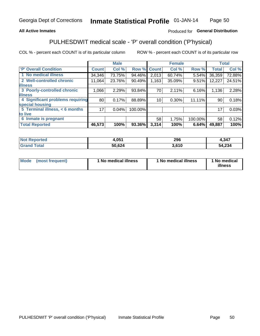### **All Active Inmates**

### Produced for General Distribution

## PULHESDWIT medical scale - 'P' overall condition ('P'hysical)

COL % - percent each COUNT is of its particular column

|                                  |              | <b>Male</b> |         |                 | <b>Female</b> |         |              | <b>Total</b> |
|----------------------------------|--------------|-------------|---------|-----------------|---------------|---------|--------------|--------------|
| 'P' Overall Condition            | <b>Count</b> | Col %       | Row %   | <b>Count</b>    | Col %         | Row %   | <b>Total</b> | Col %        |
| 1 No medical illness             | 34,346       | 73.75%      | 94.46%  | 2,013           | 60.74%        | 5.54%   | 36,359       | 72.88%       |
| 2 Well-controlled chronic        | 11.064       | 23.76%      | 90.49%  | 1,163           | 35.09%        | 9.51%   | 12,227       | 24.51%       |
| <b>illness</b>                   |              |             |         |                 |               |         |              |              |
| 3 Poorly-controlled chronic      | 1,066        | 2.29%       | 93.84%  | 70              | 2.11%         | 6.16%   | 1,136        | 2.28%        |
| <b>illness</b>                   |              |             |         |                 |               |         |              |              |
| 4 Significant problems requiring | 80           | 0.17%       | 88.89%  | 10 <sup>1</sup> | 0.30%         | 11.11%  | 90           | 0.18%        |
| special housing                  |              |             |         |                 |               |         |              |              |
| 5 Terminal illness, < 6 months   | 171          | 0.04%       | 100.00% |                 |               |         | 17           | 0.03%        |
| to live                          |              |             |         |                 |               |         |              |              |
| 6 Inmate is pregnant             |              |             |         | 58              | 1.75%         | 100.00% | 58           | 0.12%        |
| <b>Total Reported</b>            | 46,573       | 100%        | 93.36%  | 3,314           | 100%          | 6.64%   | 49,887       | 100%         |

| тео | 4,05 <sup>4</sup> | ንስድ<br>ZJU | ,347       |
|-----|-------------------|------------|------------|
|     | -0.00.<br>--      | .610       | .234<br>54 |

| Mode | (most frequent) | 1 No medical illness | 1 No medical illness | 1 No medical<br>illness |
|------|-----------------|----------------------|----------------------|-------------------------|
|------|-----------------|----------------------|----------------------|-------------------------|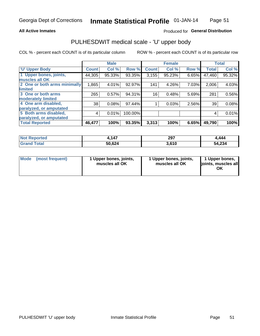#### **All Active Inmates**

### Produced for General Distribution

# PULHESDWIT medical scale - 'U' upper body

COL % - percent each COUNT is of its particular column

|                              |               | <b>Male</b> |         |              | <b>Female</b> |       |              | <b>Total</b> |
|------------------------------|---------------|-------------|---------|--------------|---------------|-------|--------------|--------------|
| <b>U' Upper Body</b>         | <b>Count!</b> | Col %       | Row %   | <b>Count</b> | Col %         | Row % | <b>Total</b> | Col %        |
| 1 Upper bones, joints,       | 44,305        | 95.33%      | 93.35%  | 3,155        | 95.23%        | 6.65% | 47,460       | 95.32%       |
| muscles all OK               |               |             |         |              |               |       |              |              |
| 2 One or both arms minimally | 1,865         | 4.01%       | 92.97%  | 141          | 4.26%         | 7.03% | 2,006        | 4.03%        |
| limited                      |               |             |         |              |               |       |              |              |
| 3 One or both arms           | 265           | 0.57%       | 94.31%  | 16           | 0.48%         | 5.69% | 281          | 0.56%        |
| moderately limited           |               |             |         |              |               |       |              |              |
| 4 One arm disabled,          | 38            | 0.08%       | 97.44%  |              | 0.03%         | 2.56% | 39           | 0.08%        |
| paralyzed, or amputated      |               |             |         |              |               |       |              |              |
| 5 Both arms disabled,        | 4             | 0.01%       | 100.00% |              |               |       | 4            | 0.01%        |
| paralyzed, or amputated      |               |             |         |              |               |       |              |              |
| <b>Total Reported</b>        | 46,477        | 100%        | 93.35%  | 3,313        | 100%          | 6.65% | 49,790       | 100%         |

| <b>Not Reported</b> | ,147   | 297   | .444   |
|---------------------|--------|-------|--------|
| <b>Total</b>        | 50,624 | 3,610 | 54,234 |

|  | Mode (most frequent) | 1 Upper bones, joints,<br>muscles all OK | 1 Upper bones, joints,<br>muscles all OK | 1 Upper bones,<br>ljoints, muscles all<br>ΟK |
|--|----------------------|------------------------------------------|------------------------------------------|----------------------------------------------|
|--|----------------------|------------------------------------------|------------------------------------------|----------------------------------------------|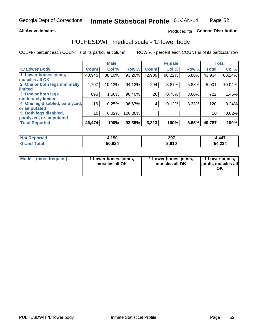#### **All Active Inmates**

### Produced for General Distribution

## PULHESDWIT medical scale - 'L' lower body

COL % - percent each COUNT is of its particular column

|                                |                 | <b>Male</b> |         |              | <b>Female</b> |       |                 | <b>Total</b> |
|--------------------------------|-----------------|-------------|---------|--------------|---------------|-------|-----------------|--------------|
| 'L' Lower Body                 | <b>Count</b>    | Col %       | Row %   | <b>Count</b> | Col %         | Row % | <b>Total</b>    | Col %        |
| 1 Lower bones, joints,         | 40,945          | 88.10%      | 93.20%  | 2,989        | 90.22%        | 6.80% | 43,934          | 88.24%       |
| muscles all OK                 |                 |             |         |              |               |       |                 |              |
| 2 One or both legs minimally   | 4,707           | 10.13%      | 94.12%  | 294          | 8.87%         | 5.88% | 5,001           | 10.04%       |
| limited                        |                 |             |         |              |               |       |                 |              |
| 3 One or both legs             | 696             | 1.50%       | 96.40%  | 26           | 0.78%         | 3.60% | 722             | 1.45%        |
| moderately limited             |                 |             |         |              |               |       |                 |              |
| 4 One leg disabled, paralyzed, | 116             | 0.25%       | 96.67%  | 4            | 0.12%         | 3.33% | 120             | 0.24%        |
| or amputated                   |                 |             |         |              |               |       |                 |              |
| 5 Both legs disabled,          | 10 <sup>1</sup> | 0.02%       | 100.00% |              |               |       | 10 <sub>1</sub> | 0.02%        |
| paralyzed, or amputated        |                 |             |         |              |               |       |                 |              |
| <b>Total Reported</b>          | 46,474          | 100%        | 93.35%  | 3,313        | 100%          | 6.65% | 49,787          | 100%         |

| <b>Not Reported</b> | 1,150  | 297   | .,447  |
|---------------------|--------|-------|--------|
| <b>Grand Total</b>  | 50,624 | 3,610 | 54,234 |

|  | Mode (most frequent) | 1 Lower bones, joints,<br>muscles all OK | 1 Lower bones, joints,<br>muscles all OK | 1 Lower bones,<br>joints, muscles all<br>ΟK |
|--|----------------------|------------------------------------------|------------------------------------------|---------------------------------------------|
|--|----------------------|------------------------------------------|------------------------------------------|---------------------------------------------|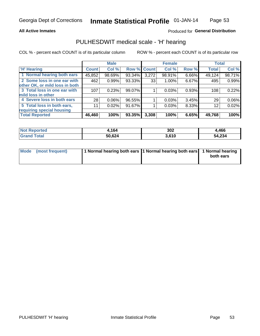#### **All Active Inmates**

## Produced for General Distribution

## PULHESDWIT medical scale - 'H' hearing

COL % - percent each COUNT is of its particular column

|                                |              | <b>Male</b> |        |             | <b>Female</b> |       | <b>Total</b> |        |
|--------------------------------|--------------|-------------|--------|-------------|---------------|-------|--------------|--------|
| <b>'H' Hearing</b>             | <b>Count</b> | Col %       |        | Row % Count | Col %         | Row % | <b>Total</b> | Col %  |
| 1 Normal hearing both ears     | 45,852       | 98.69%      | 93.34% | 3,272       | 98.91%        | 6.66% | 49,124       | 98.71% |
| 2 Some loss in one ear with    | 462          | 0.99%       | 93.33% | 33          | $1.00\%$      | 6.67% | 495          | 0.99%  |
| other OK, or mild loss in both |              |             |        |             |               |       |              |        |
| 3 Total loss in one ear with   | 107          | 0.23%       | 99.07% |             | 0.03%         | 0.93% | 108          | 0.22%  |
| mild loss in other             |              |             |        |             |               |       |              |        |
| 4 Severe loss in both ears     | 28           | 0.06%       | 96.55% |             | 0.03%         | 3.45% | 29           | 0.06%  |
| 5 Total loss in both ears,     | 11           | 0.02%       | 91.67% |             | 0.03%         | 8.33% | 12           | 0.02%  |
| requiring special housing      |              |             |        |             |               |       |              |        |
| <b>Total Reported</b>          | 46,460       | 100%        | 93.35% | 3,308       | 100%          | 6.65% | 49,768       | 100%   |

| rteo | .164   | 302          | l,466  |
|------|--------|--------------|--------|
|      | 50,624 | 2C1<br>, , , | 54,234 |

| Mode (most frequent) | 1 Normal hearing both ears 1 Normal hearing both ears 1 Normal hearing | both ears |
|----------------------|------------------------------------------------------------------------|-----------|
|                      |                                                                        |           |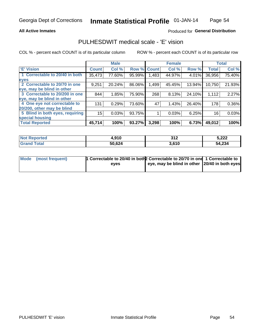#### **All Active Inmates**

### Produced for General Distribution

## PULHESDWIT medical scale - 'E' vision

COL % - percent each COUNT is of its particular column

|                                 |              | <b>Male</b> |        |              | <b>Female</b> |        |              | <b>Total</b> |
|---------------------------------|--------------|-------------|--------|--------------|---------------|--------|--------------|--------------|
| 'E' Vision                      | <b>Count</b> | Col %       | Row %  | <b>Count</b> | Col %         | Row %  | <b>Total</b> | Col %        |
| 1 Correctable to 20/40 in both  | 35,473       | 77.60%      | 95.99% | .483         | 44.97%        | 4.01%  | 36,956       | 75.40%       |
| eyes                            |              |             |        |              |               |        |              |              |
| 2 Correctable to 20/70 in one   | 9,251        | 20.24%      | 86.06% | 1,499        | 45.45%        | 13.94% | 10,750       | 21.93%       |
| eye, may be blind in other      |              |             |        |              |               |        |              |              |
| 3 Correctable to 20/200 in one  | 844          | 1.85%       | 75.90% | 268          | 8.13%         | 24.10% | 1,112        | 2.27%        |
| eye, may be blind in other      |              |             |        |              |               |        |              |              |
| 4 One eye not correctable to    | 131          | 0.29%       | 73.60% | 47           | 1.43%         | 26.40% | 178          | 0.36%        |
| 20/200, other may be blind      |              |             |        |              |               |        |              |              |
| 5 Blind in both eyes, requiring | 15           | 0.03%       | 93.75% |              | 0.03%         | 6.25%  | 16           | 0.03%        |
| special housing                 |              |             |        |              |               |        |              |              |
| <b>Total Reported</b>           | 45,714       | 100%        | 93.27% | 3,298        | 100%          | 6.73%  | 49,012       | 100%         |

| <b>Not Reported</b>  | 4,910  | 21c<br>JIL | 5,222  |
|----------------------|--------|------------|--------|
| <b>Total</b><br>Grar | 50,624 | 3,610      | 54,234 |

| Mode (most frequent) | <sup>1</sup> Correctable to 20/40 in both 2 Correctable to 20/70 in one 1 Correctable to |                                               |  |
|----------------------|------------------------------------------------------------------------------------------|-----------------------------------------------|--|
|                      | eves                                                                                     | eye, may be blind in other 20/40 in both eyes |  |
|                      |                                                                                          |                                               |  |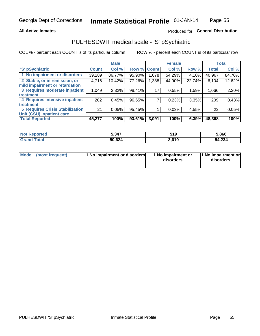#### **All Active Inmates**

### Produced for General Distribution

## PULHESDWIT medical scale - 'S' pSychiatric

COL % - percent each COUNT is of its particular column

|                                        |              | <b>Male</b> |        |              | <b>Female</b> |        |              | <b>Total</b> |
|----------------------------------------|--------------|-------------|--------|--------------|---------------|--------|--------------|--------------|
| 'S' pSychiatric                        | <b>Count</b> | Col %       | Row %  | <b>Count</b> | Col %         | Row %  | <b>Total</b> | Col %        |
| 1 No impairment or disorders           | 39,289       | 86.77%      | 95.90% | .678         | 54.29%        | 4.10%  | 40,967       | 84.70%       |
| 2 Stable, or in remission, or          | 4,716        | 10.42%      | 77.26% | 1,388        | 44.90%        | 22.74% | 6,104        | 12.62%       |
| mild impairment or retardation         |              |             |        |              |               |        |              |              |
| 3 Requires moderate inpatient          | 1,049        | 2.32%       | 98.41% | 17           | 0.55%         | 1.59%  | 1,066        | 2.20%        |
| treatment                              |              |             |        |              |               |        |              |              |
| 4 Requires intensive inpatient         | 202          | 0.45%       | 96.65% |              | 0.23%         | 3.35%  | 209          | 0.43%        |
| treatment                              |              |             |        |              |               |        |              |              |
| <b>5 Requires Crisis Stabilization</b> | 21           | 0.05%       | 95.45% |              | 0.03%         | 4.55%  | 22           | 0.05%        |
| Unit (CSU) inpatient care              |              |             |        |              |               |        |              |              |
| <b>Total Reported</b>                  | 45,277       | 100%        | 93.61% | 3,091        | 100%          | 6.39%  | 48,368       | 100%         |

| <b>Not Reported</b>   | 5,347  | 519   | 5,866  |
|-----------------------|--------|-------|--------|
| Total<br><b>Grand</b> | 50,624 | 3,610 | 54,234 |

| Mode | (most frequent) | 1 No impairment or disorders | 1 No impairment or<br>disorders | 11 No impairment or<br>disorders |
|------|-----------------|------------------------------|---------------------------------|----------------------------------|
|------|-----------------|------------------------------|---------------------------------|----------------------------------|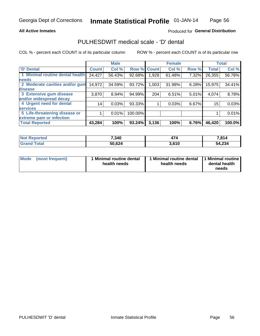#### **All Active Inmates**

### Produced for General Distribution

## PULHESDWIT medical scale - 'D' dental

COL % - percent each COUNT is of its particular column

|                                 |              | <b>Male</b> |         |              | <b>Female</b> |       |              | <b>Total</b> |
|---------------------------------|--------------|-------------|---------|--------------|---------------|-------|--------------|--------------|
| 'D' Dental                      | <b>Count</b> | Col %       | Row %   | <b>Count</b> | Col %         | Row % | <b>Total</b> | Col %        |
| 1 Minimal routine dental health | 24,427       | 56.43%      | 92.68%  | ,928         | 61.48%        | 7.32% | 26,355       | 56.78%       |
| <b>needs</b>                    |              |             |         |              |               |       |              |              |
| 2 Moderate cavities and/or gum  | 14,972       | 34.59%      | 93.72%  | 1,003        | 31.98%        | 6.28% | 15,975       | 34.41%       |
| disease                         |              |             |         |              |               |       |              |              |
| 3 Extensive gum disease         | 3,870        | 8.94%       | 94.99%  | 204          | 6.51%         | 5.01% | 4,074        | 8.78%        |
| and/or widespread decay         |              |             |         |              |               |       |              |              |
| 4 Urgent need for dental        | 14           | 0.03%       | 93.33%  |              | 0.03%         | 6.67% | 15           | 0.03%        |
| <b>Services</b>                 |              |             |         |              |               |       |              |              |
| 5 Life-threatening disease or   |              | 0.01%       | 100.00% |              |               |       |              | 0.01%        |
| extreme pain or infection       |              |             |         |              |               |       |              |              |
| <b>Total Reported</b>           | 43,284       | 100%        | 93.24%  | 3,136        | 100%          | 6.76% | 46,420       | 100.0%       |

| <b>Not Reported</b> | 7,340  | $\rightarrow$ | 7,814  |
|---------------------|--------|---------------|--------|
| <b>Grand Total</b>  | 50,624 | 3,610         | 54,234 |

| 1 Minimal routine dental<br>Mode<br>(most frequent)<br>health needs | 1 Minimal routine dental 1 Minimal routine<br>health needs | dental health<br>needs |
|---------------------------------------------------------------------|------------------------------------------------------------|------------------------|
|---------------------------------------------------------------------|------------------------------------------------------------|------------------------|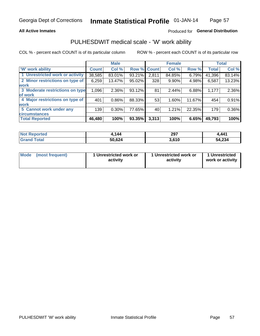### **All Active Inmates**

### Produced for General Distribution

## PULHESDWIT medical scale - 'W' work ability

COL % - percent each COUNT is of its particular column

|                                 |               | <b>Male</b> |        |              | <b>Female</b> |        |              | <b>Total</b> |
|---------------------------------|---------------|-------------|--------|--------------|---------------|--------|--------------|--------------|
| <b>W'</b> work ability          | <b>Count!</b> | Col %       | Row %  | <b>Count</b> | Col %         | Row %  | <b>Total</b> | Col %        |
| 1 Unrestricted work or activity | 38,585        | 83.01%      | 93.21% | 2,811        | 84.85%        | 6.79%  | 41,396       | 83.14%       |
| 2 Minor restrictions on type of | 6,259         | 13.47%      | 95.02% | 328          | 9.90%         | 4.98%  | 6,587        | 13.23%       |
| <b>work</b>                     |               |             |        |              |               |        |              |              |
| 3 Moderate restrictions on type | 1,096         | 2.36%       | 93.12% | 81           | 2.44%         | 6.88%  | 1,177        | 2.36%        |
| of work                         |               |             |        |              |               |        |              |              |
| 4 Major restrictions on type of | 401           | $0.86\%$    | 88.33% | 53           | 1.60%         | 11.67% | 454          | 0.91%        |
| <b>work</b>                     |               |             |        |              |               |        |              |              |
| 5 Cannot work under any         | 139           | 0.30%       | 77.65% | 40           | 1.21%         | 22.35% | 179          | 0.36%        |
| <b>circumstances</b>            |               |             |        |              |               |        |              |              |
| <b>Total Reported</b>           | 46,480        | 100%        | 93.35% | 3,313        | 100%          | 6.65%  | 49,793       | 100%         |

| <b>Not Reported</b>     | .144   | 297   | .441   |
|-------------------------|--------|-------|--------|
| <b>Total</b><br>' Grand | 50,624 | 3,610 | 54,234 |

| Mode            | 1 Unrestricted work or | 1 Unrestricted work or | 1 Unrestricted   |
|-----------------|------------------------|------------------------|------------------|
| (most frequent) | activity               | activity               | work or activity |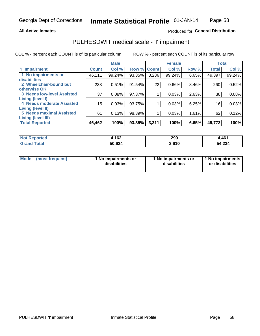#### **All Active Inmates**

### Produced for General Distribution

## PULHESDWIT medical scale - 'I' impairment

COL % - percent each COUNT is of its particular column

|                                                              |              | <b>Male</b> |        |             | <b>Female</b> |       |              | <b>Total</b> |
|--------------------------------------------------------------|--------------|-------------|--------|-------------|---------------|-------|--------------|--------------|
| <b>T' Impairment</b>                                         | <b>Count</b> | Col %       |        | Row % Count | Col %         | Row % | <b>Total</b> | Col %        |
| 1 No impairments or<br>disabilities                          | 46,111       | 99.24%      | 93.35% | 3,286       | 99.24%        | 6.65% | 49,397       | 99.24%       |
| 2 Wheelchair-bound but<br>otherwise OK                       | 238          | 0.51%       | 91.54% | 22          | 0.66%         | 8.46% | 260          | 0.52%        |
| <b>3 Needs low-level Assisted</b><br>Living (level I)        | 37           | 0.08%       | 97.37% |             | 0.03%         | 2.63% | 38           | 0.08%        |
| 4 Needs moderate Assisted<br><b>Living (level II)</b>        | $15\,$       | 0.03%       | 93.75% |             | 0.03%         | 6.25% | 16           | 0.03%        |
| <b>5 Needs maximal Assisted</b><br><b>Living (level III)</b> | 61           | 0.13%       | 98.39% |             | 0.03%         | 1.61% | 62           | 0.12%        |
| <b>Total Reported</b>                                        | 46,462       | 100%        | 93.35% | 3,311       | 100%          | 6.65% | 49,773       | 100%         |

| <b>Not Reported</b> | 1,162  | 299   | 4,461  |
|---------------------|--------|-------|--------|
| <b>Grand Total</b>  | 50,624 | 3.610 | 54,234 |

| Mode | (most frequent) | 1 No impairments or<br>disabilities | 1 No impairments or<br>disabilities | 1 No impairments<br>or disabilities |
|------|-----------------|-------------------------------------|-------------------------------------|-------------------------------------|
|------|-----------------|-------------------------------------|-------------------------------------|-------------------------------------|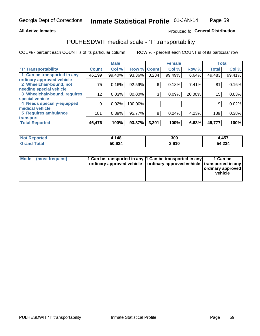### **All Active Inmates**

### Produced fo General Distribution

## PULHESDWIT medical scale - 'T' transportability

COL % - percent each COUNT is of its particular column

|                              |              | <b>Male</b> |         |              | <b>Female</b> |        |              | <b>Total</b> |
|------------------------------|--------------|-------------|---------|--------------|---------------|--------|--------------|--------------|
| <b>T' Transportability</b>   | <b>Count</b> | Col %       | Row %   | <b>Count</b> | Col %         | Row %  | <b>Total</b> | Col %        |
| 1 Can be transported in any  | 46,199       | 99.40%      | 93.36%  | 3,284        | 99.49%        | 6.64%  | 49,483       | 99.41%       |
| ordinary approved vehicle    |              |             |         |              |               |        |              |              |
| 2 Wheelchair-bound, not      | 75           | 0.16%       | 92.59%  | 6            | 0.18%         | 7.41%  | 81           | 0.16%        |
| needing special vehicle      |              |             |         |              |               |        |              |              |
| 3 Wheelchair-bound, requires | 12           | 0.03%       | 80.00%  | 3            | 0.09%         | 20.00% | 15           | 0.03%        |
| special vehicle              |              |             |         |              |               |        |              |              |
| 4 Needs specially-equipped   | 9            | 0.02%       | 100.00% |              |               |        | 9            | 0.02%        |
| medical vehicle              |              |             |         |              |               |        |              |              |
| <b>5 Requires ambulance</b>  | 181          | 0.39%       | 95.77%  | 8            | 0.24%         | 4.23%  | 189          | 0.38%        |
| transport                    |              |             |         |              |               |        |              |              |
| <b>Total Reported</b>        | 46,476       | 100%        | 93.37%  | 3,301        | 100%          | 6.63%  | 49,777       | 100%         |

| <b>Not</b><br>Reported | ,148   | 309   | 4,457  |
|------------------------|--------|-------|--------|
| 'otal                  | 50,624 | 610.د | 54,234 |

|  | Mode (most frequent) | 1 Can be transported in any 1 Can be transported in any<br>ordinary approved vehicle   ordinary approved vehicle   transported in any |  | 1 Can be<br>  ordinary approved  <br>vehicle |
|--|----------------------|---------------------------------------------------------------------------------------------------------------------------------------|--|----------------------------------------------|
|--|----------------------|---------------------------------------------------------------------------------------------------------------------------------------|--|----------------------------------------------|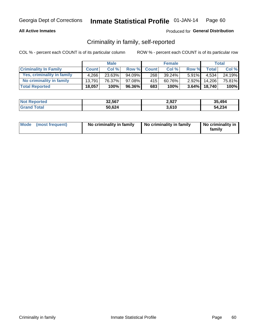### **All Active Inmates**

### Produced for General Distribution

## Criminality in family, self-reported

COL % - percent each COUNT is of its particular column

|                              |              | <b>Male</b> |           |              | <b>Female</b> |          |              | Total  |
|------------------------------|--------------|-------------|-----------|--------------|---------------|----------|--------------|--------|
| <b>Criminality In Family</b> | <b>Count</b> | Col%        | Row %     | <b>Count</b> | Col %         | Row %    | <b>Total</b> | Col %  |
| Yes, criminality in family   | 4,266        | $23.63\%$   | 94.09%    | 268          | 39.24%        | $5.91\%$ | 4.534        | 24.19% |
| No criminality in family     | 13.791       | 76.37%      | $97.08\%$ | 415          | 60.76%        | $2.92\%$ | 14,206       | 75.81% |
| <b>Total Reported</b>        | 18,057       | 100%        | 96.36%    | 683          | 100%          |          | 3.64% 18,740 | 100%   |

| <b>Not Reported</b> | 32,567 | 2,927 | 35.494 |
|---------------------|--------|-------|--------|
| <b>Total</b>        | 50,624 | 3,610 | 54,234 |

|  | Mode (most frequent) | No criminality in family | No criminality in family | No criminality in<br>family |
|--|----------------------|--------------------------|--------------------------|-----------------------------|
|--|----------------------|--------------------------|--------------------------|-----------------------------|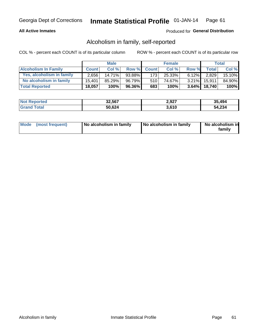### **All Active Inmates**

### Produced for General Distribution

## Alcoholism in family, self-reported

COL % - percent each COUNT is of its particular column

|                             |              | <b>Male</b> |              |                  | <b>Female</b> |          |              | Total  |
|-----------------------------|--------------|-------------|--------------|------------------|---------------|----------|--------------|--------|
| <b>Alcoholism In Family</b> | <b>Count</b> | Col %       | <b>Row %</b> | <b>Count</b>     | Col %         | Row %    | <b>Total</b> | Col %  |
| Yes, alcoholism in family   | 2.656        | $14.71\%$   | 93.88%       | 173 <sup>1</sup> | 25.33%        | $6.12\%$ | 2,829        | 15.10% |
| No alcoholism in family     | 15.401       | $85.29\%$   | 96.79%       | 510              | 74.67%        |          | 3.21% 15,911 | 84.90% |
| <b>Total Reported</b>       | 18,057       | 100%        | 96.36%       | 683              | 100%          |          | 3.64% 18,740 | 100%   |

| <b>Not Reported</b> | 32,567 | 2,927 | 35.494 |
|---------------------|--------|-------|--------|
| <b>Grand Total</b>  | 50,624 | 3.610 | 54,234 |

|  | Mode (most frequent) | No alcoholism in family | No alcoholism in family | No alcoholism in<br>family |
|--|----------------------|-------------------------|-------------------------|----------------------------|
|--|----------------------|-------------------------|-------------------------|----------------------------|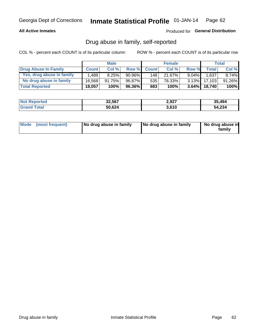### **All Active Inmates**

### Produced for General Distribution

## Drug abuse in family, self-reported

COL % - percent each COUNT is of its particular column

|                           |              | <b>Male</b> |           |              | <b>Female</b> |          |              | Total    |
|---------------------------|--------------|-------------|-----------|--------------|---------------|----------|--------------|----------|
| Drug Abuse In Family      | <b>Count</b> | Col%        | Row %     | <b>Count</b> | Col%          | Row %    | Total        | Col %    |
| Yes, drug abuse in family | 1.489        | 8.25%       | $90.96\%$ | 148          | 21.67%        | $9.04\%$ | 1,637        | $8.74\%$ |
| No drug abuse in family   | 16.568       | 91.75%      | 96.87%    | 535          | 78.33%        | $3.13\%$ | 17.103       | 91.26%   |
| <b>Total Reported</b>     | 18,057       | 100%        | 96.36%    | 683          | 100%          |          | 3.64% 18,740 | $100\%$  |

| <b>Not Reported</b> | 32,567 | 2,927 | 35.494 |
|---------------------|--------|-------|--------|
| <b>Total</b>        | 50,624 | 3,610 | 54,234 |

|  | Mode (most frequent) | No drug abuse in family | No drug abuse in family | No drug abuse in<br>familv |
|--|----------------------|-------------------------|-------------------------|----------------------------|
|--|----------------------|-------------------------|-------------------------|----------------------------|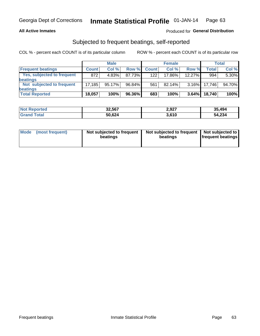#### **All Active Inmates**

### Produced for General Distribution

## Subjected to frequent beatings, self-reported

COL % - percent each COUNT is of its particular column

|                            |              | <b>Male</b> |        |              | <b>Female</b> |           |        | Total  |
|----------------------------|--------------|-------------|--------|--------------|---------------|-----------|--------|--------|
| <b>Frequent beatings</b>   | <b>Count</b> | Col %       | Row %  | <b>Count</b> | Col %         | Row %     | Total  | Col %  |
| Yes, subjected to frequent | 872          | 4.83%       | 87.73% | 122          | $17.86\%$     | $12.27\%$ | 994    | 5.30%  |
| beatings                   |              |             |        |              |               |           |        |        |
| Not subjected to frequent  | 17.185       | 95.17%      | 96.84% | 561          | $82.14\%$     | $3.16\%$  | 17.746 | 94.70% |
| beatings                   |              |             |        |              |               |           |        |        |
| <b>Total Reported</b>      | 18,057       | 100%        | 96.36% | 683          | 100%          | 3.64%     | 18,740 | 100%   |

| <b>Not Reported</b> | 32,567 | 2,927 | 35,494 |
|---------------------|--------|-------|--------|
| <b>'Grand Total</b> | 50,624 | 3,610 | 54,234 |

| Mode (most frequent) | Not subjected to frequent<br>beatings | Not subjected to frequent<br>beatings | Not subjected to<br><b>frequent beatings</b> |
|----------------------|---------------------------------------|---------------------------------------|----------------------------------------------|
|                      |                                       |                                       |                                              |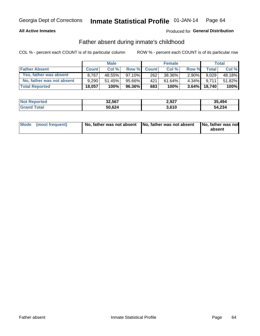#### **All Active Inmates**

### Produced for General Distribution

## Father absent during inmate's childhood

COL % - percent each COUNT is of its particular column

|                           |              | <b>Male</b> |           |              | <b>Female</b> |          |        | <b>Total</b> |
|---------------------------|--------------|-------------|-----------|--------------|---------------|----------|--------|--------------|
| <b>Father Absent</b>      | <b>Count</b> | Col%        | Row %     | <b>Count</b> | Col %         | Row %    | Total  | Col %        |
| Yes, father was absent    | 8.767        | 48.55%      | $97.10\%$ | 262          | 38.36%        | $2.90\%$ | 9.029  | 48.18%       |
| No, father was not absent | 9.290        | $51.45\%$   | 95.66%    | 421          | 61.64%        | $4.34\%$ | 9.711  | 51.82%       |
| <b>Total Reported</b>     | 18,057       | 100%        | $96.36\%$ | 683          | 100%          | $3.64\%$ | 18,740 | 100%         |

| <b>Not Reported</b> | 32,567 | 2,927 | 35,494 |
|---------------------|--------|-------|--------|
| <b>Grand Total</b>  | 50,624 | 3,610 | 54,234 |

|  | Mode (most frequent) | No, father was not absent No, father was not absent |  | No, father was not<br>absent |
|--|----------------------|-----------------------------------------------------|--|------------------------------|
|--|----------------------|-----------------------------------------------------|--|------------------------------|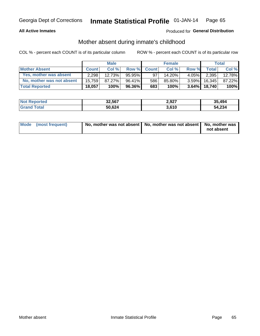### **All Active Inmates**

## Produced for General Distribution

## Mother absent during inmate's childhood

COL % - percent each COUNT is of its particular column

|                           | <b>Male</b>  |        |           | <b>Female</b> |        |          | Total        |        |
|---------------------------|--------------|--------|-----------|---------------|--------|----------|--------------|--------|
| <b>Mother Absent</b>      | <b>Count</b> | Col%   | Row %     | <b>Count</b>  | Col %  | Row %    | <b>Total</b> | Col %  |
| Yes, mother was absent    | 2.298        | 12.73% | $95.95\%$ | 97            | 14.20% | $4.05\%$ | 2,395        | 12.78% |
| No, mother was not absent | 15.759       | 87.27% | $96.41\%$ | 586           | 85.80% | $3.59\%$ | 16.345       | 87.22% |
| <b>Total Reported</b>     | 18,057       | 100%   | $96.36\%$ | 683           | 100%   | $3.64\%$ | 18.740       | 100%   |

| <b>Not Reported</b> | 32,567 | 2,927 | 35.494 |
|---------------------|--------|-------|--------|
| <b>Total</b>        | 50,624 | 3,610 | 54,234 |

| Mode (most frequent) | No, mother was not absent   No, mother was not absent   No, mother was | not absent |
|----------------------|------------------------------------------------------------------------|------------|
|                      |                                                                        |            |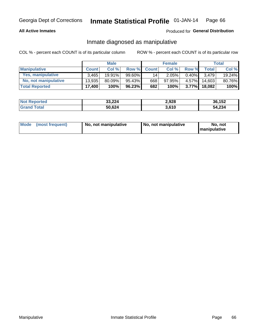### **All Active Inmates**

### Produced for General Distribution

## Inmate diagnosed as manipulative

COL % - percent each COUNT is of its particular column

|                       | <b>Male</b>  |        |        | <b>Female</b> |        |          | Total        |        |
|-----------------------|--------------|--------|--------|---------------|--------|----------|--------------|--------|
| <b>Manipulative</b>   | <b>Count</b> | Col %  | Row %  | <b>Count</b>  | Col%   | Row %    | <b>Total</b> | Col %  |
| Yes, manipulative     | 3.465        | 19.91% | 99.60% | 14            | 2.05%  | 0.40%    | 3.479        | 19.24% |
| No, not manipulative  | 13,935       | 80.09% | 95.43% | 668           | 97.95% | $4.57\%$ | 14.603       | 80.76% |
| <b>Total Reported</b> | 17,400       | 100%   | 96.23% | 682           | 100%   | 3.77%    | 18.082       | 100%   |

| <b>Not Reported</b> | 33,224 | 2,928 | 36,152 |
|---------------------|--------|-------|--------|
| l Grand T<br>Гоtаl  | 50,624 | 3,610 | 54,234 |

|  | Mode (most frequent) | No. not manipulative | No, not manipulative | No. not<br><b>I</b> manipulative |
|--|----------------------|----------------------|----------------------|----------------------------------|
|--|----------------------|----------------------|----------------------|----------------------------------|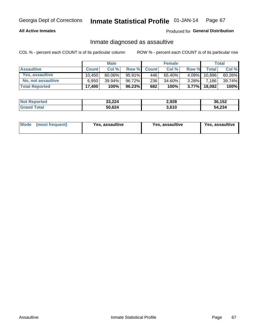### **All Active Inmates**

### Produced for General Distribution

## Inmate diagnosed as assaultive

COL % - percent each COUNT is of its particular column

|                       | <b>Male</b>  |           |           | <b>Female</b> |        |          | Total  |        |
|-----------------------|--------------|-----------|-----------|---------------|--------|----------|--------|--------|
| <b>Assaultive</b>     | <b>Count</b> | Col%      | Row %     | <b>Count</b>  | Col %  | Row %    | Total  | Col %  |
| Yes, assaultive       | 10.450       | $60.06\%$ | 95.91%    | 446           | 65.40% | 4.09%    | 10,896 | 60.26% |
| No, not assaultive    | 6.950        | $39.94\%$ | 96.72%    | 236           | 34.60% | $3.28\%$ | 7,186  | 39.74% |
| <b>Total Reported</b> | 17,400       | 100%      | $96.23\%$ | 682           | 100%   | $3.77\%$ | 18,082 | 100%   |

| <b>Not Reported</b> | 33,224 | 2,928 | 36,152 |
|---------------------|--------|-------|--------|
| <b>Grand Total</b>  | 50,624 | 3.610 | 54,234 |

| Mode (most frequent)<br>Yes, assaultive | Yes, assaultive | <b>Yes, assaultive</b> |
|-----------------------------------------|-----------------|------------------------|
|-----------------------------------------|-----------------|------------------------|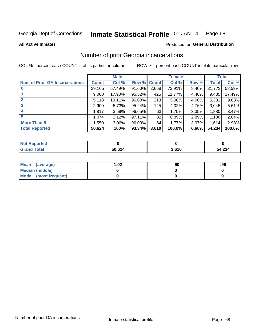#### Inmate Statistical Profile 01-JAN-14 Page 68

**All Active Inmates** 

### **Produced for General Distribution**

## Number of prior Georgia incarcerations

COL % - percent each COUNT is of its particular column

|                                       |              | <b>Male</b> |             |       | <b>Female</b> |          |        | <b>Total</b> |
|---------------------------------------|--------------|-------------|-------------|-------|---------------|----------|--------|--------------|
| <b>Num of Prior GA Incarcerations</b> | <b>Count</b> | Col %       | Row % Count |       | Col %         | Row %    | Total  | Col %        |
|                                       | 29,105       | 57.49%      | 91.60%      | 2,668 | 73.91%        | $8.40\%$ | 31,773 | 58.59%       |
|                                       | 9,060        | 17.90%      | 95.52%      | 425   | 11.77%        | 4.48%    | 9,485  | 17.49%       |
| $\overline{2}$                        | 5,118        | 10.11%      | 96.00%      | 213   | 5.90%         | 4.00%    | 5,331  | 9.83%        |
| 3                                     | 2,900        | 5.73%       | 95.24%      | 145   | 4.02%         | 4.76%    | 3,045  | 5.61%        |
| $\boldsymbol{4}$                      | 1,817        | 3.59%       | 96.65%      | 63    | 1.75%         | 3.35%    | 1,880  | 3.47%        |
| 5                                     | 1,074        | 2.12%       | 97.11%      | 32    | 0.89%         | 2.89%    | 1,106  | 2.04%        |
| <b>More Than 5</b>                    | ا 550.1      | $3.06\%$    | 96.03%      | 64    | 1.77%         | 3.97%    | 1.614  | 2.98%        |
| <b>Total Reported</b>                 | 50,624       | 100%        | 93.34%      | 3,610 | 100.0%        | 6.66%    | 54,234 | 100.0%       |

| <b>Not Reported</b> |        |       |        |
|---------------------|--------|-------|--------|
| <b>Grand Total</b>  | 50,624 | 3.610 | 54,234 |

| Mean (average)       | $\overline{.02}$ | .ou | .99 |
|----------------------|------------------|-----|-----|
| Median (middle)      |                  |     |     |
| Mode (most frequent) |                  |     |     |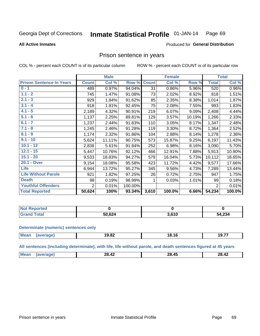#### Inmate Statistical Profile 01-JAN-14 Page 69

#### **All Active Inmates**

#### Produced for General Distribution

### Prison sentence in years

COL % - percent each COUNT is of its particular column

ROW % - percent each COUNT is of its particular row

|                                 | <b>Male</b>  |        |         | <b>Female</b> |        |        | <b>Total</b>   |        |
|---------------------------------|--------------|--------|---------|---------------|--------|--------|----------------|--------|
| <b>Prison Sentence In Years</b> | <b>Count</b> | Col %  | Row %   | <b>Count</b>  | Col %  | Row %  | <b>Total</b>   | Col %  |
| $0 - 1$                         | 489          | 0.97%  | 94.04%  | 31            | 0.86%  | 5.96%  | 520            | 0.96%  |
| $1.1 - 2$                       | 745          | 1.47%  | 91.08%  | 73            | 2.02%  | 8.92%  | 818            | 1.51%  |
| $2.1 - 3$                       | 929          | 1.84%  | 91.62%  | 85            | 2.35%  | 8.38%  | 1,014          | 1.87%  |
| $3.1 - 4$                       | 918          | 1.81%  | 92.45%  | 75            | 2.08%  | 7.55%  | 993            | 1.83%  |
| $4.1 - 5$                       | 2,189        | 4.32%  | 90.91%  | 219           | 6.07%  | 9.09%  | 2,408          | 4.44%  |
| $5.1 - 6$                       | 1,137        | 2.25%  | 89.81%  | 129           | 3.57%  | 10.19% | 1,266          | 2.33%  |
| $6.1 - 7$                       | 1,237        | 2.44%  | 91.83%  | 110           | 3.05%  | 8.17%  | 1,347          | 2.48%  |
| $7.1 - 8$                       | 1,245        | 2.46%  | 91.28%  | 119           | 3.30%  | 8.72%  | 1,364          | 2.52%  |
| $8.1 - 9$                       | 1,174        | 2.32%  | 91.86%  | 104           | 2.88%  | 8.14%  | 1,278          | 2.36%  |
| $9.1 - 10$                      | 5,624        | 11.11% | 90.75%  | 573           | 15.87% | 9.25%  | 6,197          | 11.43% |
| $10.1 - 12$                     | 2,838        | 5.61%  | 91.84%  | 252           | 6.98%  | 8.16%  | 3,090          | 5.70%  |
| $12.1 - 15$                     | 5,447        | 10.76% | 92.12%  | 466           | 12.91% | 7.88%  | 5,913          | 10.90% |
| $15.1 - 20$                     | 9,533        | 18.83% | 94.27%  | 579           | 16.04% | 5.73%  | 10,112         | 18.65% |
| 20.1 - Over                     | 9,154        | 18.08% | 95.58%  | 423           | 11.72% | 4.42%  | 9,577          | 17.66% |
| <b>Life</b>                     | 6,944        | 13.72% | 95.27%  | 345           | 9.56%  | 4.73%  | 7,289          | 13.44% |
| <b>Life Without Parole</b>      | 921          | 1.82%  | 97.25%  | 26            | 0.72%  | 2.75%  | 947            | 1.75%  |
| <b>Death</b>                    | 98           | 0.19%  | 98.99%  |               | 0.03%  | 1.01%  | 99             | 0.18%  |
| <b>Youthful Offenders</b>       | 2            | 0.01%  | 100.00% |               |        |        | $\overline{2}$ | 0.01%  |
| <b>Total Reported</b>           | 50,624       | 100%   | 93.34%  | 3,610         | 100.0% | 6.66%  | 54,234         | 100.0% |

| <b>Not Reported</b> |        |      |       |  |  |
|---------------------|--------|------|-------|--|--|
| 'otal               | 50 624 | 2001 | 1,234 |  |  |
| . Cir $\epsilon$    |        | .    | ٠л    |  |  |

#### **Determinate (numeric) sentences only**

| <b>Mean</b> | הה הו<br>19.8Z | --<br>18.10 | 10.7<br>' ז.י |
|-------------|----------------|-------------|---------------|
|             |                |             |               |

All sentences (including determinate), with life, life without parole, and death sentences figured at 45 years

| . .<br>M<br>$\overline{ }$<br>$\overline{ }$<br>ንՋ<br>28.4.<br>n.,<br>л'<br>28.42<br>--<br>_____<br>____ |  |  |  |
|----------------------------------------------------------------------------------------------------------|--|--|--|
|                                                                                                          |  |  |  |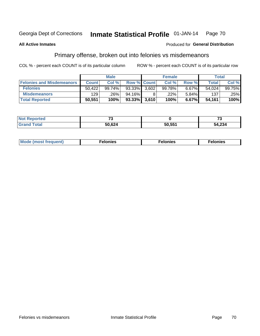#### Inmate Statistical Profile 01-JAN-14 Page 70

#### **All Active Inmates**

#### Produced for General Distribution

## Primary offense, broken out into felonies vs misdemeanors

COL % - percent each COUNT is of its particular column

|                                  | <b>Male</b>  |        |                 | <b>Female</b> |        |       | Total        |        |
|----------------------------------|--------------|--------|-----------------|---------------|--------|-------|--------------|--------|
| <b>Felonies and Misdemeanors</b> | <b>Count</b> | Col %  |                 | Row % Count   | Col %  | Row % | <b>Total</b> | Col %  |
| <b>Felonies</b>                  | 50.422       | 99.74% | 93.33%          | 3.602         | 99.78% | 6.67% | 54,024       | 99.75% |
| <b>Misdemeanors</b>              | 129          | .26%   | 94.16%          |               | .22%   | 5.84% | 137          | .25%   |
| <b>Total Reported</b>            | 50,551       | 100%   | $93.33\%$ 3,610 |               | 100%   | 6.67% | 54,161       | 100%   |

| <b>Not Reported</b> | -0     |           | --     |
|---------------------|--------|-----------|--------|
| <b>Grand Total</b>  | 50,624 | $50,55^*$ | 54,234 |

| Mo | ____ | 11 C.S<br>. | onies<br>. |
|----|------|-------------|------------|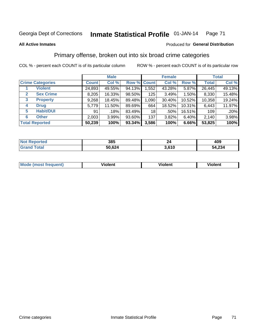## Georgia Dept of Corrections **Inmate Statistical Profile** 01-JAN-14 Page 71

#### **All Active Inmates**

#### Produced for **General Distribution**

## Primary offense, broken out into six broad crime categories

COL % - percent each COUNT is of its particular column ROW % - percent each COUNT is of its particular row

|                                 |              | <b>Male</b> |        |             | <b>Female</b> |        |              | <b>Total</b> |  |
|---------------------------------|--------------|-------------|--------|-------------|---------------|--------|--------------|--------------|--|
| <b>Crime Categories</b>         | <b>Count</b> | Col %       |        | Row % Count | Col %         | Row %  | <b>Total</b> | Col %        |  |
| <b>Violent</b>                  | 24,893       | 49.55%      | 94.13% | 1,552       | 43.28%        | 5.87%  | 26,445       | 49.13%       |  |
| <b>Sex Crime</b><br>2           | 8,205        | 16.33%      | 98.50% | 125         | 3.49%         | 1.50%  | 8,330        | 15.48%       |  |
| $\mathbf{3}$<br><b>Property</b> | 9,268        | 18.45%      | 89.48% | 1,090       | 30.40%        | 10.52% | 10,358       | 19.24%       |  |
| <b>Drug</b><br>4                | 5,779        | 11.50%      | 89.69% | 664         | 18.52%        | 10.31% | 6,443        | 11.97%       |  |
| <b>Habit/DUI</b><br>5           | 91           | .18%        | 83.49% | 18          | .50%          | 16.51% | 109          | .20%         |  |
| <b>Other</b><br>6               | 2,003        | 3.99%       | 93.60% | 137         | 3.82%         | 6.40%  | 2,140        | 3.98%        |  |
| <b>Total Reported</b>           | 50,239       | 100%        | 93.34% | 3,586       | 100%          | 6.66%  | 53,825       | 100%         |  |

| <b>Not Reported</b>    | 385    | ገለ    | 409    |
|------------------------|--------|-------|--------|
| <b>Total</b><br>'Grand | 50,624 | 3,610 | 54,234 |

| Mo<br>uent)<br>nos | .<br>/iolent | <br>Violent | - --<br><b>Tiolent</b> |
|--------------------|--------------|-------------|------------------------|
|                    |              |             |                        |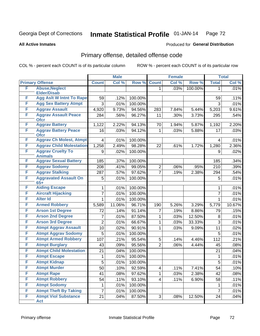## Georgia Dept of Corrections **Inmate Statistical Profile** 01-JAN-14 Page 72

#### **All Active Inmates**

# Produced for **General Distribution**

## Primary offense, detailed offense code

COL % - percent each COUNT is of its particular column ROW % - percent each COUNT is of its particular row

|   |                                            |                | <b>Male</b> |         |                | <b>Female</b> |         |                | <b>Total</b> |
|---|--------------------------------------------|----------------|-------------|---------|----------------|---------------|---------|----------------|--------------|
|   | <b>Primary Offense</b>                     | <b>Count</b>   | Col %       | Row %   | <b>Count</b>   | Col %         | Row %   | <b>Total</b>   | Col %        |
| F | <b>Abuse, Neglect</b>                      |                |             |         | 1              | .03%          | 100.00% | 1              | .01%         |
|   | <b>Elder/Disab</b>                         |                |             |         |                |               |         |                |              |
| F | <b>Agg Aslt W Intnt To Rape</b>            | 59             | .12%        | 100.00% |                |               |         | 59             | .11%         |
| F | <b>Agg Sex Battery Atmpt</b>               | 3              | .01%        | 100.00% |                |               |         | 3              | .01%         |
| F | <b>Aggrav Assault</b>                      | 4,920          | 9.73%       | 94.56%  | 283            | 7.84%         | 5.44%   | 5,203          | 9.61%        |
| F | <b>Aggrav Assault Peace</b><br><b>Ofcr</b> | 284            | .56%        | 96.27%  | 11             | .30%          | 3.73%   | 295            | .54%         |
| F | <b>Aggrav Battery</b>                      | 1,122          | 2.22%       | 94.13%  | 70             | 1.94%         | 5.87%   | 1,192          | 2.20%        |
| F | <b>Aggrav Battery Peace</b><br><b>Ofcr</b> | 16             | .03%        | 94.12%  | 1              | .03%          | 5.88%   | 17             | .03%         |
| F | <b>Aggrav Ch Molest, Atmpt</b>             | 4              | .01%        | 100.00% |                |               |         | 4              | .01%         |
| F | <b>Aggrav Child Molestation</b>            | 1,258          | 2.49%       | 98.28%  | 22             | .61%          | 1.72%   | 1,280          | 2.36%        |
| F | <b>Aggrav Cruelty To</b><br><b>Animals</b> | 9              | .02%        | 100.00% |                |               |         | 9              | .02%         |
| F | <b>Aggrav Sexual Battery</b>               | 185            | .37%        | 100.00% |                |               |         | 185            | .34%         |
| F | <b>Aggrav Sodomy</b>                       | 208            | .41%        | 99.05%  | 2              | .06%          | .95%    | 210            | .39%         |
| F | <b>Aggrav Stalking</b>                     | 287            | .57%        | 97.62%  | $\overline{7}$ | .19%          | 2.38%   | 294            | .54%         |
| F | <b>Aggravated Assault On</b><br>$65+$      | 5              | .01%        | 100.00% |                |               |         | 5              | .01%         |
| F | <b>Aiding Escape</b>                       | 1              | .01%        | 100.00% |                |               |         | 1              | .01%         |
| F | <b>Aircraft Hijacking</b>                  | 7              | .01%        | 100.00% |                |               |         | $\overline{7}$ | .01%         |
| F | <b>Alter Id</b>                            | 1              | .01%        | 100.00% |                |               |         | 1              | .01%         |
| F | <b>Armed Robbery</b>                       | 5,589          | 11.06%      | 96.71%  | 190            | 5.26%         | 3.29%   | 5,779          | 10.67%       |
| F | <b>Arson 1st Degree</b>                    | 72             | .14%        | 91.14%  | 7              | .19%          | 8.86%   | 79             | .15%         |
| F | <b>Arson 2nd Degree</b>                    | 7              | .01%        | 87.50%  | 1              | .03%          | 12.50%  | 8              | .01%         |
| F | <b>Arson 3rd Degree</b>                    | $\overline{2}$ | .01%        | 66.67%  | 1              | .03%          | 33.33%  | 3              | .01%         |
| F | <b>Atmpt Aggrav Assault</b>                | 10             | .02%        | 90.91%  | 1              | .03%          | 9.09%   | 11             | .02%         |
| F | <b>Atmpt Aggrav Sodomy</b>                 | 5              | .01%        | 100.00% |                |               |         | 5              | .01%         |
| F | <b>Atmpt Armed Robbery</b>                 | 107            | .21%        | 95.54%  | 5              | .14%          | 4.46%   | 112            | .21%         |
| F | <b>Atmpt Burglary</b>                      | 43             | .09%        | 95.56%  | $\overline{2}$ | .06%          | 4.44%   | 45             | .08%         |
| F | <b>Atmpt Child Molestation</b>             | 21             | .04%        | 100.00% |                |               |         | 21             | .04%         |
| F | <b>Atmpt Escape</b>                        | 1              | .01%        | 100.00% |                |               |         | 1              | .01%         |
| F | <b>Atmpt Kidnap</b>                        | 5              | .01%        | 100.00% |                |               |         | 5              | .01%         |
| F | <b>Atmpt Murder</b>                        | 50             | .10%        | 92.59%  | 4              | .11%          | 7.41%   | 54             | .10%         |
| F | <b>Atmpt Rape</b>                          | 41             | .08%        | 97.62%  | 1              | .03%          | 2.38%   | 42             | .08%         |
| F | <b>Atmpt Robbery</b>                       | 54             | .11%        | 93.10%  | 4              | .11%          | 6.90%   | 58             | .11%         |
| F | <b>Atmpt Sodomy</b>                        | 1              | .01%        | 100.00% |                |               |         | 1              | .01%         |
| F | <b>Atmpt Theft By Taking</b>               | $\overline{7}$ | .01%        | 100.00% |                |               |         | $\overline{7}$ | .01%         |
| F | <b>Atmpt Viol Substance</b>                | 21             | .04%        | 87.50%  | 3 <sup>1</sup> | .08%          | 12.50%  | 24             | .04%         |
|   | <b>Act</b>                                 |                |             |         |                |               |         |                |              |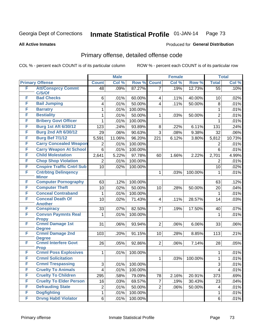**All Active Inmates**

#### Produced for **General Distribution**

### Primary offense, detailed offense code

|        |                                                           |                | <b>Male</b> |         |                         | <b>Female</b> |         |                         | <b>Total</b> |
|--------|-----------------------------------------------------------|----------------|-------------|---------|-------------------------|---------------|---------|-------------------------|--------------|
|        | <b>Primary Offense</b>                                    | <b>Count</b>   | Col %       | Row %   | <b>Count</b>            | Col %         | Row %   | <b>Total</b>            | Col %        |
| F      | <b>Att/Consprcy Commt</b>                                 | 48             | .09%        | 87.27%  | $\overline{7}$          | .19%          | 12.73%  | 55                      | .10%         |
| F      | C/S/Of<br><b>Bad Checks</b>                               |                |             |         |                         |               |         |                         |              |
| F      | <b>Bail Jumping</b>                                       | 6              | .01%        | 60.00%  | $\overline{\mathbf{4}}$ | .11%          | 40.00%  | 10                      | .02%         |
| F      |                                                           | 4              | .01%        | 50.00%  | 4                       | .11%          | 50.00%  | 8                       | .01%         |
|        | <b>Barratry</b>                                           | 1              | .01%        | 100.00% |                         |               |         | $\mathbf{1}$            | .01%         |
| F      | <b>Bestiality</b>                                         | 1              | .01%        | 50.00%  | 1                       | .03%          | 50.00%  | $\overline{c}$          | .01%         |
| F      | <b>Bribery Govt Officer</b>                               | 1              | .01%        | 100.00% |                         |               |         | 1                       | .01%         |
| F      | <b>Burg 1st Aft 6/30/12</b>                               | 123            | .24%        | 93.89%  | 8                       | .22%          | 6.11%   | 131                     | .24%         |
| F      | <b>Burg 2nd Aft 6/30/12</b>                               | 29             | .06%        | 90.63%  | $\overline{3}$          | .08%          | 9.38%   | 32                      | .06%         |
| F      | <b>Burg Bef 7/1/12</b>                                    | 5,591          | 11.06%      | 96.20%  | 221                     | 6.12%         | 3.80%   | 5,812                   | 10.73%       |
| F      | <b>Carry Concealed Weapon</b>                             | 2              | .01%        | 100.00% |                         |               |         | 2                       | .01%         |
| F      | <b>Carry Weapon At School</b>                             | 6              | .01%        | 100.00% |                         |               |         | 6                       | .01%         |
| F      | <b>Child Molestation</b>                                  | 2,641          | 5.22%       | 97.78%  | 60                      | 1.66%         | 2.22%   | 2,701                   | 4.99%        |
| F      | <b>Chop Shop Violation</b>                                | 2              | .01%        | 100.00% |                         |               |         | $\overline{2}$          | .01%         |
| F      | <b>Cnspire Traffic Cntrl Sub</b>                          | 10             | .02%        | 100.00% |                         |               |         | 10                      | .02%         |
| F      | <b>Cntrbtng Delingency</b>                                |                |             |         | $\mathbf{1}$            | .03%          | 100.00% | $\mathbf{1}$            | .01%         |
| F      | <b>Minor</b><br><b>Computer Pornography</b>               | 63             | .12%        | 100.00% |                         |               |         | 63                      | .12%         |
| F      | <b>Computer Theft</b>                                     | 10             | .02%        | 50.00%  | 10                      | .28%          | 50.00%  | 20                      | .04%         |
| F      | <b>Conceal Contraband</b>                                 | 1              | .01%        | 100.00% |                         |               |         | $\mathbf{1}$            | .01%         |
| F      | <b>Conceal Death Of</b>                                   | 10             |             |         | $\overline{\mathbf{4}}$ |               |         |                         | .03%         |
|        | <b>Another</b>                                            |                | .02%        | 71.43%  |                         | .11%          | 28.57%  | 14                      |              |
| F      | <b>Conspiracy</b>                                         | 33             | .07%        | 82.50%  | $\overline{7}$          | .19%          | 17.50%  | 40                      | .07%         |
| F      | <b>Convsn Paymnts Real</b>                                | 1              | .01%        | 100.00% |                         |               |         | 1                       | .01%         |
|        | <b>Propy</b>                                              |                |             |         |                         |               |         |                         |              |
| F      | <b>Crmnl Damage 1st</b><br><b>Degree</b>                  | 31             | .06%        | 93.94%  | $\overline{2}$          | .06%          | 6.06%   | 33                      | .06%         |
| F      | <b>Crmnl Damage 2nd</b>                                   | 103            | .20%        | 91.15%  | 10                      | .28%          | 8.85%   | 113                     | .21%         |
|        | <b>Degree</b>                                             |                |             |         |                         |               |         |                         |              |
| F      | <b>Crmnl Interfere Govt</b>                               | 26             | .05%        | 92.86%  | 2 <sup>1</sup>          | .06%          | 7.14%   | 28                      | .05%         |
|        | <b>Prop</b>                                               |                |             |         |                         |               |         |                         |              |
| F<br>F | <b>Crmnl Poss Explosives</b><br><b>Crmnl Solicitation</b> | 1              | .01%        | 100.00% |                         |               |         | 1                       | .01%         |
|        |                                                           |                |             |         | 1                       | .03%          | 100.00% | 1                       | .01%         |
| F      | <b>Crmnl Trespassing</b>                                  | 3              | .01%        | 100.00% |                         |               |         | $\overline{3}$          | .01%         |
| F      | <b>Cruelty To Animals</b>                                 | $\overline{4}$ | .01%        | 100.00% |                         |               |         | $\overline{\mathbf{4}}$ | .01%         |
| F      | <b>Cruelty To Children</b>                                | 295            | .58%        | 79.09%  | 78                      | 2.16%         | 20.91%  | 373                     | .69%         |
| F      | <b>Cruelty To Elder Person</b>                            | 16             | .03%        | 69.57%  | $\overline{7}$          | .19%          | 30.43%  | 23                      | .04%         |
| F      | <b>Defrauding State</b>                                   | $\overline{c}$ | .01%        | 50.00%  | $\overline{2}$          | .06%          | 50.00%  | $\overline{\mathbf{4}}$ | .01%         |
| F      | <b>Dogfighting</b>                                        | 1              | .01%        | 100.00% |                         |               |         | $\mathbf{1}$            | .01%         |
| F      | <b>Drvng Habtl Violator</b>                               | 6              | .01%        | 100.00% |                         |               |         | 6                       | .01%         |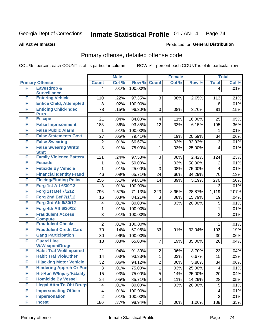Produced for **General Distribution**

#### **All Active Inmates**

### Primary offense, detailed offense code

|   |                                                          | <b>Male</b>             |       | <b>Female</b> |                |              | <b>Total</b>       |                |              |
|---|----------------------------------------------------------|-------------------------|-------|---------------|----------------|--------------|--------------------|----------------|--------------|
|   | <b>Primary Offense</b>                                   | <b>Count</b>            | Col % | Row %         | <b>Count</b>   | Col %        | Row %              | <b>Total</b>   | Col %        |
| F | <b>Eavesdrop &amp;</b>                                   | 4                       | .01%  | 100.00%       |                |              |                    | $\overline{4}$ | .01%         |
|   | <b>Surveillance</b>                                      |                         |       |               |                |              |                    |                |              |
| F | <b>Entering Vehicle</b>                                  | 110                     | .22%  | 97.35%        | 3              | .08%         | 2.65%              | 113            | .21%         |
| F | <b>Entice Child, Attempted</b>                           | 8                       | .02%  | 100.00%       |                |              |                    | 8              | .01%         |
| F | <b>Enticing Child-Indec</b>                              | 78                      | .15%  | 96.30%        | 3              | .08%         | 3.70%              | 81             | .15%         |
| F | <b>Purp</b><br><b>Escape</b>                             | 21                      | .04%  | 84.00%        | 4              | .11%         | 16.00%             | 25             | .05%         |
| F | <b>False Imprisonment</b>                                | 183                     | .36%  | 93.85%        | 12             | .33%         | 6.15%              | 195            | $.36\%$      |
| F | <b>False Public Alarm</b>                                | 1                       | .01%  | 100.00%       |                |              |                    | 1              | .01%         |
| F | <b>False Statements Govt</b>                             | 27                      | .05%  | 79.41%        | $\overline{7}$ | .19%         | 20.59%             | 34             | .06%         |
| F | <b>False Swearing</b>                                    | $\overline{2}$          | .01%  | 66.67%        | $\mathbf{1}$   | .03%         | 33.33%             | 3              | .01%         |
| F | <b>False Swearng Writtn</b>                              | 3                       | .01%  | 75.00%        | $\mathbf{1}$   | .03%         | 25.00%             | $\overline{4}$ | .01%         |
|   | <b>Stmt</b>                                              |                         |       |               |                |              |                    |                |              |
| F | <b>Family Violence Battery</b>                           | 121                     | .24%  | 97.58%        | 3              | .08%         | 2.42%              | 124            | .23%         |
| F | <b>Feticide</b>                                          | 1                       | .01%  | 50.00%        | $\mathbf{1}$   | .03%         | 50.00%             | $\overline{2}$ | .01%         |
| F | <b>Feticide By Vehicle</b>                               | 1                       | .01%  | 25.00%        | 3              | .08%         | 75.00%             | $\overline{4}$ | .01%         |
| F | <b>Financial Identity Fraud</b>                          | 46                      | .09%  | 65.71%        | 24             | .66%         | 34.29%             | 70             | .13%         |
| F | <b>Fleeing/Eluding Police</b>                            | 256                     | .51%  | 94.81%        | 14             | .39%         | $\frac{1}{5.19\%}$ | 270            | .50%         |
| F | Forg 1st Aft 6/30/12                                     | 3                       | .01%  | 100.00%       |                |              |                    | 3              | .01%         |
| F | <b>Forg 1st Bef 7/1/12</b>                               | 796                     | 1.57% | 71.13%        | 323            | 8.95%        | 28.87%             | 1,119          | 2.07%        |
| F | <b>Forg 2nd Bef 7/1/12</b>                               | 16                      | .03%  | 84.21%        | 3              | .08%         | 15.79%             | 19             | .04%         |
| F | <b>Forg 3rd Aft 6/30/12</b>                              | $\overline{\mathbf{4}}$ | .01%  | 80.00%        | $\mathbf{1}$   | .03%         | 20.00%             | 5              | .01%         |
| F | Forg 4th Aft 6/30/12                                     | $\mathbf{1}$            | .01%  | 100.00%       |                |              |                    | 1              | .01%         |
| F | <b>Fraudulent Access</b>                                 | 3                       | .01%  | 100.00%       |                |              |                    | 3              | .01%         |
|   | <b>Compute</b>                                           |                         |       |               |                |              |                    |                |              |
| F | <b>Fraudulent Checks</b>                                 | $\overline{2}$          | .01%  | 100.00%       |                |              |                    | $\overline{2}$ | .01%         |
| F | <b>Fraudulent Credit Card</b>                            | 70                      | .14%  | 67.96%        | 33             | .91%         | 32.04%             | 103            | .19%         |
| F | <b>Gang Participation</b>                                | 30                      | .06%  | 100.00%       |                |              |                    | 30             | .06%         |
| F | <b>Guard Line</b>                                        | 13                      | .03%  | 65.00%        | $\overline{7}$ | .19%         | 35.00%             | 20             | .04%         |
| F | <b>W/Weapon/Drugs</b><br><b>Habit Traf Viol/Impaired</b> | 21                      | .04%  | 91.30%        | $\overline{2}$ | .06%         | 8.70%              | 23             | .04%         |
| F | <b>Habit Traf Viol/Other</b>                             | 14                      | .03%  | 93.33%        | $\mathbf{1}$   | .03%         | 6.67%              | 15             | .03%         |
| F | <b>Hijacking Motor Vehicle</b>                           | 32                      | .06%  | 94.12%        | $\overline{2}$ | .06%         | 5.88%              | 34             | .06%         |
| F | <b>Hindering Appreh Or Pun</b>                           | 3                       | .01%  | 75.00%        | 1              | .03%         | 25.00%             | 4              | .01%         |
| F | <b>Hit-Run W/Injury/Fatality</b>                         | 15                      | .03%  | 75.00%        | 5              |              | 25.00%             | 20             |              |
| F | <b>Homicide By Vessel</b>                                | 24                      | .05%  | 85.71%        | $\overline{4}$ | .14%<br>.11% | 14.29%             |                | .04%<br>.05% |
| F | <b>Illegal Attm To Obt Drugs</b>                         |                         |       |               |                |              |                    | 28             |              |
| F | <b>Impersonating Officer</b>                             | $\overline{\mathbf{4}}$ | .01%  | 80.00%        | $\mathbf{1}$   | .03%         | 20.00%             | 5              | .01%         |
| F | <b>Impersonation</b>                                     | $\overline{\mathbf{4}}$ | .01%  | 100.00%       |                |              |                    | 4              | .01%         |
| F | <b>Incest</b>                                            | $\overline{2}$          | .01%  | 100.00%       |                |              |                    | $\overline{2}$ | .01%         |
|   |                                                          | 186                     | .37%  | 98.94%        | 2              | .06%         | 1.06%              | 188            | .35%         |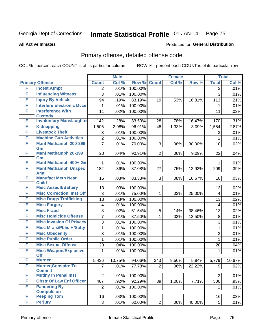#### **All Active Inmates**

#### Produced for **General Distribution**

### Primary offense, detailed offense code

|        |                                             |                | <b>Male</b> |         | <b>Female</b>  |       |        | <b>Total</b>   |        |
|--------|---------------------------------------------|----------------|-------------|---------|----------------|-------|--------|----------------|--------|
|        | <b>Primary Offense</b>                      | <b>Count</b>   | Col %       | Row %   | <b>Count</b>   | Col % | Row %  | <b>Total</b>   | Col %  |
| F      | <b>Incest, Atmpt</b>                        | 2              | .01%        | 100.00% |                |       |        | 2              | .01%   |
| F      | <b>Influencing Witness</b>                  | 3              | .01%        | 100.00% |                |       |        | 3              | .01%   |
| F      | <b>Injury By Vehicle</b>                    | 94             | .19%        | 83.19%  | 19             | .53%  | 16.81% | 113            | .21%   |
| F      | <b>Interfere Electronic Dvce</b>            | 1              | .01%        | 100.00% |                |       |        | 1              | .01%   |
| F      | <b>Interference With</b>                    | 11             | .02%        | 100.00% |                |       |        | 11             | .02%   |
|        | <b>Custody</b>                              |                |             |         |                |       |        |                |        |
| F      | <b>Involuntary Manslaughter</b>             | 142            | .28%        | 83.53%  | 28             | .78%  | 16.47% | 170            | .31%   |
| F<br>F | <b>Kidnapping</b><br><b>Livestock Theft</b> | 1,506          | 2.98%       | 96.91%  | 48             | 1.33% | 3.09%  | 1,554          | 2.87%  |
|        |                                             | 3              | .01%        | 100.00% |                |       |        | 3              | .01%   |
| F      | <b>Machine Gun Activities</b>               | 2              | .01%        | 100.00% |                |       |        | $\overline{2}$ | .01%   |
| F      | <b>Manf Methamph 200-399</b><br>Gm          | $\overline{7}$ | .01%        | 70.00%  | 3              | .08%  | 30.00% | 10             | .02%   |
| F      | <b>Manf Methamph 28-199</b>                 | 20             | .04%        | 90.91%  | $\overline{2}$ | .06%  | 9.09%  | 22             | .04%   |
|        | Gm                                          |                |             |         |                |       |        |                |        |
| F      | Manf Methamph 400+ Gm                       | 1              | .01%        | 100.00% |                |       |        | 1              | .01%   |
| F      | <b>Manf Methamph Unspec</b>                 | 182            | .36%        | 87.08%  | 27             | .75%  | 12.92% | 209            | .39%   |
| F      | <b>Amt</b><br><b>Manufact Meth Near</b>     | 15             | .03%        | 83.33%  | 3              | .08%  | 16.67% | 18             | .03%   |
|        | <b>Child</b>                                |                |             |         |                |       |        |                |        |
| F      | <b>Misc Assault/Battery</b>                 | 13             | .03%        | 100.00% |                |       |        | 13             | .02%   |
| F      | <b>Misc CorrectionI Inst Off</b>            | 3              | .01%        | 75.00%  | $\mathbf{1}$   | .03%  | 25.00% | $\overline{4}$ | .01%   |
| F      | <b>Misc Drugs Trafficking</b>               | 13             | .03%        | 100.00% |                |       |        | 13             | .02%   |
| F      | <b>Misc Forgery</b>                         | $\overline{4}$ | .01%        | 100.00% |                |       |        | 4              | .01%   |
| F      | <b>Misc Fraud</b>                           | 8              | .02%        | 61.54%  | 5              | .14%  | 38.46% | 13             | .02%   |
| F      | <b>Misc Homicide Offense</b>                | 7              | .01%        | 87.50%  | 1              | .03%  | 12.50% | 8              | .01%   |
| F      | <b>Misc Invasion Of Privacy</b>             | 3              | .01%        | 100.00% |                |       |        | 3              | .01%   |
| F      | <b>Misc Mrals/Pblic H/Safty</b>             | 1              | .01%        | 100.00% |                |       |        | 1              | .01%   |
| F      | <b>Misc Obscenity</b>                       | 3              | .01%        | 100.00% |                |       |        | 3              | .01%   |
| F      | <b>Misc Public Order</b>                    | 1              | .01%        | 100.00% |                |       |        | 1              | .01%   |
| F      | <b>Misc Sexual Offense</b>                  | 20             | .04%        | 100.00% |                |       |        | 20             | .04%   |
| F      | <b>Misc Weapon/Explosive</b>                | 1              | .01%        | 100.00% |                |       |        | 1              | .01%   |
| F      | <b>Off</b><br><b>Murder</b>                 | 5,436          | 10.75%      | 94.06%  | 343            | 9.50% | 5.94%  | 5,779          | 10.67% |
| F      | <b>Murder, Conspire To</b>                  | 7              | .01%        | 77.78%  | 2 <sup>1</sup> | .06%  | 22.22% | 9 <sup>1</sup> | .02%   |
|        | <b>Commit</b>                               |                |             |         |                |       |        |                |        |
| F      | <b>Mutiny In Penal Inst</b>                 | $\overline{2}$ | .01%        | 100.00% |                |       |        | $\overline{2}$ | .01%   |
| F      | <b>Obstr Of Law Enf Officer</b>             | 467            | .92%        | 92.29%  | 39             | 1.08% | 7.71%  | 506            | .93%   |
| F      | <b>Pandering By</b>                         | $\overline{2}$ | .01%        | 100.00% |                |       |        | $\overline{2}$ | .01%   |
| F      | <b>Compulsion</b>                           |                |             |         |                |       |        |                |        |
| F      | <b>Peeping Tom</b>                          | 16             | .03%        | 100.00% |                |       |        | 16             | .03%   |
|        | <b>Perjury</b>                              | 3              | .01%        | 60.00%  | 2 <sup>1</sup> | .06%  | 40.00% | 5              | .01%   |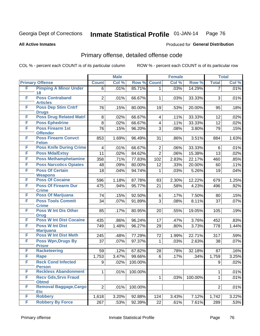#### **All Active Inmates**

# Produced for **General Distribution**

### Primary offense, detailed offense code

|   |                                               |                  | <b>Male</b> |         |                 | <b>Female</b> |         |                  | <b>Total</b> |
|---|-----------------------------------------------|------------------|-------------|---------|-----------------|---------------|---------|------------------|--------------|
|   | <b>Primary Offense</b>                        | <b>Count</b>     | Col %       | Row %   | <b>Count</b>    | Col %         | Row %   | <b>Total</b>     | Col %        |
| F | <b>Pimping A Minor Under</b>                  | 6                | .01%        | 85.71%  | $\mathbf{1}$    | .03%          | 14.29%  | $\overline{7}$   | .01%         |
| F | 18<br><b>Poss Contraband</b>                  | $\overline{2}$   | .01%        | 66.67%  | 1               | .03%          | 33.33%  | 3                | .01%         |
|   | <b>Articles</b>                               |                  |             |         |                 |               |         |                  |              |
| F | <b>Poss Dep Stim Cntrf</b>                    | 76               | .15%        | 80.00%  | 19              | .53%          | 20.00%  | 95               | .18%         |
|   | <b>Drugs</b>                                  |                  |             |         |                 |               |         |                  |              |
| F | <b>Poss Drug Related Matri</b>                | 8                | .02%        | 66.67%  | 4               | .11%          | 33.33%  | 12               | .02%         |
| F | <b>Poss Ephedrine</b>                         | 8                | .02%        | 66.67%  | 4               | .11%          | 33.33%  | 12               | .02%         |
| F | <b>Poss Firearm 1st</b><br><b>Offender</b>    | 76               | .15%        | 96.20%  | 3               | .08%          | 3.80%   | 79               | .15%         |
| F | <b>Poss Firearm Convct</b>                    | 853              | 1.69%       | 96.49%  | 31              | .86%          | 3.51%   | 884              | 1.63%        |
|   | <b>Felon</b>                                  |                  |             |         |                 |               |         |                  |              |
| F | <b>Poss Knife During Crime</b>                | $\overline{4}$   | .01%        | 66.67%  | $\overline{2}$  | .06%          | 33.33%  | 6                | .01%         |
| F | <b>Poss Mda/Extsy</b>                         | 11               | .02%        | 84.62%  | $\overline{2}$  | .06%          | 15.38%  | 13               | .02%         |
| F | <b>Poss Methamphetamine</b>                   | 358              | .71%        | 77.83%  | 102             | 2.83%         | 22.17%  | 460              | .85%         |
| F | <b>Poss Narcotics Opiates</b>                 | 48               | .09%        | 80.00%  | 12              | .33%          | 20.00%  | 60               | .11%         |
| F | <b>Poss Of Certain</b>                        | 18               | .04%        | 94.74%  | 1               | .03%          | 5.26%   | 19               | .04%         |
| F | <b>Weapons</b><br><b>Poss Of Cocaine</b>      | 596              | 1.18%       | 87.78%  | 83              | 2.30%         | 12.22%  | 679              | 1.25%        |
| F | <b>Poss Of Firearm Dur</b>                    | 475              | .94%        | 95.77%  | 21              | .58%          | 4.23%   | 496              | .92%         |
|   | <b>Crime</b>                                  |                  |             |         |                 |               |         |                  |              |
| F | <b>Poss Of Marijuana</b>                      | 74               | .15%        | 92.50%  | $\,6$           | .17%          | 7.50%   | 80               | .15%         |
| F | <b>Poss Tools Commit</b>                      | 34               | .07%        | 91.89%  | 3               | .08%          | 8.11%   | 37               | .07%         |
|   | <b>Crime</b>                                  |                  |             |         |                 |               |         |                  |              |
| F | <b>Poss W Int Dis Other</b>                   | 85               | .17%        | 80.95%  | 20              | .55%          | 19.05%  | 105              | .19%         |
| F | <b>Drug</b><br><b>Poss W Int Dist Cocaine</b> | 435              | .86%        | 96.24%  | 17              | .47%          | 3.76%   | 452              | .83%         |
| F | <b>Poss W Int Dist</b>                        | 749              | 1.48%       | 96.27%  | 29              | .80%          | 3.73%   | 778              | 1.44%        |
|   | <b>Marijuana</b>                              |                  |             |         |                 |               |         |                  |              |
| F | <b>Poss W Int Dist Meth</b>                   | 245              | .48%        | 77.29%  | 72              | 1.99%         | 22.71%  | 317              | .59%         |
| F | <b>Poss Wpn, Drugs By</b>                     | 37               | .07%        | 97.37%  | $\mathbf{1}$    | .03%          | 2.63%   | 38               | .07%         |
| F | <b>Prisnr</b><br><b>Racketeering</b>          | 59               | .12%        | 67.82%  | 28              | .78%          | 32.18%  | 87               | .16%         |
| F | <b>Rape</b>                                   | 1,753            | 3.47%       | 99.66%  | $6\phantom{1}6$ | .17%          | .34%    | 1,759            | 3.25%        |
| F | <b>Reck Cond Infected</b>                     | $\boldsymbol{9}$ | .02%        | 100.00% |                 |               |         | $\boldsymbol{9}$ | .02%         |
|   | <b>Person</b>                                 |                  |             |         |                 |               |         |                  |              |
| F | <b>Reckless Abandonment</b>                   | $\mathbf 1$      | .01%        | 100.00% |                 |               |         | 1                | .01%         |
| F | <b>Recv Gds, Srvs Fraud</b>                   |                  |             |         | $\mathbf 1$     | .03%          | 100.00% | $\mathbf{1}$     | .01%         |
| F | <b>Obtnd</b><br>Removal Baggage, Cargo        |                  |             |         |                 |               |         |                  |              |
|   | <b>Etc</b>                                    | $\overline{2}$   | .01%        | 100.00% |                 |               |         | $\overline{2}$   | .01%         |
| F | <b>Robbery</b>                                | 1,618            | 3.20%       | 92.88%  | 124             | 3.43%         | 7.12%   | 1,742            | 3.22%        |
| F | <b>Robbery By Force</b>                       | 267              | .53%        | 92.39%  | 22              | .61%          | 7.61%   | 289              | .53%         |
|   |                                               |                  |             |         |                 |               |         |                  |              |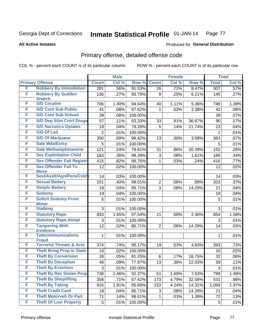**All Active Inmates**

#### Produced for **General Distribution**

### Primary offense, detailed offense code

|   |                                           |                  | <b>Male</b> |         |                | <b>Female</b> |        |                  | <b>Total</b> |
|---|-------------------------------------------|------------------|-------------|---------|----------------|---------------|--------|------------------|--------------|
|   | <b>Primary Offense</b>                    | <b>Count</b>     | Col %       | Row %   | <b>Count</b>   | Col %         | Row %  | <b>Total</b>     | Col %        |
| F | <b>Robbery By Intimidation</b>            | $\overline{281}$ | .56%        | 91.53%  | 26             | .72%          | 8.47%  | $\overline{307}$ | .57%         |
| F | <b>Robbery By Sudden</b><br><b>Snatch</b> | 136              | .27%        | 93.79%  | 9              | .25%          | 6.21%  | 145              | .27%         |
| F | <b>S/D Cocaine</b>                        | 706              | 1.40%       | 94.64%  | 40             | 1.11%         | 5.36%  | 746              | 1.38%        |
| F | <b>S/D Cont Sub Public</b>                | 41               | .08%        | 97.62%  | 1              | .03%          | 2.38%  | 42               | .08%         |
| F | <b>S/D Cont Sub School</b>                | 39               | .08%        | 100.00% |                |               |        | 39               | .07%         |
| F | <b>S/D Dep Stim Cntrf Drugs</b>           | 57               | .11%        | 63.33%  | 33             | .91%          | 36.67% | 90               | .17%         |
| F | <b>S/D Narcotics Opiates</b>              | 18               | .04%        | 78.26%  | 5              | .14%          | 21.74% | 23               | .04%         |
| F | <b>S/D Of Lsd</b>                         | $\overline{2}$   | .01%        | 100.00% |                |               |        | $\overline{2}$   | .01%         |
| F | <b>S/D Of Marijuana</b>                   | 350              | .69%        | 96.42%  | 13             | .36%          | 3.58%  | 363              | .67%         |
| F | <b>Sale Mda/Extsy</b>                     | 5                | .01%        | 100.00% |                |               |        | 5                | .01%         |
| F | <b>Sale Methamphetamine</b>               | 121              | .24%        | 79.61%  | 31             | .86%          | 20.39% | 152              | .28%         |
| F | <b>Sex Exploitation Child</b>             | 183              | .36%        | 98.39%  | 3              | .08%          | 1.61%  | 186              | .34%         |
| F | <b>Sex Offender Fail Registr</b>          | 415              | .82%        | 99.76%  | 1              | .03%          | .24%   | 416              | .77%         |
| F | <b>Sex Offender Fail To</b>               | 12               | .02%        | 100.00% |                |               |        | 12               | .02%         |
|   | <b>Move</b>                               |                  |             |         |                |               |        |                  |              |
| F | Sexl/Asslt/Agn/Pers/Cstdy                 | 14               | .03%        | 100.00% |                |               |        | 14               | .03%         |
| F | <b>Sexual Battery</b>                     | 201              | .40%        | 99.01%  | $\overline{2}$ | .06%          | .99%   | 203              | .37%         |
| F | <b>Simple Battery</b>                     | 18               | .04%        | 85.71%  | 3              | .08%          | 14.29% | 21               | .04%         |
| F | <b>Sodomy</b>                             | 19               | .04%        | 100.00% |                |               |        | 19               | .04%         |
| F | <b>Solicit Sodomy From</b>                | 5                | .01%        | 100.00% |                |               |        | 5                | .01%         |
| F | <b>Minor</b><br><b>Stalking</b>           | 3                | .01%        | 100.00% |                |               |        | 3                | .01%         |
| F | <b>Statutory Rape</b>                     | 833              | 1.65%       | 97.54%  | 21             | .58%          | 2.46%  | 854              | 1.58%        |
| F | <b>Statutory Rape, Atmpt</b>              | 3                | .01%        | 100.00% |                |               |        | 3                | .01%         |
| F | <b>Tampering With</b>                     | 12               | .02%        | 85.71%  | $\overline{2}$ | .06%          | 14.29% | 14               | .03%         |
|   | <b>Evidence</b>                           |                  |             |         |                |               |        |                  |              |
| F | <b>Telecommunications</b><br><b>Fraud</b> | 1                | .01%        | 100.00% |                |               |        | 1                | .01%         |
| F | <b>Terrorist Threats &amp; Acts</b>       | 374              | .74%        | 95.17%  | 19             | .53%          | 4.83%  | 393              | .73%         |
| F | <b>Theft Bring Prop In State</b>          | 10               | .02%        | 100.00% |                |               |        | 10               | .02%         |
| F | <b>Theft By Conversion</b>                | 26               | .05%        | 81.25%  | 6              | .17%          | 18.75% | 32               | .06%         |
| F | <b>Theft By Deception</b>                 | 46               | .09%        | 77.97%  | 13             | .36%          | 22.03% | 59               | .11%         |
| F | <b>Theft By Extortion</b>                 | 3                | .01%        | 100.00% |                |               |        | 3                | .01%         |
| F | <b>Theft By Rec Stolen Prop</b>           | 738              | 1.46%       | 92.37%  | 61             | 1.69%         | 7.63%  | 799              | 1.48%        |
| F | <b>Theft By Shoplifting</b>               | 358              | .71%        | 67.42%  | 173            | 4.79%         | 32.58% | 531              | .98%         |
| F | <b>Theft By Taking</b>                    | 916              | 1.81%       | 85.69%  | 153            | 4.24%         | 14.31% | 1,069            | 1.97%        |
| F | <b>Theft Credit Card</b>                  | 18               | .04%        | 85.71%  | 3              | .08%          | 14.29% | 21               | .04%         |
| F | <b>Theft Motorveh Or Part</b>             | 71               | .14%        | 98.61%  | 1              | .03%          | 1.39%  | 72               | .13%         |
| F | <b>Theft Of Lost Property</b>             | 5                | .01%        | 100.00% |                |               |        | 5                | .01%         |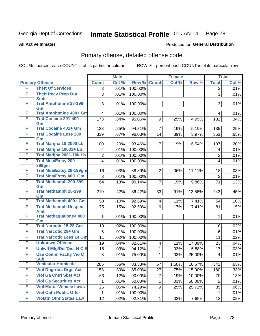#### **All Active Inmates**

# Produced for **General Distribution**

### Primary offense, detailed offense code

|   |                                            |                         | <b>Male</b> |         |                         | <b>Female</b> |        |                | <b>Total</b> |
|---|--------------------------------------------|-------------------------|-------------|---------|-------------------------|---------------|--------|----------------|--------------|
|   | <b>Primary Offense</b>                     | <b>Count</b>            | Col %       | Row %   | <b>Count</b>            | Col %         | Row %  | <b>Total</b>   | Col %        |
| F | <b>Theft Of Services</b>                   | 3                       | .01%        | 100.00% |                         |               |        | $\overline{3}$ | .01%         |
| F | <b>Theft Recv Prop Out</b><br><b>State</b> | 3                       | .01%        | 100.00% |                         |               |        | 3              | .01%         |
| F | <b>Traf Amphtmine 28-199</b><br>Gm         | 3                       | .01%        | 100.00% |                         |               |        | 3              | .01%         |
| F | Traf Amphtmine 400+ Gm                     | $\overline{4}$          | .01%        | 100.00% |                         |               |        | $\overline{4}$ | .01%         |
| F | <b>Traf Cocaine 201-400</b><br>Gm          | 173                     | .34%        | 95.05%  | 9                       | .25%          | 4.95%  | 182            | $.34\%$      |
| F | <b>Traf Cocaine 401+ Gm</b>                | 128                     | .25%        | 94.81%  | $\overline{7}$          | .19%          | 5.19%  | 135            | .25%         |
| F | <b>Traf Cocaine Less 200</b><br>Gm         | 339                     | .67%        | 96.03%  | 14                      | .39%          | 3.97%  | 353            | .65%         |
| F | Traf Marijna 10-2000 Lb                    | 100                     | .20%        | 93.46%  | $\overline{7}$          | .19%          | 6.54%  | 107            | .20%         |
| F | Traf Marijna 10001+ Lb                     | $\overline{4}$          | .01%        | 100.00% |                         |               |        | $\overline{4}$ | .01%         |
| F | Traf Marijna 2001-10k Lb                   | $\overline{2}$          | .01%        | 100.00% |                         |               |        | $\overline{2}$ | .01%         |
| F | <b>Traf Mda/Extsy 200-</b><br><b>399gm</b> | $\overline{\mathbf{4}}$ | .01%        | 100.00% |                         |               |        | $\overline{4}$ | .01%         |
| F | <b>Traf Mda/Extsy 28-199gm</b>             | 16                      | .03%        | 88.89%  | $\overline{2}$          | .06%          | 11.11% | 18             | .03%         |
| F | Traf Mda/Extsy 400+Gm                      | 3                       | .01%        | 100.00% |                         |               |        | 3              | .01%         |
| F | <b>Traf Methamph 200-399</b><br>Gm         | 64                      | .13%        | 90.14%  | $\overline{7}$          | .19%          | 9.86%  | 71             | .13%         |
| F | <b>Traf Methamph 28-199</b><br>Gm          | 210                     | .42%        | 86.42%  | 33                      | .91%          | 13.58% | 243            | .45%         |
| F | Traf Methamph 400+ Gm                      | 50                      | .10%        | 92.59%  | $\overline{4}$          | .11%          | 7.41%  | 54             | .10%         |
| F | <b>Traf Methamph Unspec</b><br>Amt         | 75                      | .15%        | 92.59%  | 6                       | .17%          | 7.41%  | 81             | .15%         |
| F | <b>Traf Methaqualone&lt; 400</b><br>Gm     | 1                       | .01%        | 100.00% |                         |               |        | $\mathbf 1$    | .01%         |
| F | <b>Traf Narcotic 15-28 Gm</b>              | 10                      | .02%        | 100.00% |                         |               |        | 10             | .02%         |
| F | <b>Traf Narcotic 29+ Gm</b>                | $6\phantom{1}$          | .01%        | 100.00% |                         |               |        | 6              | .01%         |
| F | <b>Traf Narcotic Less 14 Gm</b>            | 11                      | .02%        | 100.00% |                         |               |        | 11             | .02%         |
| F | <b>Unknown Offense</b>                     | 19                      | .04%        | 82.61%  | $\overline{\mathbf{4}}$ | .11%          | 17.39% | 23             | .04%         |
| F | <b>Uniwfl Mfg/Del/Dist N-C S</b>           | 16                      | .03%        | 94.12%  | $\mathbf{1}$            | .03%          | 5.88%  | 17             | .03%         |
| F | <b>Use Comm Facity Vio C</b><br><b>Sub</b> | 3                       | .01%        | 75.00%  | $\mathbf{1}$            | .03%          | 25.00% | $\overline{4}$ | .01%         |
| F | <b>Vehicular Homicide</b>                  | 285                     | .56%        | 83.33%  | 57                      | 1.58%         | 16.67% | 342            | .63%         |
| F | <b>Viol Dngrous Drgs Act</b>               | 153                     | .30%        | 85.00%  | 27                      | .75%          | 15.00% | 180            | .33%         |
| F | <b>Viol Ga Cntrl Sbst Act</b>              | 63                      | .12%        | 90.00%  | $\overline{7}$          | .19%          | 10.00% | 70             | .13%         |
| F | <b>Viol Ga Securities Act</b>              | 1                       | .01%        | 50.00%  | $\mathbf{1}$            | .03%          | 50.00% | $\overline{2}$ | .01%         |
| F | <b>Viol Motor Vehicle Laws</b>             | 26                      | .05%        | 74.29%  | 9                       | .25%          | 25.71% | 35             | $.06\%$      |
| F | <b>Viol Oath Public Offcr</b>              | 1                       | .01%        | 100.00% |                         |               |        | $\mathbf{1}$   | .01%         |
| F | <b>Violatn Othr States Law</b>             | 12                      | .02%        | 92.31%  | $\mathbf{1}$            | .03%          | 7.69%  | 13             | .02%         |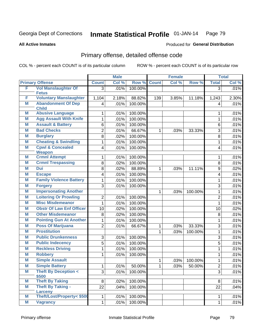#### **All Active Inmates**

#### Produced for **General Distribution**

### Primary offense, detailed offense code

|   |                                           |                | <b>Male</b> |         |              | <b>Female</b> |           |                | <b>Total</b> |
|---|-------------------------------------------|----------------|-------------|---------|--------------|---------------|-----------|----------------|--------------|
|   | <b>Primary Offense</b>                    | <b>Count</b>   | Col %       | Row %   | <b>Count</b> | Col %         | Row %     | <b>Total</b>   | Col %        |
| F | <b>Vol Manslaughter Of</b>                | $\overline{3}$ | .01%        | 100.00% |              |               |           | $\overline{3}$ | .01%         |
| F | <b>Fetus</b>                              |                |             |         |              |               |           |                |              |
|   | <b>Voluntary Manslaughter</b>             | 1,104          | 2.18%       | 88.82%  | 139          | 3.85%         | 11.18%    | 1,243          | 2.30%        |
| M | <b>Abandonment Of Dep</b><br><b>Child</b> | 4              | .01%        | 100.00% |              |               |           | $\overline{4}$ | .01%         |
| Μ | <b>Abusive Language</b>                   | 1              | .01%        | 100.00% |              |               |           | 1              | .01%         |
| M | <b>Agg Assault With Knife</b>             | 1              | .01%        | 100.00% |              |               |           | 1              | .01%         |
| M | <b>Assault &amp; Battery</b>              | 6              | .01%        | 100.00% |              |               |           | 6              | .01%         |
| M | <b>Bad Checks</b>                         | $\overline{2}$ | .01%        | 66.67%  | $\mathbf{1}$ | .03%          | 33.33%    | 3              | .01%         |
| M | <b>Burglary</b>                           | 8              | .02%        | 100.00% |              |               |           | 8              | .01%         |
| M | <b>Cheating &amp; Swindling</b>           | $\mathbf{1}$   | .01%        | 100.00% |              |               |           | 1              | .01%         |
| M | <b>Cpwl &amp; Concealed</b>               | 4              | .01%        | 100.00% |              |               |           | $\overline{4}$ | .01%         |
|   | <b>Weapon</b>                             |                |             |         |              |               |           |                |              |
| M | <b>Crmnl Attempt</b>                      | 1              | .01%        | 100.00% |              |               |           | 1              | .01%         |
| M | <b>Crmnl Trespassing</b>                  | 8              | .02%        | 100.00% |              |               |           | 8              | .01%         |
| M | Dui                                       | 8              | .02%        | 88.89%  | 1            | .03%          | 11.11%    | 9              | .02%         |
| Μ | <b>Escape</b>                             | 4              | .01%        | 100.00% |              |               |           | 4              | .01%         |
| Μ | <b>Family Violence Battery</b>            | 1              | .01%        | 100.00% |              |               |           | 1              | .01%         |
| M | <b>Forgery</b>                            | 3              | .01%        | 100.00% |              |               |           | 3              | .01%         |
| M | <b>Impersonating Another</b>              |                |             |         | $\mathbf{1}$ | .03%          | 100.00%   | $\mathbf{1}$   | .01%         |
| M | <b>Loitering Or Prowling</b>              | 2              | .01%        | 100.00% |              |               |           | $\overline{2}$ | .01%         |
| M | <b>Misc Misdemeanor</b>                   | 1              | .01%        | 100.00% |              |               |           | 1              | .01%         |
| M | <b>Obstr Of Law Enf Officer</b>           | 10             | .02%        | 100.00% |              |               |           | 10             | .02%         |
| M | <b>Other Misdemeanor</b>                  | 8              | .02%        | 100.00% |              |               |           | 8              | .01%         |
| Μ | <b>Pointing Gun At Another</b>            | $\mathbf{1}$   | .01%        | 100.00% |              |               |           | $\mathbf{1}$   | .01%         |
| Μ | <b>Poss Of Marijuana</b>                  | $\overline{2}$ | .01%        | 66.67%  | 1            | .03%          | 33.33%    | 3              | .01%         |
| M | <b>Prostitution</b>                       |                |             |         | $\mathbf{1}$ | .03%          | 100.00%   | $\mathbf{1}$   | .01%         |
| M | <b>Public Drunkenness</b>                 | 3              | .01%        | 100.00% |              |               |           | 3              | .01%         |
| Μ | <b>Public Indecency</b>                   | 5              | .01%        | 100.00% |              |               |           | 5              | .01%         |
| M | <b>Reckless Driving</b>                   | $\mathbf{1}$   | .01%        | 100.00% |              |               |           | $\mathbf{1}$   | .01%         |
| M | <b>Robbery</b>                            | 1              | .01%        | 100.00% |              |               |           | 1              | .01%         |
| M | <b>Simple Assault</b>                     |                |             |         | $\mathbf{1}$ | .03%          | 100.00%   | 1              | .01%         |
| M | <b>Simple Battery</b>                     | 1              | $.01\%$     | 50.00%  | 1            | .03%          | $50.00\%$ | 2              | .01%         |
| M | <b>Theft By Deception &lt;</b>            | $\overline{3}$ | .01%        | 100.00% |              |               |           | 3              | .01%         |
| M | \$500<br><b>Theft By Taking</b>           | 8              | .02%        | 100.00% |              |               |           | 8              | .01%         |
| M | <b>Theft By Taking -</b>                  | 22             | .04%        | 100.00% |              |               |           | 22             | .04%         |
|   | Larceny                                   |                |             |         |              |               |           |                |              |
| M | Theft/Lost/Property< \$500                | 1              | .01%        | 100.00% |              |               |           | 1              | .01%         |
| M | <b>Vagrancy</b>                           | $\mathbf 1$    | .01%        | 100.00% |              |               |           | $\mathbf{1}$   | .01%         |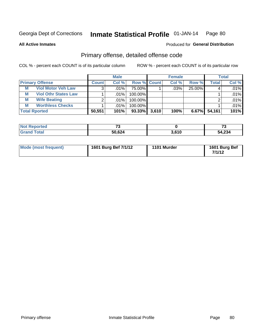**All Active Inmates**

#### Produced for **General Distribution**

### Primary offense, detailed offense code

|   |                             |              | <b>Male</b> |                    |       | <b>Female</b> |        |                    | <b>Total</b> |
|---|-----------------------------|--------------|-------------|--------------------|-------|---------------|--------|--------------------|--------------|
|   | <b>Primary Offense</b>      | <b>Count</b> | Col %       | <b>Row % Count</b> |       | Col %         | Row %  | Total <sub>1</sub> | Col %        |
| M | <b>Viol Motor Veh Law</b>   |              | ا %01.      | 75.00%             |       | .03%          | 25.00% |                    | $.01\%$      |
| M | <b>Viol Othr States Law</b> |              | .01%        | 100.00%            |       |               |        |                    | .01%         |
| М | <b>Wife Beating</b>         |              | .01%        | 100.00%            |       |               |        |                    | .01%         |
| М | <b>Worthless Checks</b>     |              | .01%        | 100.00%            |       |               |        |                    | .01%         |
|   | <b>Total Rported</b>        | 50,551       | 101%        | $93.33\%$          | 3,610 | 100%          | 6.67%  | 54,161             | 101%         |

| orted<br>NO<br>$\sim$ | $\rightarrow$ |       | $\mathbf{r}$<br>1 v |
|-----------------------|---------------|-------|---------------------|
| <b>ota</b>            | 50,624        | 3.610 | 54,234              |

| Mode (most frequent) | 1601 Burg Bef 7/1/12 | 1101 Murder | 1601 Burg Bef<br>7/1/12 |
|----------------------|----------------------|-------------|-------------------------|
|----------------------|----------------------|-------------|-------------------------|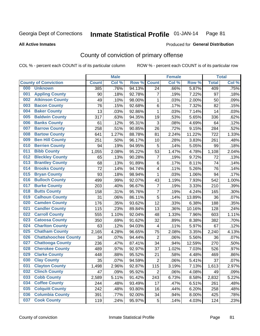#### **All Active Inmates**

#### Produced for **General Distribution**

#### County of conviction of primary offense

|                                    |              | <b>Male</b> |        |                | <b>Female</b> |        |              | <b>Total</b> |
|------------------------------------|--------------|-------------|--------|----------------|---------------|--------|--------------|--------------|
| <b>County of Conviction</b>        | <b>Count</b> | Col %       | Row %  | <b>Count</b>   | Col %         | Row %  | <b>Total</b> | Col %        |
| <b>Unknown</b><br>000              | 385          | .76%        | 94.13% | 24             | .66%          | 5.87%  | 409          | .75%         |
| <b>Appling County</b><br>001       | 90           | .18%        | 92.78% | 7              | .19%          | 7.22%  | 97           | .18%         |
| <b>Atkinson County</b><br>002      | 49           | .10%        | 98.00% | 1              | .03%          | 2.00%  | 50           | .09%         |
| <b>Bacon County</b><br>003         | 76           | .15%        | 92.68% | $\,6$          | .17%          | 7.32%  | 82           | .15%         |
| <b>Baker County</b><br>004         | 13           | .03%        | 92.86% | 1              | .03%          | 7.14%  | 14           | .03%         |
| <b>Baldwin County</b><br>005       | 317          | .63%        | 94.35% | 19             | .53%          | 5.65%  | 336          | .62%         |
| <b>Banks County</b><br>006         | 61           | .12%        | 95.31% | $\mathfrak{S}$ | .08%          | 4.69%  | 64           | .12%         |
| <b>Barrow County</b><br>007        | 258          | .51%        | 90.85% | 26             | .72%          | 9.15%  | 284          | .52%         |
| <b>Bartow County</b><br>008        | 641          | 1.27%       | 88.78% | 81             | 2.24%         | 11.22% | 722          | 1.33%        |
| <b>Ben Hill County</b><br>009      | 251          | .50%        | 96.17% | 10             | .28%          | 3.83%  | 261          | .48%         |
| <b>Berrien County</b><br>010       | 94           | .19%        | 94.95% | 5              | .14%          | 5.05%  | 99           | .18%         |
| <b>Bibb County</b><br>011          | 1,055        | 2.08%       | 95.22% | 53             | 1.47%         | 4.78%  | 1,108        | 2.04%        |
| <b>Bleckley County</b><br>012      | 65           | .13%        | 90.28% | $\overline{7}$ | .19%          | 9.72%  | 72           | .13%         |
| 013<br><b>Brantley County</b>      | 68           | .13%        | 91.89% | 6              | .17%          | 8.11%  | 74           | .14%         |
| <b>Brooks County</b><br>014        | 72           | .14%        | 94.74% | 4              | .11%          | 5.26%  | 76           | .14%         |
| <b>Bryan County</b><br>015         | 93           | .18%        | 98.94% | 1              | .03%          | 1.06%  | 94           | .17%         |
| <b>Bulloch County</b><br>016       | 499          | .99%        | 92.07% | 43             | 1.19%         | 7.93%  | 542          | 1.00%        |
| <b>Burke County</b><br>017         | 203          | .40%        | 96.67% | $\overline{7}$ | .19%          | 3.33%  | 210          | .39%         |
| <b>Butts County</b><br>018         | 158          | .31%        | 95.76% | $\overline{7}$ | .19%          | 4.24%  | 165          | .30%         |
| <b>Calhoun County</b><br>019       | 31           | .06%        | 86.11% | $\overline{5}$ | .14%          | 13.89% | 36           | .07%         |
| <b>Camden County</b><br>020        | 176          | .35%        | 93.62% | 12             | .33%          | 6.38%  | 188          | .35%         |
| <b>Candler County</b><br>021       | 115          | .23%        | 89.84% | 13             | .36%          | 10.16% | 128          | .24%         |
| <b>Carroll County</b><br>022       | 555          | 1.10%       | 92.04% | 48             | 1.33%         | 7.96%  | 603          | 1.11%        |
| <b>Catoosa County</b><br>023       | 350          | .69%        | 91.62% | 32             | .89%          | 8.38%  | 382          | .70%         |
| <b>Charlton County</b><br>024      | 63           | .12%        | 94.03% | 4              | .11%          | 5.97%  | 67           | .12%         |
| 025<br><b>Chatham County</b>       | 2,165        | 4.28%       | 96.65% | 75             | 2.08%         | 3.35%  | 2,240        | 4.13%        |
| <b>Chattahoochee County</b><br>026 | 34           | .07%        | 94.44% | $\overline{2}$ | .06%          | 5.56%  | 36           | .07%         |
| <b>Chattooga County</b><br>027     | 236          | .47%        | 87.41% | 34             | .94%          | 12.59% | 270          | .50%         |
| <b>Cherokee County</b><br>028      | 489          | .97%        | 92.97% | 37             | 1.02%         | 7.03%  | 526          | .97%         |
| <b>Clarke County</b><br>029        | 448          | .88%        | 95.52% | 21             | .58%          | 4.48%  | 469          | .86%         |
| <b>Clay County</b><br>030          | 35           | .07%        | 94.59% | $\sqrt{2}$     | .06%          | 5.41%  | 37           | .07%         |
| 031<br><b>Clayton County</b>       | 1,498        | 2.96%       | 92.87% | 115            | 3.19%         | 7.13%  | 1,613        | 2.97%        |
| <b>Clinch County</b><br>032        | 47           | .09%        | 95.92% | $\overline{2}$ | .06%          | 4.08%  | 49           | .09%         |
| <b>Cobb County</b><br>033          | 2,589        | 5.11%       | 91.42% | 243            | 6.73%         | 8.58%  | 2,832        | 5.22%        |
| <b>Coffee County</b><br>034        | 244          | .48%        | 93.49% | 17             | .47%          | 6.51%  | 261          | .48%         |
| <b>Colquitt County</b><br>035      | 242          | .48%        | 93.80% | 16             | .44%          | 6.20%  | 258          | .48%         |
| <b>Columbia County</b><br>036      | 391          | .77%        | 92.00% | 34             | .94%          | 8.00%  | 425          | .78%         |
| <b>Cook County</b><br>037          | 119          | .24%        | 95.97% | $\sqrt{5}$     | .14%          | 4.03%  | 124          | .23%         |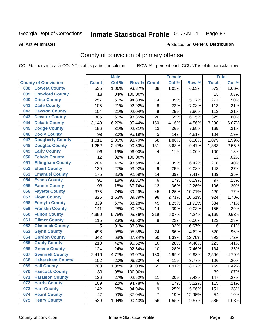#### **All Active Inmates**

#### Produced for **General Distribution**

### County of conviction of primary offense

|                                |              | <b>Male</b> |         |                | <b>Female</b> |        |                  | <b>Total</b> |
|--------------------------------|--------------|-------------|---------|----------------|---------------|--------|------------------|--------------|
| <b>County of Conviction</b>    | <b>Count</b> | Col %       | Row %   | <b>Count</b>   | Col %         | Row %  | <b>Total</b>     | Col %        |
| <b>Coweta County</b><br>038    | 535          | 1.06%       | 93.37%  | 38             | 1.05%         | 6.63%  | $\overline{573}$ | 1.06%        |
| <b>Crawford County</b><br>039  | 18           | .04%        | 100.00% |                |               |        | 18               | .03%         |
| <b>Crisp County</b><br>040     | 257          | .51%        | 94.83%  | 14             | .39%          | 5.17%  | 271              | .50%         |
| <b>Dade County</b><br>041      | 105          | .21%        | 92.92%  | 8              | .22%          | 7.08%  | 113              | .21%         |
| <b>Dawson County</b><br>042    | 104          | .21%        | 92.04%  | 9              | .25%          | 7.96%  | 113              | .21%         |
| 043<br><b>Decatur County</b>   | 305          | .60%        | 93.85%  | 20             | .55%          | 6.15%  | 325              | .60%         |
| <b>Dekalb County</b><br>044    | 3,140        | 6.20%       | 95.44%  | 150            | 4.16%         | 4.56%  | 3,290            | 6.07%        |
| <b>Dodge County</b><br>045     | 156          | .31%        | 92.31%  | 13             | .36%          | 7.69%  | 169              | .31%         |
| <b>Dooly County</b><br>046     | 99           | .20%        | 95.19%  | 5              | .14%          | 4.81%  | 104              | .19%         |
| <b>Dougherty County</b><br>047 | 1,011        | 2.00%       | 93.70%  | 68             | 1.88%         | 6.30%  | 1,079            | 1.99%        |
| <b>Douglas County</b><br>048   | 1,252        | 2.47%       | 90.53%  | 131            | 3.63%         | 9.47%  | 1,383            | 2.55%        |
| <b>Early County</b><br>049     | 96           | .19%        | 96.00%  | 4              | .11%          | 4.00%  | 100              | .18%         |
| <b>Echols County</b><br>050    | 12           | .02%        | 100.00% |                |               |        | 12               | .02%         |
| <b>Effingham County</b><br>051 | 204          | .40%        | 93.58%  | 14             | .39%          | 6.42%  | 218              | .40%         |
| <b>Elbert County</b><br>052    | 139          | .27%        | 93.92%  | 9              | .25%          | 6.08%  | 148              | .27%         |
| <b>Emanuel County</b><br>053   | 175          | .35%        | 92.59%  | 14             | .39%          | 7.41%  | 189              | .35%         |
| <b>Evans County</b><br>054     | 91           | .18%        | 93.81%  | 6              | .17%          | 6.19%  | 97               | .18%         |
| <b>Fannin County</b><br>055    | 93           | .18%        | 87.74%  | 13             | .36%          | 12.26% | 106              | .20%         |
| <b>Fayette County</b><br>056   | 375          | .74%        | 89.29%  | 45             | 1.25%         | 10.71% | 420              | .77%         |
| <b>Floyd County</b><br>057     | 826          | 1.63%       | 89.39%  | 98             | 2.71%         | 10.61% | 924              | 1.70%        |
| <b>Forsyth County</b><br>058   | 339          | .67%        | 88.28%  | 45             | 1.25%         | 11.72% | 384              | .71%         |
| <b>Franklin County</b><br>059  | 141          | .28%        | 90.97%  | 14             | .39%          | 9.03%  | 155              | .29%         |
| <b>Fulton County</b><br>060    | 4,950        | 9.78%       | 95.76%  | 219            | 6.07%         | 4.24%  | 5,169            | 9.53%        |
| <b>Gilmer County</b><br>061    | 115          | .23%        | 93.50%  | 8              | .22%          | 6.50%  | 123              | .23%         |
| <b>Glascock County</b><br>062  | 5            | .01%        | 83.33%  | $\mathbf{1}$   | .03%          | 16.67% | 6                | .01%         |
| <b>Glynn County</b><br>063     | 496          | .98%        | 95.38%  | 24             | .66%          | 4.62%  | 520              | .96%         |
| <b>Gordon County</b><br>064    | 342          | .68%        | 87.24%  | 50             | 1.39%         | 12.76% | 392              | .72%         |
| 065<br><b>Grady County</b>     | 213          | .42%        | 95.52%  | 10             | .28%          | 4.48%  | 223              | .41%         |
| <b>Greene County</b><br>066    | 124          | .24%        | 92.54%  | 10             | .28%          | 7.46%  | 134              | .25%         |
| <b>Gwinnett County</b><br>067  | 2,416        | 4.77%       | 93.07%  | 180            | 4.99%         | 6.93%  | 2,596            | 4.79%        |
| <b>Habersham County</b><br>068 | 102          | .20%        | 96.23%  | 4              | .11%          | 3.77%  | 106              | .20%         |
| <b>Hall County</b><br>069      | 700          | 1.38%       | 91.03%  | 69             | 1.91%         | 8.97%  | 769              | 1.42%        |
| <b>Hancock County</b><br>070   | 39           | .08%        | 100.00% |                |               |        | 39               | .07%         |
| <b>Haralson County</b><br>071  | 136          | .27%        | 92.52%  | 11             | .30%          | 7.48%  | 147              | .27%         |
| <b>Harris County</b><br>072    | 109          | .22%        | 94.78%  | 6              | .17%          | 5.22%  | 115              | .21%         |
| <b>Hart County</b><br>073      | 142          | .28%        | 94.04%  | 9              | .25%          | 5.96%  | 151              | .28%         |
| <b>Heard County</b><br>074     | 47           | .09%        | 87.04%  | $\overline{7}$ | .19%          | 12.96% | 54               | .10%         |
| <b>Henry County</b><br>075     | 529          | 1.04%       | 90.43%  | 56             | 1.55%         | 9.57%  | 585              | 1.08%        |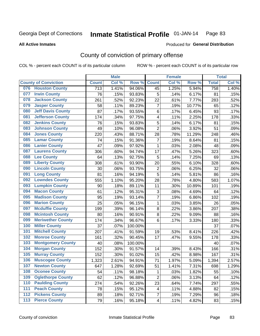**All Active Inmates**

#### Produced for **General Distribution**

### County of conviction of primary offense

|     |                             |              | <b>Male</b> |         |                           | <b>Female</b> |        |              | <b>Total</b> |
|-----|-----------------------------|--------------|-------------|---------|---------------------------|---------------|--------|--------------|--------------|
|     | <b>County of Conviction</b> | <b>Count</b> | Col %       | Row %   | <b>Count</b>              | Col %         | Row %  | <b>Total</b> | Col %        |
| 076 | <b>Houston County</b>       | 713          | 1.41%       | 94.06%  | 45                        | 1.25%         | 5.94%  | 758          | 1.40%        |
| 077 | <b>Irwin County</b>         | 76           | .15%        | 93.83%  | 5                         | .14%          | 6.17%  | 81           | .15%         |
| 078 | <b>Jackson County</b>       | 261          | .52%        | 92.23%  | 22                        | .61%          | 7.77%  | 283          | .52%         |
| 079 | <b>Jasper County</b>        | 58           | .11%        | 89.23%  | $\overline{7}$            | .19%          | 10.77% | 65           | .12%         |
| 080 | <b>Jeff Davis County</b>    | 87           | .17%        | 93.55%  | 6                         | .17%          | 6.45%  | 93           | .17%         |
| 081 | <b>Jefferson County</b>     | 174          | .34%        | 97.75%  | 4                         | .11%          | 2.25%  | 178          | .33%         |
| 082 | <b>Jenkins County</b>       | 76           | .15%        | 93.83%  | 5                         | .14%          | 6.17%  | 81           | .15%         |
| 083 | <b>Johnson County</b>       | 49           | .10%        | 96.08%  | $\overline{2}$            | .06%          | 3.92%  | 51           | .09%         |
| 084 | <b>Jones County</b>         | 220          | .43%        | 88.71%  | 28                        | .78%          | 11.29% | 248          | .46%         |
| 085 | <b>Lamar County</b>         | 74           | .15%        | 91.36%  | $\overline{7}$            | .19%          | 8.64%  | 81           | .15%         |
| 086 | <b>Lanier County</b>        | 47           | .09%        | 97.92%  | 1                         | .03%          | 2.08%  | 48           | .09%         |
| 087 | <b>Laurens County</b>       | 306          | .60%        | 94.74%  | 17                        | .47%          | 5.26%  | 323          | .60%         |
| 088 | <b>Lee County</b>           | 64           | .13%        | 92.75%  | 5                         | .14%          | 7.25%  | 69           | .13%         |
| 089 | <b>Liberty County</b>       | 308          | .61%        | 93.90%  | 20                        | .55%          | 6.10%  | 328          | .60%         |
| 090 | <b>Lincoln County</b>       | 30           | .06%        | 93.75%  | $\overline{2}$            | .06%          | 6.25%  | 32           | .06%         |
| 091 | <b>Long County</b>          | 81           | .16%        | 94.19%  | 5                         | .14%          | 5.81%  | 86           | .16%         |
| 092 | <b>Lowndes County</b>       | 555          | 1.10%       | 95.20%  | 28                        | .78%          | 4.80%  | 583          | 1.07%        |
| 093 | <b>Lumpkin County</b>       | 90           | .18%        | 89.11%  | 11                        | .30%          | 10.89% | 101          | .19%         |
| 094 | <b>Macon County</b>         | 61           | .12%        | 95.31%  | $\ensuremath{\mathsf{3}}$ | .08%          | 4.69%  | 64           | .12%         |
| 095 | <b>Madison County</b>       | 95           | .19%        | 93.14%  | $\overline{7}$            | .19%          | 6.86%  | 102          | .19%         |
| 096 | <b>Marion County</b>        | 25           | .05%        | 96.15%  | $\mathbf{1}$              | .03%          | 3.85%  | 26           | .05%         |
| 097 | <b>Mcduffie County</b>      | 199          | .39%        | 96.14%  | 8                         | .22%          | 3.86%  | 207          | .38%         |
| 098 | <b>Mcintosh County</b>      | 80           | .16%        | 90.91%  | $\bf 8$                   | .22%          | 9.09%  | 88           | .16%         |
| 099 | <b>Meriwether County</b>    | 174          | .34%        | 96.67%  | 6                         | .17%          | 3.33%  | 180          | .33%         |
| 100 | <b>Miller County</b>        | 37           | .07%        | 100.00% |                           |               |        | 37           | .07%         |
| 101 | <b>Mitchell County</b>      | 207          | .41%        | 91.59%  | 19                        | .53%          | 8.41%  | 226          | .42%         |
| 102 | <b>Monroe County</b>        | 161          | .32%        | 90.45%  | 17                        | .47%          | 9.55%  | 178          | .33%         |
| 103 | <b>Montgomery County</b>    | 40           | .08%        | 100.00% |                           |               |        | 40           | .07%         |
| 104 | <b>Morgan County</b>        | 152          | .30%        | 91.57%  | 14                        | .39%          | 8.43%  | 166          | .31%         |
| 105 | <b>Murray County</b>        | 152          | .30%        | 91.02%  | 15                        | .42%          | 8.98%  | 167          | .31%         |
| 106 | <b>Muscogee County</b>      | 1,323        | 2.61%       | 94.91%  | 71                        | 1.97%         | 5.09%  | 1,394        | 2.57%        |
| 107 | <b>Newton County</b>        | 647          | 1.28%       | 92.69%  | 51                        | 1.41%         | 7.31%  | 698          | 1.29%        |
| 108 | <b>Oconee County</b>        | 54           | .11%        | 98.18%  | 1                         | .03%          | 1.82%  | 55           | .10%         |
| 109 | <b>Oglethorpe County</b>    | 62           | .12%        | 96.88%  | $\overline{c}$            | .06%          | 3.13%  | 64           | .12%         |
| 110 | <b>Paulding County</b>      | 274          | .54%        | 92.26%  | 23                        | .64%          | 7.74%  | 297          | .55%         |
| 111 | <b>Peach County</b>         | 78           | .15%        | 95.12%  | 4                         | .11%          | 4.88%  | 82           | .15%         |
| 112 | <b>Pickens County</b>       | 89           | .18%        | 92.71%  | $\overline{7}$            | .19%          | 7.29%  | 96           | .18%         |
| 113 | <b>Pierce County</b>        | 79           | .16%        | 95.18%  | $\overline{\mathbf{4}}$   | .11%          | 4.82%  | 83           | .15%         |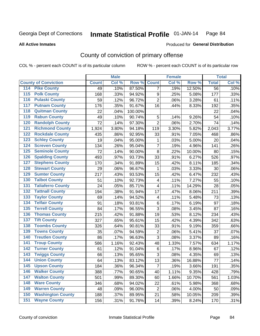**All Active Inmates**

#### Produced for **General Distribution**

### County of conviction of primary offense

|                                          |              | <b>Male</b> |         |                          | <b>Female</b> |        |              | <b>Total</b> |
|------------------------------------------|--------------|-------------|---------|--------------------------|---------------|--------|--------------|--------------|
| <b>County of Conviction</b>              | <b>Count</b> | Col %       | Row %   | <b>Count</b>             | Col %         | Row %  | <b>Total</b> | Col %        |
| 114 Pike County                          | 49           | .10%        | 87.50%  | $\overline{7}$           | .19%          | 12.50% | 56           | .10%         |
| <b>Polk County</b><br>$\overline{115}$   | 168          | .33%        | 94.92%  | 9                        | .25%          | 5.08%  | 177          | .33%         |
| <b>Pulaski County</b><br>116             | 59           | .12%        | 96.72%  | $\overline{2}$           | .06%          | 3.28%  | 61           | .11%         |
| 117<br><b>Putnam County</b>              | 176          | .35%        | 91.67%  | 16                       | .44%          | 8.33%  | 192          | .35%         |
| <b>Quitman County</b><br>118             | 22           | .04%        | 100.00% |                          |               |        | 22           | .04%         |
| <b>Rabun County</b><br>119               | 49           | .10%        | 90.74%  | 5                        | .14%          | 9.26%  | 54           | .10%         |
| <b>Randolph County</b><br>120            | 72           | .14%        | 97.30%  | $\overline{2}$           | .06%          | 2.70%  | 74           | .14%         |
| <b>Richmond County</b><br>121            | 1,924        | 3.80%       | 94.18%  | 119                      | 3.30%         | 5.82%  | 2,043        | 3.77%        |
| <b>Rockdale County</b><br>122            | 435          | .86%        | 92.95%  | 33                       | .91%          | 7.05%  | 468          | .86%         |
| <b>Schley County</b><br>123              | 19           | .04%        | 95.00%  | 1                        | .03%          | 5.00%  | 20           | .04%         |
| <b>Screven County</b><br>124             | 134          | .26%        | 95.04%  | $\overline{7}$           | .19%          | 4.96%  | 141          | .26%         |
| <b>Seminole County</b><br>125            | 72           | .14%        | 90.00%  | 8                        | .22%          | 10.00% | 80           | .15%         |
| <b>Spalding County</b><br>126            | 493          | .97%        | 93.73%  | 33                       | .91%          | 6.27%  | 526          | .97%         |
| <b>Stephens County</b><br>127            | 170          | .34%        | 91.89%  | 15                       | .42%          | 8.11%  | 185          | .34%         |
| <b>Stewart County</b><br>128             | 29           | .06%        | 96.67%  | $\mathbf{1}$             | .03%          | 3.33%  | 30           | .06%         |
| <b>Sumter County</b><br>129              | 217          | .43%        | 93.53%  | 15                       | .42%          | 6.47%  | 232          | .43%         |
| <b>Talbot County</b><br>130              | 51           | .10%        | 92.73%  | $\overline{\mathcal{A}}$ | .11%          | 7.27%  | 55           | .10%         |
| <b>Taliaferro County</b><br>131          | 24           | .05%        | 85.71%  | 4                        | .11%          | 14.29% | 28           | .05%         |
| <b>Tattnall County</b><br>132            | 194          | .38%        | 91.94%  | 17                       | .47%          | 8.06%  | 211          | .39%         |
| <b>Taylor County</b><br>133              | 69           | .14%        | 94.52%  | 4                        | .11%          | 5.48%  | 73           | .13%         |
| <b>Telfair County</b><br>134             | 91           | .18%        | 93.81%  | 6                        | .17%          | 6.19%  | 97           | .18%         |
| <b>Terrell County</b><br>135             | 84           | .17%        | 96.55%  | 3                        | .08%          | 3.45%  | 87           | .16%         |
| <b>Thomas County</b><br>136              | 215          | .42%        | 91.88%  | 19                       | .53%          | 8.12%  | 234          | .43%         |
| <b>Tift County</b><br>137                | 327          | .65%        | 95.61%  | 15                       | .42%          | 4.39%  | 342          | .63%         |
| <b>Toombs County</b><br>138              | 326          | .64%        | 90.81%  | 33                       | .91%          | 9.19%  | 359          | .66%         |
| <b>Towns County</b><br>139               | 35           | .07%        | 94.59%  | $\boldsymbol{2}$         | .06%          | 5.41%  | 37           | .07%         |
| <b>Treutlen County</b><br>140            | 86           | .17%        | 96.63%  | 3                        | .08%          | 3.37%  | 89           | .16%         |
| <b>Troup County</b><br>141               | 586          | 1.16%       | 92.43%  | 48                       | 1.33%         | 7.57%  | 634          | 1.17%        |
| <b>Turner County</b><br>142              | 61           | .12%        | 91.04%  | $\,6$                    | .17%          | 8.96%  | 67           | .12%         |
| <b>Twiggs County</b><br>$\overline{143}$ | 66           | .13%        | 95.65%  | 3                        | .08%          | 4.35%  | 69           | .13%         |
| <b>Union County</b><br>144               | 64           | .13%        | 83.12%  | 13                       | .36%          | 16.88% | 77           | .14%         |
| 145<br><b>Upson County</b>               | 184          | .36%        | 96.34%  | 7                        | .19%          | 3.66%  | 191          | .35%         |
| <b>Walker County</b><br>146              | 388          | .77%        | 90.65%  | 40                       | 1.11%         | 9.35%  | 428          | .79%         |
| <b>Walton County</b><br>147              | 501          | .99%        | 89.30%  | 60                       | 1.66%         | 10.70% | 561          | 1.03%        |
| <b>Ware County</b><br>148                | 346          | .68%        | 94.02%  | 22                       | .61%          | 5.98%  | 368          | .68%         |
| <b>Warren County</b><br>149              | 48           | .09%        | 96.00%  | $\overline{2}$           | .06%          | 4.00%  | 50           | .09%         |
| <b>Washington County</b><br>150          | 188          | .37%        | 89.95%  | 21                       | .58%          | 10.05% | 209          | .39%         |
| <b>Wayne County</b><br>151               | 156          | .31%        | 91.76%  | 14                       | .39%          | 8.24%  | 170          | .31%         |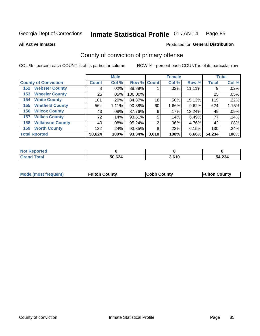**All Active Inmates**

#### Produced for **General Distribution**

### County of conviction of primary offense

|                                |              | <b>Male</b> |             |       | <b>Female</b> |        |              | <b>Total</b> |
|--------------------------------|--------------|-------------|-------------|-------|---------------|--------|--------------|--------------|
| <b>County of Conviction</b>    | <b>Count</b> | Col %       | Row % Count |       | Col %         | Row %  | <b>Total</b> | Col %        |
| <b>Webster County</b><br>152   | 8            | .02%        | 88.89%      |       | .03%          | 11.11% | 9            | .02%         |
| <b>Wheeler County</b><br>153   | 25           | $.05\%$     | 100.00%     |       |               |        | 25           | .05%         |
| <b>White County</b><br>154     | 101          | .20%        | 84.87%      | 18    | .50%          | 15.13% | 119          | .22%         |
| <b>Whitfield County</b><br>155 | 564          | 1.11%       | 90.38%      | 60    | 1.66%         | 9.62%  | 624          | 1.15%        |
| <b>Wilcox County</b><br>156    | 43           | $.08\%$     | 87.76%      | 6     | .17%          | 12.24% | 49           | .09%         |
| <b>Wilkes County</b><br>157    | 72           | .14%        | 93.51%      | 5     | .14%          | 6.49%  | 77           | .14%         |
| <b>Wilkinson County</b><br>158 | 40           | $.08\%$     | 95.24%      | 2     | .06%          | 4.76%  | 42           | .08%         |
| <b>Worth County</b><br>159     | 122          | .24%        | 93.85%      | 8     | .22%          | 6.15%  | 130          | .24%         |
| <b>Total Rported</b>           | 50,624       | 100%        | 93.34%      | 3,610 | 100%          | 6.66%  | 54,234       | 100%         |

| <b>Not Reported</b> |        |       |        |
|---------------------|--------|-------|--------|
| <b>Grand Total</b>  | 50,624 | 3,610 | 54,234 |

| Mode (most frequent) | <b>Fulton County</b> | <b>Cobb County</b> | <b>Fulton County</b> |
|----------------------|----------------------|--------------------|----------------------|
|                      |                      |                    |                      |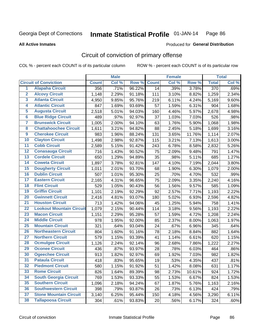#### **All Active Inmates**

# Produced for **General Distribution**

### Circuit of conviction of primary offense

|                         |                                 |              | <b>Male</b> |        |              | <b>Female</b> |        |                  | <b>Total</b> |
|-------------------------|---------------------------------|--------------|-------------|--------|--------------|---------------|--------|------------------|--------------|
|                         | <b>Circuit of Conviction</b>    | <b>Count</b> | Col %       | Row %  | <b>Count</b> | Col %         | Row %  | <b>Total</b>     | Col %        |
| 1                       | <b>Alapaha Circuit</b>          | 356          | .71%        | 96.22% | 14           | .39%          | 3.78%  | $\overline{370}$ | .69%         |
| $\overline{2}$          | <b>Alcovy Circuit</b>           | 1,148        | 2.29%       | 91.18% | 111          | 3.10%         | 8.82%  | 1,259            | 2.34%        |
| $\overline{\mathbf{3}}$ | <b>Atlanta Circuit</b>          | 4,950        | 9.85%       | 95.76% | 219          | 6.11%         | 4.24%  | 5,169            | 9.60%        |
| $\overline{\mathbf{4}}$ | <b>Atlantic Circuit</b>         | 847          | 1.69%       | 93.69% | 57           | 1.59%         | 6.31%  | 904              | 1.68%        |
| $\overline{5}$          | <b>Augusta Circuit</b>          | 2,518        | 5.01%       | 94.03% | 160          | 4.46%         | 5.97%  | 2,678            | 4.98%        |
| $\overline{6}$          | <b>Blue Ridge Circuit</b>       | 489          | .97%        | 92.97% | 37           | 1.03%         | 7.03%  | 526              | .98%         |
| 7                       | <b>Brunswick Circuit</b>        | 1,005        | 2.00%       | 94.10% | 63           | 1.76%         | 5.90%  | 1,068            | 1.98%        |
| $\overline{\mathbf{8}}$ | <b>Chattahoochee Circuit</b>    | 1,611        | 3.21%       | 94.82% | 88           | 2.45%         | 5.18%  | 1,699            | 3.16%        |
| $\overline{9}$          | <b>Cherokee Circuit</b>         | 983          | 1.96%       | 88.24% | 131          | 3.65%         | 11.76% | 1,114            | 2.07%        |
| 10                      | <b>Clayton Circuit</b>          | 1,498        | 2.98%       | 92.87% | 115          | 3.21%         | 7.13%  | 1,613            | 3.00%        |
| $\overline{11}$         | <b>Cobb Circuit</b>             | 2,589        | 5.15%       | 91.42% | 243          | 6.78%         | 8.58%  | 2,832            | 5.26%        |
| $\overline{12}$         | <b>Conasauga Circuit</b>        | 716          | 1.43%       | 90.52% | 75           | 2.09%         | 9.48%  | 791              | 1.47%        |
| $\overline{13}$         | <b>Cordele Circuit</b>          | 650          | 1.29%       | 94.89% | 35           | .98%          | 5.11%  | 685              | 1.27%        |
| $\overline{14}$         | <b>Coweta Circuit</b>           | 1,897        | 3.78%       | 92.81% | 147          | 4.10%         | 7.19%  | 2,044            | 3.80%        |
| 15                      | <b>Dougherty Circuit</b>        | 1,011        | 2.01%       | 93.70% | 68           | 1.90%         | 6.30%  | 1,079            | 2.00%        |
| 16                      | <b>Dublin Circuit</b>           | 507          | 1.01%       | 95.30% | 25           | .70%          | 4.70%  | 532              | .99%         |
| $\overline{17}$         | <b>Eastern Circuit</b>          | 2,165        | 4.31%       | 96.65% | 75           | 2.09%         | 3.35%  | 2,240            | 4.16%        |
| 18                      | <b>Flint Circuit</b>            | 529          | 1.05%       | 90.43% | 56           | 1.56%         | 9.57%  | 585              | 1.09%        |
| 19                      | <b>Griffin Circuit</b>          | 1,101        | 2.19%       | 92.29% | 92           | 2.57%         | 7.71%  | 1,193            | 2.22%        |
| 20                      | <b>Gwinnett Circuit</b>         | 2,416        | 4.81%       | 93.07% | 180          | 5.02%         | 6.93%  | 2,596            | 4.82%        |
| $\overline{21}$         | <b>Houston Circuit</b>          | 713          | 1.42%       | 94.06% | 45           | 1.25%         | 5.94%  | 758              | 1.41%        |
| $\overline{22}$         | <b>Lookout Mountain Circuit</b> | 1,079        | 2.15%       | 90.44% | 114          | 3.18%         | 9.56%  | 1,193            | 2.22%        |
| 23                      | <b>Macon Circuit</b>            | 1,151        | 2.29%       | 95.28% | 57           | 1.59%         | 4.72%  | 1,208            | 2.24%        |
| $\overline{24}$         | <b>Middle Circuit</b>           | 978          | 1.95%       | 92.00% | 85           | 2.37%         | 8.00%  | 1,063            | 1.97%        |
| $\overline{25}$         | <b>Mountain Circuit</b>         | 321          | .64%        | 93.04% | 24           | .67%          | 6.96%  | 345              | .64%         |
| 26                      | <b>Northeastern Circuit</b>     | 804          | 1.60%       | 91.16% | 78           | 2.18%         | 8.84%  | 882              | 1.64%        |
| $\overline{27}$         | <b>Northern Circuit</b>         | 579          | 1.15%       | 93.39% | 41           | 1.14%         | 6.61%  | 620              | 1.15%        |
| 28                      | <b>Ocmulgee Circuit</b>         | 1,126        | 2.24%       | 92.14% | 96           | 2.68%         | 7.86%  | 1,222            | 2.27%        |
| 29                      | <b>Oconee Circuit</b>           | 436          | .87%        | 93.97% | 28           | .78%          | 6.03%  | 464              | .86%         |
| 30                      | <b>Ogeechee Circuit</b>         | 913          | 1.82%       | 92.97% | 69           | 1.92%         | 7.03%  | 982              | 1.82%        |
| $\overline{31}$         | <b>Pataula Circuit</b>          | 418          | .83%        | 95.65% | 19           | .53%          | 4.35%  | 437              | .81%         |
| 32                      | <b>Piedmont Circuit</b>         | 580          | 1.15%       | 91.92% | 51           | 1.42%         | 8.08%  | 631              | 1.17%        |
| 33                      | <b>Rome Circuit</b>             | 826          | 1.64%       | 89.39% | 98           | 2.73%         | 10.61% | 924              | 1.72%        |
| 34                      | <b>South Georgia Circuit</b>    | 769          | 1.53%       | 93.33% | 55           | 1.53%         | 6.67%  | 824              | 1.53%        |
| 35                      | <b>Southern Circuit</b>         | 1,096        | 2.18%       | 94.24% | 67           | 1.87%         | 5.76%  | 1,163            | 2.16%        |
| 36                      | <b>Southwestern Circuit</b>     | 398          | .79%        | 93.87% | 26           | .73%          | 6.13%  | 424              | .79%         |
| 37                      | <b>Stone Mountain Circuit</b>   | 3,140        | 6.25%       | 95.44% | 150          | 4.18%         | 4.56%  | 3,290            | 6.11%        |
| 38                      | <b>Tallapoosa Circuit</b>       | 304          | .61%        | 93.83% | 20           | .56%          | 6.17%  | 324              | .60%         |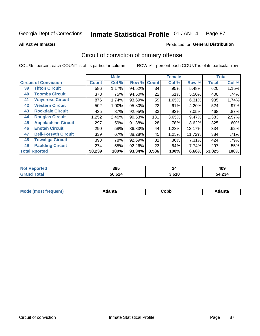#### **All Active Inmates**

#### Produced for **General Distribution**

### Circuit of conviction of primary offense

|    |                              |              | <b>Male</b> |        |              | <b>Female</b> |        |              | <b>Total</b> |
|----|------------------------------|--------------|-------------|--------|--------------|---------------|--------|--------------|--------------|
|    | <b>Circuit of Conviction</b> | <b>Count</b> | Col %       | Row %  | <b>Count</b> | Col %         | Row %  | <b>Total</b> | Col %        |
| 39 | <b>Tifton Circuit</b>        | 586          | 1.17%       | 94.52% | 34           | .95%          | 5.48%  | 620          | 1.15%        |
| 40 | <b>Toombs Circuit</b>        | 378          | .75%        | 94.50% | 22           | .61%          | 5.50%  | 400          | .74%         |
| 41 | <b>Waycross Circuit</b>      | 876          | 1.74%       | 93.69% | 59           | 1.65%         | 6.31%  | 935          | 1.74%        |
| 42 | <b>Western Circuit</b>       | 502          | 1.00%       | 95.80% | 22           | .61%          | 4.20%  | 524          | .97%         |
| 43 | <b>Rockdale Circuit</b>      | 435          | .87%        | 92.95% | 33           | .92%          | 7.05%  | 468          | .87%         |
| 44 | <b>Douglas Circuit</b>       | 1,252        | 2.49%       | 90.53% | 131          | 3.65%         | 9.47%  | 1,383        | 2.57%        |
| 45 | <b>Appalachian Circuit</b>   | 297          | .59%        | 91.38% | 28           | .78%          | 8.62%  | 325          | .60%         |
| 46 | <b>Enotah Circuit</b>        | 290          | .58%        | 86.83% | 44           | 1.23%         | 13.17% | 334          | .62%         |
| 47 | <b>Bell-Forsyth Circuit</b>  | 339          | .67%        | 88.28% | 45           | 1.25%         | 11.72% | 384          | .71%         |
| 48 | <b>Towaliga Circuit</b>      | 393          | .78%        | 92.69% | 31           | .86%          | 7.31%  | 424          | .79%         |
| 49 | <b>Paulding Circuit</b>      | 274          | .55%        | 92.26% | 23           | .64%          | 7.74%  | 297          | .55%         |
|    | <b>Total Rported</b>         | 50,239       | 100%        | 93.34% | 3,586        | 100%          | 6.66%  | 53,825       | 100%         |

| N<br>u e o | 385         | 44    | 409                   |
|------------|-------------|-------|-----------------------|
|            | .624<br>50. | 3,610 | $\sim$<br>4.Z34<br>54 |

| M | . | -----<br>oг | ----<br>пLс |
|---|---|-------------|-------------|
|   |   | <b>OUNN</b> |             |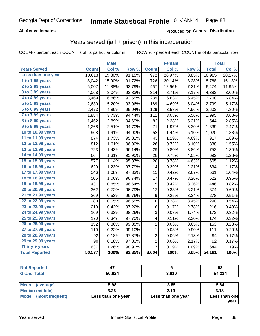#### **All Active Inmates**

#### Produced for **General Distribution**

#### Years served (jail + prison) in this incarceration

|                       |              | <b>Male</b> |        |                | <b>Female</b> |       |              | <b>Total</b> |
|-----------------------|--------------|-------------|--------|----------------|---------------|-------|--------------|--------------|
| <b>Years Served</b>   | <b>Count</b> | Col %       | Row %  | <b>Count</b>   | Col %         | Row % | <b>Total</b> | Col%         |
| Less than one year    | 10,013       | 19.80%      | 91.15% | 972            | 26.97%        | 8.85% | 10,985       | 20.27%       |
| 1 to 1.99 years       | 8,042        | 15.90%      | 91.72% | 726            | 20.14%        | 8.28% | 8,768        | 16.18%       |
| 2 to 2.99 years       | 6,007        | 11.88%      | 92.79% | 467            | 12.96%        | 7.21% | 6,474        | 11.95%       |
| 3 to 3.99 years       | 4,068        | 8.04%       | 92.83% | 314            | 8.71%         | 7.17% | 4,382        | 8.09%        |
| 4 to 4.99 years       | 3,469        | 6.86%       | 93.55% | 239            | 6.63%         | 6.45% | 3,708        | 6.84%        |
| 5 to 5.99 years       | 2,630        | 5.20%       | 93.96% | 169            | 4.69%         | 6.04% | 2,799        | 5.17%        |
| 6 to 6.99 years       | 2,473        | 4.89%       | 95.04% | 129            | 3.58%         | 4.96% | 2,602        | 4.80%        |
| 7 to 7.99 years       | 1,884        | 3.73%       | 94.44% | 111            | 3.08%         | 5.56% | 1,995        | 3.68%        |
| 8 to 8.99 years       | 1,462        | 2.89%       | 94.69% | 82             | 2.28%         | 5.31% | 1,544        | 2.85%        |
| 9 to 9.99 years       | 1,268        | 2.51%       | 94.70% | 71             | 1.97%         | 5.30% | 1,339        | 2.47%        |
| 10 to 10.99 years     | 968          | 1.91%       | 94.90% | 52             | 1.44%         | 5.10% | 1,020        | 1.88%        |
| 11 to 11.99 years     | 874          | 1.73%       | 95.31% | 43             | 1.19%         | 4.69% | 917          | 1.69%        |
| 12 to 12.99 years     | 812          | 1.61%       | 96.90% | 26             | 0.72%         | 3.10% | 838          | 1.55%        |
| 13 to 13.99 years     | 723          | 1.43%       | 96.14% | 29             | 0.80%         | 3.86% | 752          | 1.39%        |
| 14 to 14.99 years     | 664          | 1.31%       | 95.95% | 28             | 0.78%         | 4.05% | 692          | 1.28%        |
| 15 to 15.99 years     | 577          | 1.14%       | 95.37% | 28             | 0.78%         | 4.63% | 605          | 1.12%        |
| 16 to 16.99 years     | 620          | 1.23%       | 97.79% | 14             | 0.39%         | 2.21% | 634          | 1.17%        |
| 17 to 17.99 years     | 546          | 1.08%       | 97.33% | 15             | 0.42%         | 2.67% | 561          | 1.04%        |
| 18 to 18.99 years     | 505          | 1.00%       | 96.74% | 17             | 0.47%         | 3.26% | 522          | 0.96%        |
| 19 to 19.99 years     | 431          | 0.85%       | 96.64% | 15             | 0.42%         | 3.36% | 446          | 0.82%        |
| 20 to 20.99 years     | 362          | 0.72%       | 96.79% | 12             | 0.33%         | 3.21% | 374          | 0.69%        |
| 21 to 21.99 years     | 269          | 0.53%       | 96.76% | 9              | 0.25%         | 3.24% | 278          | 0.51%        |
| 22 to 22.99 years     | 280          | 0.55%       | 96.55% | 10             | 0.28%         | 3.45% | 290          | 0.54%        |
| 23 to 23.99 years     | 210          | 0.42%       | 97.22% | 6              | 0.17%         | 2.78% | 216          | 0.40%        |
| 24 to 24.99 years     | 169          | 0.33%       | 98.26% | 3              | 0.08%         | 1.74% | 172          | 0.32%        |
| 25 to 25.99 years     | 170          | 0.34%       | 97.70% | 4              | 0.11%         | 2.30% | 174          | 0.32%        |
| 26 to 26.99 years     | 152          | 0.30%       | 99.35% | $\mathbf 1$    | 0.03%         | 0.65% | 153          | 0.28%        |
| 27 to 27.99 years     | 110          | 0.22%       | 99.10% | $\mathbf 1$    | 0.03%         | 0.90% | 111          | 0.20%        |
| 28 to 28.99 years     | 92           | 0.18%       | 97.87% | $\overline{c}$ | 0.06%         | 2.13% | 94           | 0.17%        |
| 29 to 29.99 years     | 90           | 0.18%       | 97.83% | $\overline{2}$ | 0.06%         | 2.17% | 92           | 0.17%        |
| Thirty + years        | 637          | 1.26%       | 98.91% | $\overline{7}$ | 0.19%         | 1.09% | 644          | 1.19%        |
| <b>Total Reported</b> | 50,577       | 100%        | 93.35% | 3,604          | 100%          | 6.65% | 54,181       | 100%         |

| <b>IN A</b>                | - 1    |              | 53     |
|----------------------------|--------|--------------|--------|
| $\mathcal{L} = 4 \times 7$ | 50,624 | 2.610<br>v.v | 54,234 |

| <b>Mean</b><br>(average) | 5.98               | 3.85               | 5.84          |
|--------------------------|--------------------|--------------------|---------------|
| Median (middle)          | 3.26               | 2.19               | 3.18          |
| Mode (most frequent)     | Less than one year | Less than one year | Less than one |
|                          |                    |                    | year          |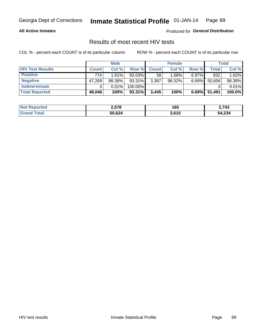#### **All Active Inmates**

Produced for **General Distribution**

#### Results of most recent HIV tests

|                         | <b>Male</b>  |        |         | <b>Female</b> |        |          | <b>Total</b> |        |
|-------------------------|--------------|--------|---------|---------------|--------|----------|--------------|--------|
| <b>HIV Test Results</b> | <b>Count</b> | Col %  | Row %I  | <b>Count</b>  | Col %  | Row %    | Total        | Col %  |
| <b>Positive</b>         | 774          | 1.61%  | 93.03%  | 58            | 1.68%  | $6.97\%$ | 832          | 1.62%  |
| <b>Negative</b>         | 47,269       | 98.38% | 93.31%  | 3,387         | 98.32% | 6.69%    | 50,656       | 98.38% |
| <b>Indeterminate</b>    | ີ            | 0.01%  | 100.00% |               |        |          |              | 0.01%  |
| <b>Total Reported</b>   | 48,046       | 100%   | 93.31%  | 3,445         | 100%   | 6.69%    | 51,491       | 100.0% |

| <b>Not Reported</b>     | 2,578  | 165   | 2,743  |
|-------------------------|--------|-------|--------|
| <b>Total</b><br>' Grand | 50,624 | 3,610 | 54,234 |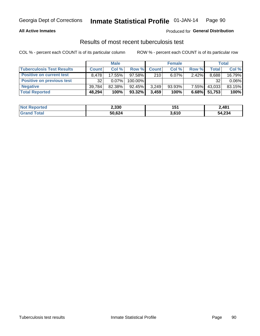#### **All Active Inmates**

#### Produced for **General Distribution**

#### Results of most recent tuberculosis test

|                                  | <b>Male</b>  |           |           | <b>Female</b> |           |          | Total  |          |
|----------------------------------|--------------|-----------|-----------|---------------|-----------|----------|--------|----------|
| <b>Tuberculosis Test Results</b> | <b>Count</b> | Col%      | Row %     | <b>Count</b>  | Col %     | Row %    | Total  | Col %    |
| <b>Positive on current test</b>  | 8.478        | $17.55\%$ | $97.58\%$ | 210           | $6.07\%$  | 2.42%    | 8,688  | 16.79%   |
| <b>Positive on previous test</b> | 32           | 0.07%     | 100.00%   |               |           |          | 32     | $0.06\%$ |
| <b>Negative</b>                  | 39.784       | 82.38%    | $92.45\%$ | 3,249         | $93.93\%$ | $7.55\%$ | 43,033 | 83.15%   |
| <b>Total Reported</b>            | 48,294       | 100%      | $93.32\%$ | 3.459         | 100%      | $6.68\%$ | 51,753 | 100%     |

| <b>Not Reported</b> | 2,330  | 151   | 2,481  |
|---------------------|--------|-------|--------|
| Total<br>'Grand     | 50,624 | 3,610 | 54,234 |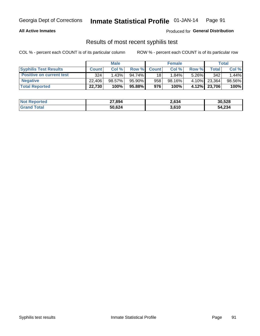#### **All Active Inmates**

Produced for **General Distribution**

#### Results of most recent syphilis test

|                                 | <b>Male</b>  |           |                 | <b>Female</b> |           |          | Total        |        |
|---------------------------------|--------------|-----------|-----------------|---------------|-----------|----------|--------------|--------|
| <b>Syphilis Test Results</b>    | <b>Count</b> | Col%      | Row %I          | <b>Count</b>  | Col %     | Row %    | Total I      | Col %  |
| <b>Positive on current test</b> | 324          | 1.43%     | 94.74%          | 18            | 1.84%     | $5.26\%$ | 342          | 1.44%  |
| <b>Negative</b>                 | 22,406       | $98.57\%$ | 95.90%          | 958           | $98.16\%$ | 4.10%    | 23,364       | 98.56% |
| <b>Total Reported</b>           | 22,730       | 100%      | 95.88% <b>I</b> | 976           | 100%      |          | 4.12% 23,706 | 100%   |

| <b>Not Reported</b> | 27,894 | 2,634 | 30,528 |
|---------------------|--------|-------|--------|
| <b>Grand Total</b>  | 50,624 | 3,610 | 54,234 |